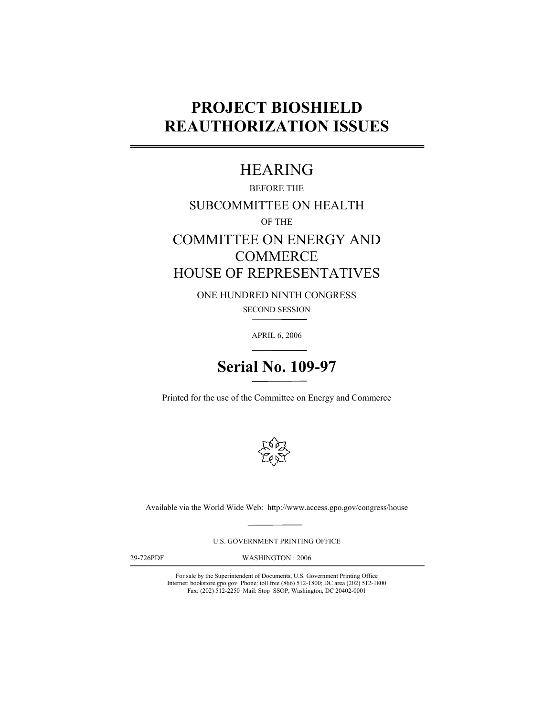# **PROJECT BIOSHIELD REAUTHORIZATION ISSUES**

## HEARING

BEFORE THE SUBCOMMITTEE ON HEALTH OF THE COMMITTEE ON ENERGY AND **COMMERCE** 

HOUSE OF REPRESENTATIVES

ONE HUNDRED NINTH CONGRESS SECOND SESSION

APRIL 6, 2006



Printed for the use of the Committee on Energy and Commerce



Available via the World Wide Web: http://www.access.gpo.gov/congress/house

U.S. GOVERNMENT PRINTING OFFICE

29-726PDF

WASHINGTON : 2006

For sale by the Superintendent of Documents, U.S. Government Printing Office Internet: bookstore.gpo.gov Phone: toll free (866) 512-1800; DC area (202) 512-1800 Fax: (202) 512-2250 Mail: Stop SSOP, Washington, DC 20402-0001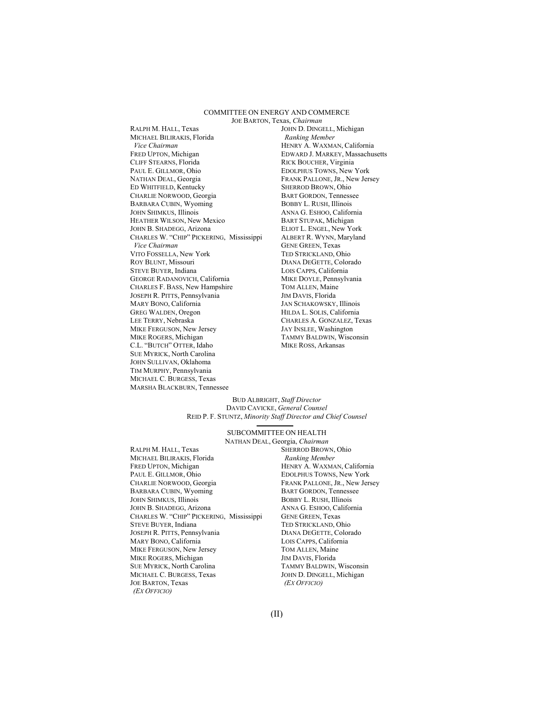#### COMMITTEE ON ENERGY AND COMMERCE JOE BARTON, Texas, *Chairman*

RALPH M. HALL, Texas MICHAEL BILIRAKIS, Florida  *Vice Chairman*  FRED UPTON, Michigan CLIFF STEARNS, Florida PAUL E. GILLMOR, Ohio NATHAN DEAL, Georgia ED WHITFIELD, Kentucky CHARLIE NORWOOD, Georgia BARBARA CUBIN, Wyoming JOHN SHIMKUS, Illinois HEATHER WILSON, New Mexico JOHN B. SHADEGG, Arizona CHARLES W. "CHIP" PICKERING, Mississippi *Vice Chairman* VITO FOSSELLA, New York ROY BLUNT, Missouri STEVE BUYER, Indiana GEORGE RADANOVICH, California CHARLES F. BASS, New Hampshire JOSEPH R. PITTS, Pennsylvania MARY BONO, California GREG WALDEN, Oregon LEE TERRY, Nebraska MIKE FERGUSON, New Jersey MIKE ROGERS, Michigan C.L. "BUTCH" OTTER, Idaho SUE MYRICK, North Carolina JOHN SULLIVAN, Oklahoma TIM MURPHY, Pennsylvania MICHAEL C. BURGESS, Texas MARSHA BLACKBURN, Tennessee

JOHN D. DINGELL, Michigan  *Ranking Member*  HENRY A. WAXMAN, California EDWARD J. MARKEY, Massachusetts RICK BOUCHER, Virginia EDOLPHUS TOWNS, New York FRANK PALLONE, JR., New Jersey SHERROD BROWN, Ohio BART GORDON, Tennessee BOBBY L. RUSH, Illinois ANNA G. ESHOO, California BART STUPAK, Michigan ELIOT L. ENGEL, New York ALBERT R. WYNN, Maryland GENE GREEN, Texas TED STRICKLAND, Ohio DIANA DEGETTE, Colorado LOIS CAPPS, California MIKE DOYLE, Pennsylvania TOM ALLEN, Maine JIM DAVIS, Florida JAN SCHAKOWSKY, Illinois HILDA L. SOLIS, California CHARLES A. GONZALEZ, Texas JAY INSLEE, Washington TAMMY BALDWIN, Wisconsin MIKE ROSS, Arkansas

#### BUD ALBRIGHT, *Staff Director*  DAVID CAVICKE, *General Counsel* REID P. F. STUNTZ, *Minority Staff Director and Chief Counsel*

#### SUBCOMMITTEE ON HEALTH

- RALPH M. HALL, Texas MICHAEL BILIRAKIS, Florida FRED UPTON, Michigan PAUL E. GILLMOR, Ohio CHARLIE NORWOOD, Georgia BARBARA CUBIN, Wyoming JOHN SHIMKUS, Illinois JOHN B. SHADEGG, Arizona CHARLES W. "CHIP" PICKERING, Mississippi STEVE BUYER, Indiana JOSEPH R. PITTS, Pennsylvania MARY BONO, California MIKE FERGUSON, New Jersey MIKE ROGERS, Michigan SUE MYRICK, North Carolina MICHAEL C. BURGESS, Texas JOE BARTON, Texas  *(EX OFFICIO)*
- NATHAN DEAL, Georgia, *Chairman*  SHERROD BROWN, Ohio  *Ranking Member*  HENRY A. WAXMAN, California EDOLPHUS TOWNS, New York FRANK PALLONE, JR., New Jersey BART GORDON, Tennessee BOBBY L. RUSH, Illinois ANNA G. ESHOO, California GENE GREEN, Texas TED STRICKLAND, Ohio DIANA DEGETTE, Colorado LOIS CAPPS, California TOM ALLEN, Maine JIM DAVIS, Florida TAMMY BALDWIN, Wisconsin JOHN D. DINGELL, Michigan  *(EX OFFICIO)*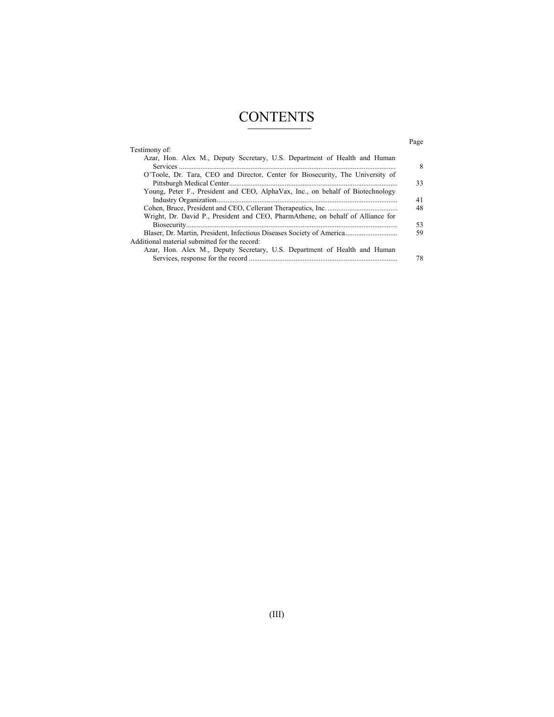# **CONTENTS**

### Page

| Testimony of:                                                                   |    |
|---------------------------------------------------------------------------------|----|
| Azar, Hon. Alex M., Deputy Secretary, U.S. Department of Health and Human       | 8  |
| O'Toole, Dr. Tara, CEO and Director, Center for Biosecurity, The University of  |    |
|                                                                                 | 33 |
| Young, Peter F., President and CEO, AlphaVax, Inc., on behalf of Biotechnology  |    |
|                                                                                 | 41 |
|                                                                                 | 48 |
| Wright, Dr. David P., President and CEO, PharmAthene, on behalf of Alliance for |    |
|                                                                                 | 53 |
| Blaser, Dr. Martin, President, Infectious Diseases Society of America           | 59 |
| Additional material submitted for the record:                                   |    |
| Azar, Hon. Alex M., Deputy Secretary, U.S. Department of Health and Human       |    |
|                                                                                 | 78 |
|                                                                                 |    |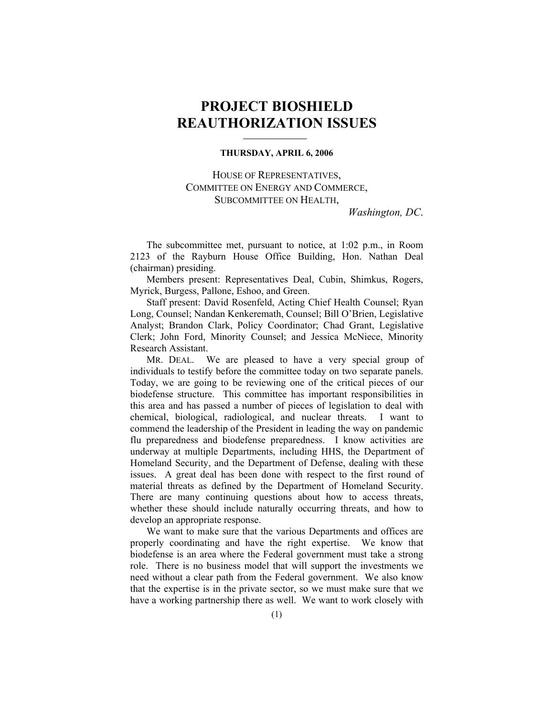### **PROJECT BIOSHIELD REAUTHORIZATION ISSUES**

### **THURSDAY, APRIL 6, 2006**

HOUSE OF REPRESENTATIVES, COMMITTEE ON ENERGY AND COMMERCE, SUBCOMMITTEE ON HEALTH,

*Washington, DC*.

The subcommittee met, pursuant to notice, at 1:02 p.m., in Room 2123 of the Rayburn House Office Building, Hon. Nathan Deal (chairman) presiding.

 Members present: Representatives Deal, Cubin, Shimkus, Rogers, Myrick, Burgess, Pallone, Eshoo, and Green.

 Staff present: David Rosenfeld, Acting Chief Health Counsel; Ryan Long, Counsel; Nandan Kenkeremath, Counsel; Bill O'Brien, Legislative Analyst; Brandon Clark, Policy Coordinator; Chad Grant, Legislative Clerk; John Ford, Minority Counsel; and Jessica McNiece, Minority Research Assistant.

MR. DEAL. We are pleased to have a very special group of individuals to testify before the committee today on two separate panels. Today, we are going to be reviewing one of the critical pieces of our biodefense structure. This committee has important responsibilities in this area and has passed a number of pieces of legislation to deal with chemical, biological, radiological, and nuclear threats. I want to commend the leadership of the President in leading the way on pandemic flu preparedness and biodefense preparedness. I know activities are underway at multiple Departments, including HHS, the Department of Homeland Security, and the Department of Defense, dealing with these issues. A great deal has been done with respect to the first round of material threats as defined by the Department of Homeland Security. There are many continuing questions about how to access threats, whether these should include naturally occurring threats, and how to develop an appropriate response.

 We want to make sure that the various Departments and offices are properly coordinating and have the right expertise. We know that biodefense is an area where the Federal government must take a strong role. There is no business model that will support the investments we need without a clear path from the Federal government. We also know that the expertise is in the private sector, so we must make sure that we have a working partnership there as well. We want to work closely with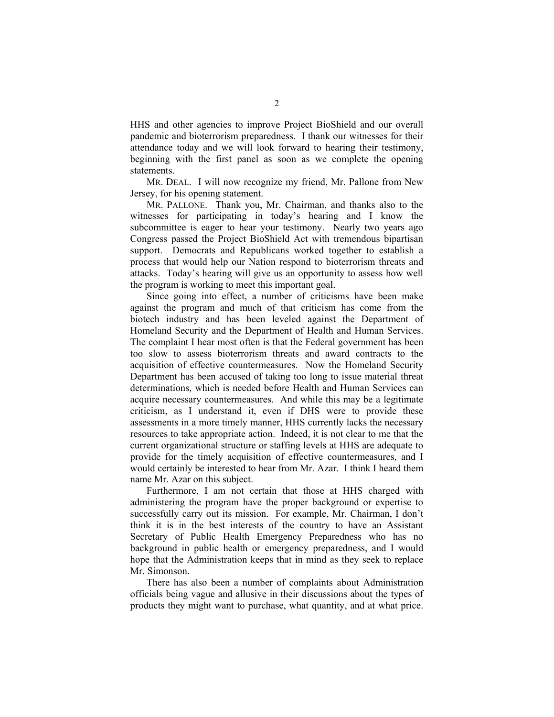HHS and other agencies to improve Project BioShield and our overall pandemic and bioterrorism preparedness. I thank our witnesses for their attendance today and we will look forward to hearing their testimony, beginning with the first panel as soon as we complete the opening statements.

 MR. DEAL. I will now recognize my friend, Mr. Pallone from New Jersey, for his opening statement.

 MR. PALLONE. Thank you, Mr. Chairman, and thanks also to the witnesses for participating in today's hearing and I know the subcommittee is eager to hear your testimony. Nearly two years ago Congress passed the Project BioShield Act with tremendous bipartisan support. Democrats and Republicans worked together to establish a process that would help our Nation respond to bioterrorism threats and attacks. Today's hearing will give us an opportunity to assess how well the program is working to meet this important goal.

 Since going into effect, a number of criticisms have been make against the program and much of that criticism has come from the biotech industry and has been leveled against the Department of Homeland Security and the Department of Health and Human Services. The complaint I hear most often is that the Federal government has been too slow to assess bioterrorism threats and award contracts to the acquisition of effective countermeasures. Now the Homeland Security Department has been accused of taking too long to issue material threat determinations, which is needed before Health and Human Services can acquire necessary countermeasures. And while this may be a legitimate criticism, as I understand it, even if DHS were to provide these assessments in a more timely manner, HHS currently lacks the necessary resources to take appropriate action. Indeed, it is not clear to me that the current organizational structure or staffing levels at HHS are adequate to provide for the timely acquisition of effective countermeasures, and I would certainly be interested to hear from Mr. Azar. I think I heard them name Mr. Azar on this subject.

 Furthermore, I am not certain that those at HHS charged with administering the program have the proper background or expertise to successfully carry out its mission. For example, Mr. Chairman, I don't think it is in the best interests of the country to have an Assistant Secretary of Public Health Emergency Preparedness who has no background in public health or emergency preparedness, and I would hope that the Administration keeps that in mind as they seek to replace Mr. Simonson.

 There has also been a number of complaints about Administration officials being vague and allusive in their discussions about the types of products they might want to purchase, what quantity, and at what price.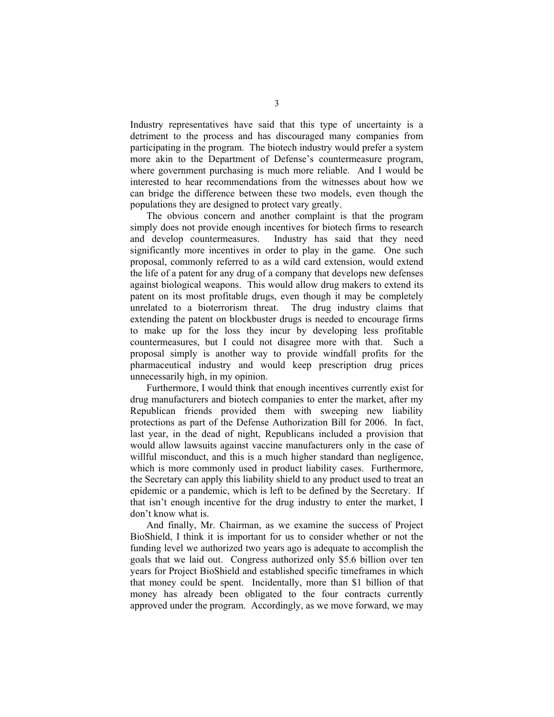Industry representatives have said that this type of uncertainty is a detriment to the process and has discouraged many companies from participating in the program. The biotech industry would prefer a system more akin to the Department of Defense's countermeasure program, where government purchasing is much more reliable. And I would be interested to hear recommendations from the witnesses about how we can bridge the difference between these two models, even though the populations they are designed to protect vary greatly.

 The obvious concern and another complaint is that the program simply does not provide enough incentives for biotech firms to research and develop countermeasures. Industry has said that they need significantly more incentives in order to play in the game. One such proposal, commonly referred to as a wild card extension, would extend the life of a patent for any drug of a company that develops new defenses against biological weapons. This would allow drug makers to extend its patent on its most profitable drugs, even though it may be completely unrelated to a bioterrorism threat. The drug industry claims that extending the patent on blockbuster drugs is needed to encourage firms to make up for the loss they incur by developing less profitable countermeasures, but I could not disagree more with that. Such a proposal simply is another way to provide windfall profits for the pharmaceutical industry and would keep prescription drug prices unnecessarily high, in my opinion.

 Furthermore, I would think that enough incentives currently exist for drug manufacturers and biotech companies to enter the market, after my Republican friends provided them with sweeping new liability protections as part of the Defense Authorization Bill for 2006. In fact, last year, in the dead of night, Republicans included a provision that would allow lawsuits against vaccine manufacturers only in the case of willful misconduct, and this is a much higher standard than negligence, which is more commonly used in product liability cases. Furthermore, the Secretary can apply this liability shield to any product used to treat an epidemic or a pandemic, which is left to be defined by the Secretary. If that isn't enough incentive for the drug industry to enter the market, I don't know what is.

 And finally, Mr. Chairman, as we examine the success of Project BioShield, I think it is important for us to consider whether or not the funding level we authorized two years ago is adequate to accomplish the goals that we laid out. Congress authorized only \$5.6 billion over ten years for Project BioShield and established specific timeframes in which that money could be spent. Incidentally, more than \$1 billion of that money has already been obligated to the four contracts currently approved under the program. Accordingly, as we move forward, we may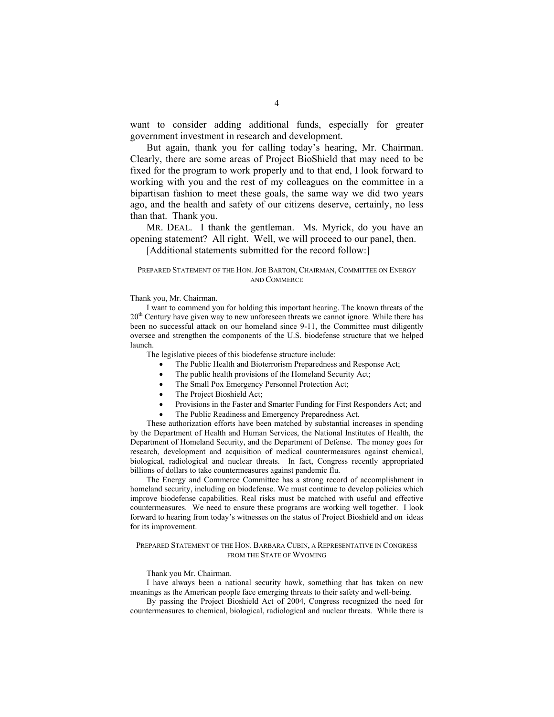want to consider adding additional funds, especially for greater government investment in research and development.

 But again, thank you for calling today's hearing, Mr. Chairman. Clearly, there are some areas of Project BioShield that may need to be fixed for the program to work properly and to that end, I look forward to working with you and the rest of my colleagues on the committee in a bipartisan fashion to meet these goals, the same way we did two years ago, and the health and safety of our citizens deserve, certainly, no less than that. Thank you.

 MR. DEAL. I thank the gentleman. Ms. Myrick, do you have an opening statement? All right. Well, we will proceed to our panel, then. [Additional statements submitted for the record follow:]

### PREPARED STATEMENT OF THE HON. JOE BARTON, CHAIRMAN, COMMITTEE ON ENERGY AND COMMERCE

#### Thank you, Mr. Chairman.

 I want to commend you for holding this important hearing. The known threats of the 20<sup>th</sup> Century have given way to new unforeseen threats we cannot ignore. While there has been no successful attack on our homeland since 9-11, the Committee must diligently oversee and strengthen the components of the U.S. biodefense structure that we helped launch.

The legislative pieces of this biodefense structure include:

- The Public Health and Bioterrorism Preparedness and Response Act;
- The public health provisions of the Homeland Security Act;
- The Small Pox Emergency Personnel Protection Act;
- The Project Bioshield Act;
- Provisions in the Faster and Smarter Funding for First Responders Act; and
- The Public Readiness and Emergency Preparedness Act.

These authorization efforts have been matched by substantial increases in spending by the Department of Health and Human Services, the National Institutes of Health, the Department of Homeland Security, and the Department of Defense. The money goes for research, development and acquisition of medical countermeasures against chemical, biological, radiological and nuclear threats. In fact, Congress recently appropriated billions of dollars to take countermeasures against pandemic flu.

 The Energy and Commerce Committee has a strong record of accomplishment in homeland security, including on biodefense. We must continue to develop policies which improve biodefense capabilities. Real risks must be matched with useful and effective countermeasures. We need to ensure these programs are working well together. I look forward to hearing from today's witnesses on the status of Project Bioshield and on ideas for its improvement.

#### PREPARED STATEMENT OF THE HON. BARBARA CUBIN, A REPRESENTATIVE IN CONGRESS FROM THE STATE OF WYOMING

#### Thank you Mr. Chairman.

I have always been a national security hawk, something that has taken on new meanings as the American people face emerging threats to their safety and well-being.

By passing the Project Bioshield Act of 2004, Congress recognized the need for countermeasures to chemical, biological, radiological and nuclear threats. While there is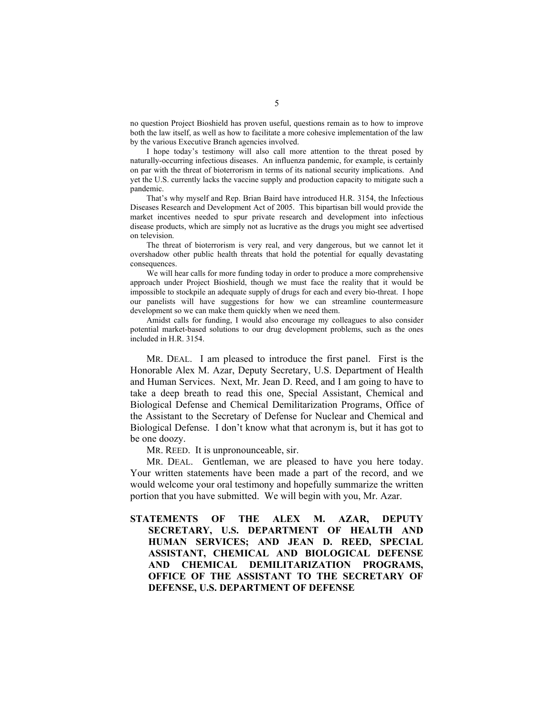no question Project Bioshield has proven useful, questions remain as to how to improve both the law itself, as well as how to facilitate a more cohesive implementation of the law by the various Executive Branch agencies involved.

I hope today's testimony will also call more attention to the threat posed by naturally-occurring infectious diseases. An influenza pandemic, for example, is certainly on par with the threat of bioterrorism in terms of its national security implications. And yet the U.S. currently lacks the vaccine supply and production capacity to mitigate such a pandemic.

That's why myself and Rep. Brian Baird have introduced H.R. 3154, the Infectious Diseases Research and Development Act of 2005. This bipartisan bill would provide the market incentives needed to spur private research and development into infectious disease products, which are simply not as lucrative as the drugs you might see advertised on television.

The threat of bioterrorism is very real, and very dangerous, but we cannot let it overshadow other public health threats that hold the potential for equally devastating consequences.

We will hear calls for more funding today in order to produce a more comprehensive approach under Project Bioshield, though we must face the reality that it would be impossible to stockpile an adequate supply of drugs for each and every bio-threat. I hope our panelists will have suggestions for how we can streamline countermeasure development so we can make them quickly when we need them.

 Amidst calls for funding, I would also encourage my colleagues to also consider potential market-based solutions to our drug development problems, such as the ones included in H.R. 3154.

 MR. DEAL. I am pleased to introduce the first panel. First is the Honorable Alex M. Azar, Deputy Secretary, U.S. Department of Health and Human Services. Next, Mr. Jean D. Reed, and I am going to have to take a deep breath to read this one, Special Assistant, Chemical and Biological Defense and Chemical Demilitarization Programs, Office of the Assistant to the Secretary of Defense for Nuclear and Chemical and Biological Defense. I don't know what that acronym is, but it has got to be one doozy.

MR. REED. It is unpronounceable, sir.

 MR. DEAL. Gentleman, we are pleased to have you here today. Your written statements have been made a part of the record, and we would welcome your oral testimony and hopefully summarize the written portion that you have submitted. We will begin with you, Mr. Azar.

**STATEMENTS OF THE ALEX M. AZAR, DEPUTY SECRETARY, U.S. DEPARTMENT OF HEALTH AND HUMAN SERVICES; AND JEAN D. REED, SPECIAL ASSISTANT, CHEMICAL AND BIOLOGICAL DEFENSE AND CHEMICAL DEMILITARIZATION PROGRAMS, OFFICE OF THE ASSISTANT TO THE SECRETARY OF DEFENSE, U.S. DEPARTMENT OF DEFENSE**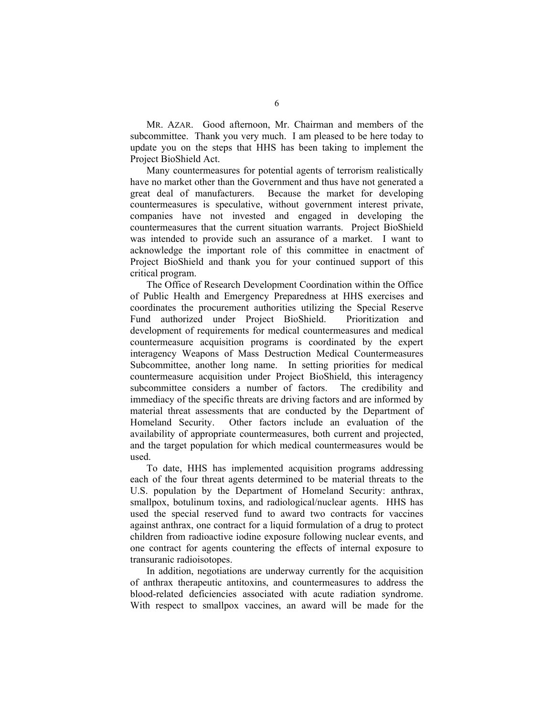MR. AZAR. Good afternoon, Mr. Chairman and members of the subcommittee. Thank you very much. I am pleased to be here today to update you on the steps that HHS has been taking to implement the Project BioShield Act.

 Many countermeasures for potential agents of terrorism realistically have no market other than the Government and thus have not generated a great deal of manufacturers. Because the market for developing countermeasures is speculative, without government interest private, companies have not invested and engaged in developing the countermeasures that the current situation warrants. Project BioShield was intended to provide such an assurance of a market. I want to acknowledge the important role of this committee in enactment of Project BioShield and thank you for your continued support of this critical program.

 The Office of Research Development Coordination within the Office of Public Health and Emergency Preparedness at HHS exercises and coordinates the procurement authorities utilizing the Special Reserve Fund authorized under Project BioShield. Prioritization and development of requirements for medical countermeasures and medical countermeasure acquisition programs is coordinated by the expert interagency Weapons of Mass Destruction Medical Countermeasures Subcommittee, another long name. In setting priorities for medical countermeasure acquisition under Project BioShield, this interagency subcommittee considers a number of factors. The credibility and immediacy of the specific threats are driving factors and are informed by material threat assessments that are conducted by the Department of Homeland Security. Other factors include an evaluation of the availability of appropriate countermeasures, both current and projected, and the target population for which medical countermeasures would be used.

 To date, HHS has implemented acquisition programs addressing each of the four threat agents determined to be material threats to the U.S. population by the Department of Homeland Security: anthrax, smallpox, botulinum toxins, and radiological/nuclear agents. HHS has used the special reserved fund to award two contracts for vaccines against anthrax, one contract for a liquid formulation of a drug to protect children from radioactive iodine exposure following nuclear events, and one contract for agents countering the effects of internal exposure to transuranic radioisotopes.

 In addition, negotiations are underway currently for the acquisition of anthrax therapeutic antitoxins, and countermeasures to address the blood-related deficiencies associated with acute radiation syndrome. With respect to smallpox vaccines, an award will be made for the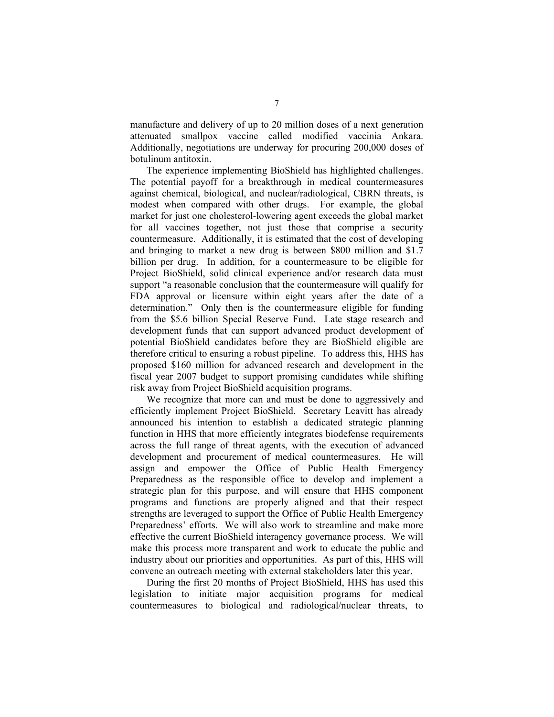manufacture and delivery of up to 20 million doses of a next generation attenuated smallpox vaccine called modified vaccinia Ankara. Additionally, negotiations are underway for procuring 200,000 doses of botulinum antitoxin.

 The experience implementing BioShield has highlighted challenges. The potential payoff for a breakthrough in medical countermeasures against chemical, biological, and nuclear/radiological, CBRN threats, is modest when compared with other drugs. For example, the global market for just one cholesterol-lowering agent exceeds the global market for all vaccines together, not just those that comprise a security countermeasure. Additionally, it is estimated that the cost of developing and bringing to market a new drug is between \$800 million and \$1.7 billion per drug. In addition, for a countermeasure to be eligible for Project BioShield, solid clinical experience and/or research data must support "a reasonable conclusion that the countermeasure will qualify for FDA approval or licensure within eight years after the date of a determination." Only then is the countermeasure eligible for funding from the \$5.6 billion Special Reserve Fund. Late stage research and development funds that can support advanced product development of potential BioShield candidates before they are BioShield eligible are therefore critical to ensuring a robust pipeline. To address this, HHS has proposed \$160 million for advanced research and development in the fiscal year 2007 budget to support promising candidates while shifting risk away from Project BioShield acquisition programs.

 We recognize that more can and must be done to aggressively and efficiently implement Project BioShield. Secretary Leavitt has already announced his intention to establish a dedicated strategic planning function in HHS that more efficiently integrates biodefense requirements across the full range of threat agents, with the execution of advanced development and procurement of medical countermeasures. He will assign and empower the Office of Public Health Emergency Preparedness as the responsible office to develop and implement a strategic plan for this purpose, and will ensure that HHS component programs and functions are properly aligned and that their respect strengths are leveraged to support the Office of Public Health Emergency Preparedness' efforts. We will also work to streamline and make more effective the current BioShield interagency governance process. We will make this process more transparent and work to educate the public and industry about our priorities and opportunities. As part of this, HHS will convene an outreach meeting with external stakeholders later this year.

 During the first 20 months of Project BioShield, HHS has used this legislation to initiate major acquisition programs for medical countermeasures to biological and radiological/nuclear threats, to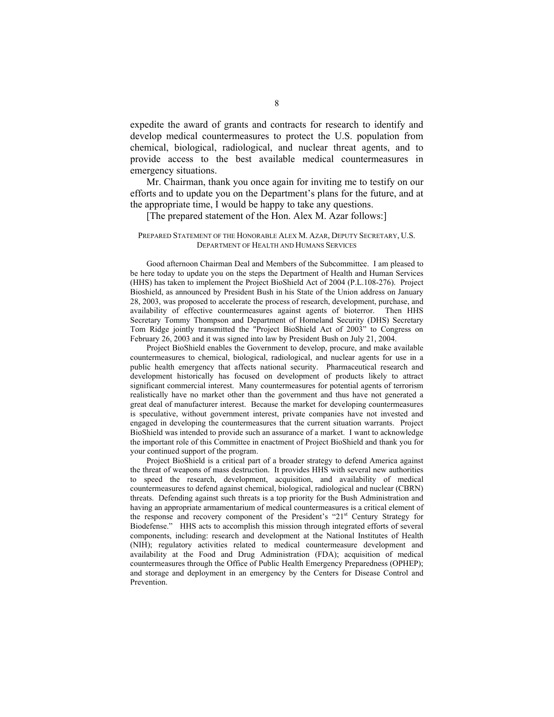expedite the award of grants and contracts for research to identify and develop medical countermeasures to protect the U.S. population from chemical, biological, radiological, and nuclear threat agents, and to provide access to the best available medical countermeasures in emergency situations.

 Mr. Chairman, thank you once again for inviting me to testify on our efforts and to update you on the Department's plans for the future, and at the appropriate time, I would be happy to take any questions.

#### [The prepared statement of the Hon. Alex M. Azar follows:]

#### PREPARED STATEMENT OF THE HONORABLE ALEX M. AZAR, DEPUTY SECRETARY, U.S. DEPARTMENT OF HEALTH AND HUMANS SERVICES

Good afternoon Chairman Deal and Members of the Subcommittee. I am pleased to be here today to update you on the steps the Department of Health and Human Services (HHS) has taken to implement the Project BioShield Act of 2004 (P.L.108-276). Project Bioshield, as announced by President Bush in his State of the Union address on January 28, 2003, was proposed to accelerate the process of research, development, purchase, and availability of effective countermeasures against agents of bioterror. Then HHS Secretary Tommy Thompson and Department of Homeland Security (DHS) Secretary Tom Ridge jointly transmitted the "Project BioShield Act of 2003" to Congress on February 26, 2003 and it was signed into law by President Bush on July 21, 2004.

Project BioShield enables the Government to develop, procure, and make available countermeasures to chemical, biological, radiological, and nuclear agents for use in a public health emergency that affects national security. Pharmaceutical research and development historically has focused on development of products likely to attract significant commercial interest. Many countermeasures for potential agents of terrorism realistically have no market other than the government and thus have not generated a great deal of manufacturer interest. Because the market for developing countermeasures is speculative, without government interest, private companies have not invested and engaged in developing the countermeasures that the current situation warrants. Project BioShield was intended to provide such an assurance of a market. I want to acknowledge the important role of this Committee in enactment of Project BioShield and thank you for your continued support of the program.

Project BioShield is a critical part of a broader strategy to defend America against the threat of weapons of mass destruction. It provides HHS with several new authorities to speed the research, development, acquisition, and availability of medical countermeasures to defend against chemical, biological, radiological and nuclear (CBRN) threats. Defending against such threats is a top priority for the Bush Administration and having an appropriate armamentarium of medical countermeasures is a critical element of the response and recovery component of the President's "21st Century Strategy for Biodefense." HHS acts to accomplish this mission through integrated efforts of several components, including: research and development at the National Institutes of Health (NIH); regulatory activities related to medical countermeasure development and availability at the Food and Drug Administration (FDA); acquisition of medical countermeasures through the Office of Public Health Emergency Preparedness (OPHEP); and storage and deployment in an emergency by the Centers for Disease Control and Prevention.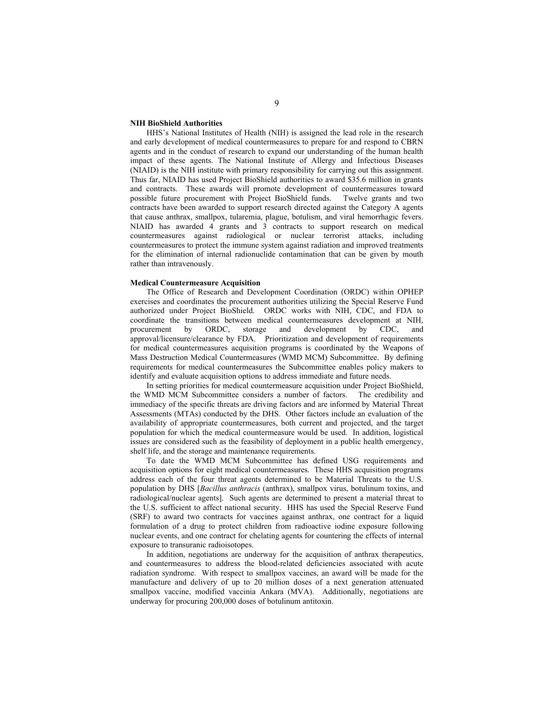#### **NIH BioShield Authorities**

HHS's National Institutes of Health (NIH) is assigned the lead role in the research and early development of medical countermeasures to prepare for and respond to CBRN agents and in the conduct of research to expand our understanding of the human health impact of these agents. The National Institute of Allergy and Infectious Diseases (NIAID) is the NIH institute with primary responsibility for carrying out this assignment. Thus far, NIAID has used Project BioShield authorities to award \$35.6 million in grants and contracts. These awards will promote development of countermeasures toward possible future procurement with Project BioShield funds. Twelve grants and two contracts have been awarded to support research directed against the Category A agents that cause anthrax, smallpox, tularemia, plague, botulism, and viral hemorrhagic fevers. NIAID has awarded 4 grants and 3 contracts to support research on medical countermeasures against radiological or nuclear terrorist attacks, including countermeasures to protect the immune system against radiation and improved treatments for the elimination of internal radionuclide contamination that can be given by mouth rather than intravenously.

#### **Medical Countermeasure Acquisition**

The Office of Research and Development Coordination (ORDC) within OPHEP exercises and coordinates the procurement authorities utilizing the Special Reserve Fund authorized under Project BioShield. ORDC works with NIH, CDC, and FDA to coordinate the transitions between medical countermeasures development at NIH, procurement by ORDC, storage and development by CDC, and approval/licensure/clearance by FDA. Prioritization and development of requirements for medical countermeasures acquisition programs is coordinated by the Weapons of Mass Destruction Medical Countermeasures (WMD MCM) Subcommittee. By defining requirements for medical countermeasures the Subcommittee enables policy makers to identify and evaluate acquisition options to address immediate and future needs.

In setting priorities for medical countermeasure acquisition under Project BioShield, the WMD MCM Subcommittee considers a number of factors. The credibility and immediacy of the specific threats are driving factors and are informed by Material Threat Assessments (MTAs) conducted by the DHS. Other factors include an evaluation of the availability of appropriate countermeasures, both current and projected, and the target population for which the medical countermeasure would be used. In addition, logistical issues are considered such as the feasibility of deployment in a public health emergency, shelf life, and the storage and maintenance requirements.

To date the WMD MCM Subcommittee has defined USG requirements and acquisition options for eight medical countermeasures. These HHS acquisition programs address each of the four threat agents determined to be Material Threats to the U.S. population by DHS [*Bacillus anthracis* (anthrax), smallpox virus, botulinum toxins, and radiological/nuclear agents]. Such agents are determined to present a material threat to the U.S. sufficient to affect national security. HHS has used the Special Reserve Fund (SRF) to award two contracts for vaccines against anthrax, one contract for a liquid formulation of a drug to protect children from radioactive iodine exposure following nuclear events, and one contract for chelating agents for countering the effects of internal exposure to transuranic radioisotopes.

In addition, negotiations are underway for the acquisition of anthrax therapeutics, and countermeasures to address the blood-related deficiencies associated with acute radiation syndrome. With respect to smallpox vaccines, an award will be made for the manufacture and delivery of up to 20 million doses of a next generation attenuated smallpox vaccine, modified vaccinia Ankara (MVA). Additionally, negotiations are underway for procuring 200,000 doses of botulinum antitoxin.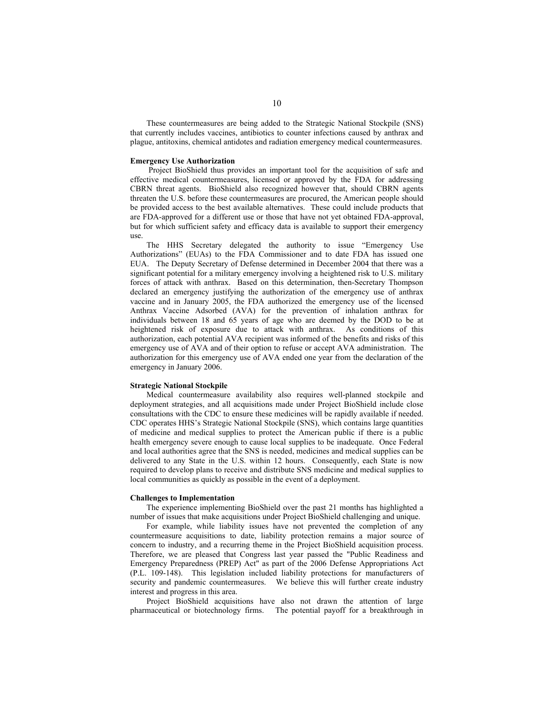These countermeasures are being added to the Strategic National Stockpile (SNS) that currently includes vaccines, antibiotics to counter infections caused by anthrax and plague, antitoxins, chemical antidotes and radiation emergency medical countermeasures.

#### **Emergency Use Authorization**

 Project BioShield thus provides an important tool for the acquisition of safe and effective medical countermeasures, licensed or approved by the FDA for addressing CBRN threat agents. BioShield also recognized however that, should CBRN agents threaten the U.S. before these countermeasures are procured, the American people should be provided access to the best available alternatives. These could include products that are FDA-approved for a different use or those that have not yet obtained FDA-approval, but for which sufficient safety and efficacy data is available to support their emergency use.

The HHS Secretary delegated the authority to issue "Emergency Use Authorizations" (EUAs) to the FDA Commissioner and to date FDA has issued one EUA. The Deputy Secretary of Defense determined in December 2004 that there was a significant potential for a military emergency involving a heightened risk to U.S. military forces of attack with anthrax. Based on this determination, then-Secretary Thompson declared an emergency justifying the authorization of the emergency use of anthrax vaccine and in January 2005, the FDA authorized the emergency use of the licensed Anthrax Vaccine Adsorbed (AVA) for the prevention of inhalation anthrax for individuals between 18 and 65 years of age who are deemed by the DOD to be at heightened risk of exposure due to attack with anthrax. As conditions of this authorization, each potential AVA recipient was informed of the benefits and risks of this emergency use of AVA and of their option to refuse or accept AVA administration. The authorization for this emergency use of AVA ended one year from the declaration of the emergency in January 2006.

#### **Strategic National Stockpile**

Medical countermeasure availability also requires well-planned stockpile and deployment strategies, and all acquisitions made under Project BioShield include close consultations with the CDC to ensure these medicines will be rapidly available if needed. CDC operates HHS's Strategic National Stockpile (SNS), which contains large quantities of medicine and medical supplies to protect the American public if there is a public health emergency severe enough to cause local supplies to be inadequate. Once Federal and local authorities agree that the SNS is needed, medicines and medical supplies can be delivered to any State in the U.S. within 12 hours. Consequently, each State is now required to develop plans to receive and distribute SNS medicine and medical supplies to local communities as quickly as possible in the event of a deployment.

#### **Challenges to Implementation**

The experience implementing BioShield over the past 21 months has highlighted a number of issues that make acquisitions under Project BioShield challenging and unique.

For example, while liability issues have not prevented the completion of any countermeasure acquisitions to date, liability protection remains a major source of concern to industry, and a recurring theme in the Project BioShield acquisition process. Therefore, we are pleased that Congress last year passed the "Public Readiness and Emergency Preparedness (PREP) Act" as part of the 2006 Defense Appropriations Act (P.L. 109-148). This legislation included liability protections for manufacturers of security and pandemic countermeasures.We believe this will further create industry interest and progress in this area.

Project BioShield acquisitions have also not drawn the attention of large pharmaceutical or biotechnology firms. The potential payoff for a breakthrough in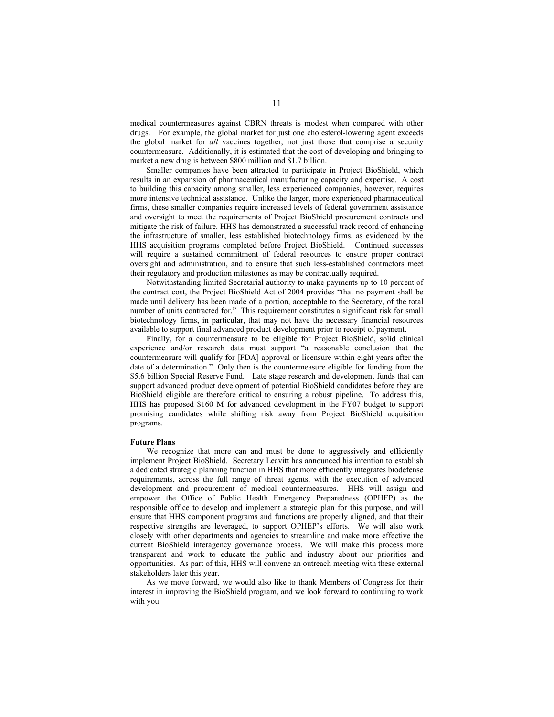medical countermeasures against CBRN threats is modest when compared with other drugs. For example, the global market for just one cholesterol-lowering agent exceeds the global market for *all* vaccines together, not just those that comprise a security countermeasure. Additionally, it is estimated that the cost of developing and bringing to market a new drug is between \$800 million and \$1.7 billion.

Smaller companies have been attracted to participate in Project BioShield, which results in an expansion of pharmaceutical manufacturing capacity and expertise. A cost to building this capacity among smaller, less experienced companies, however, requires more intensive technical assistance. Unlike the larger, more experienced pharmaceutical firms, these smaller companies require increased levels of federal government assistance and oversight to meet the requirements of Project BioShield procurement contracts and mitigate the risk of failure. HHS has demonstrated a successful track record of enhancing the infrastructure of smaller, less established biotechnology firms, as evidenced by the HHS acquisition programs completed before Project BioShield. Continued successes will require a sustained commitment of federal resources to ensure proper contract oversight and administration, and to ensure that such less-established contractors meet their regulatory and production milestones as may be contractually required.

Notwithstanding limited Secretarial authority to make payments up to 10 percent of the contract cost, the Project BioShield Act of 2004 provides "that no payment shall be made until delivery has been made of a portion, acceptable to the Secretary, of the total number of units contracted for." This requirement constitutes a significant risk for small biotechnology firms, in particular, that may not have the necessary financial resources available to support final advanced product development prior to receipt of payment.

Finally, for a countermeasure to be eligible for Project BioShield, solid clinical experience and/or research data must support "a reasonable conclusion that the countermeasure will qualify for [FDA] approval or licensure within eight years after the date of a determination." Only then is the countermeasure eligible for funding from the \$5.6 billion Special Reserve Fund. Late stage research and development funds that can support advanced product development of potential BioShield candidates before they are BioShield eligible are therefore critical to ensuring a robust pipeline. To address this, HHS has proposed \$160 M for advanced development in the FY07 budget to support promising candidates while shifting risk away from Project BioShield acquisition programs.

#### **Future Plans**

We recognize that more can and must be done to aggressively and efficiently implement Project BioShield. Secretary Leavitt has announced his intention to establish a dedicated strategic planning function in HHS that more efficiently integrates biodefense requirements, across the full range of threat agents, with the execution of advanced development and procurement of medical countermeasures. HHS will assign and empower the Office of Public Health Emergency Preparedness (OPHEP) as the responsible office to develop and implement a strategic plan for this purpose, and will ensure that HHS component programs and functions are properly aligned, and that their respective strengths are leveraged, to support OPHEP's efforts. We will also work closely with other departments and agencies to streamline and make more effective the current BioShield interagency governance process. We will make this process more transparent and work to educate the public and industry about our priorities and opportunities. As part of this, HHS will convene an outreach meeting with these external stakeholders later this year.

As we move forward, we would also like to thank Members of Congress for their interest in improving the BioShield program, and we look forward to continuing to work with you.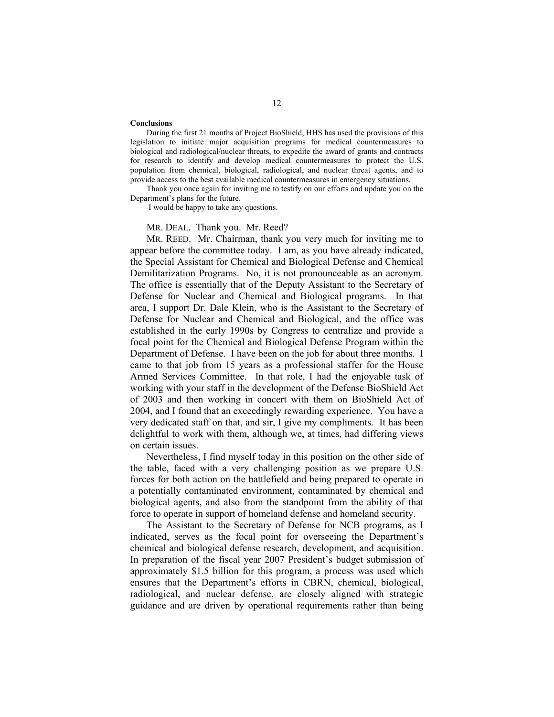#### **Conclusions**

During the first 21 months of Project BioShield, HHS has used the provisions of this legislation to initiate major acquisition programs for medical countermeasures to biological and radiological/nuclear threats, to expedite the award of grants and contracts for research to identify and develop medical countermeasures to protect the U.S. population from chemical, biological, radiological, and nuclear threat agents, and to provide access to the best available medical countermeasures in emergency situations.

Thank you once again for inviting me to testify on our efforts and update you on the Department's plans for the future.

I would be happy to take any questions.

#### MR. DEAL. Thank you. Mr. Reed?

MR. REED. Mr. Chairman, thank you very much for inviting me to appear before the committee today. I am, as you have already indicated, the Special Assistant for Chemical and Biological Defense and Chemical Demilitarization Programs. No, it is not pronounceable as an acronym. The office is essentially that of the Deputy Assistant to the Secretary of Defense for Nuclear and Chemical and Biological programs. In that area, I support Dr. Dale Klein, who is the Assistant to the Secretary of Defense for Nuclear and Chemical and Biological, and the office was established in the early 1990s by Congress to centralize and provide a focal point for the Chemical and Biological Defense Program within the Department of Defense. I have been on the job for about three months. I came to that job from 15 years as a professional staffer for the House Armed Services Committee. In that role, I had the enjoyable task of working with your staff in the development of the Defense BioShield Act of 2003 and then working in concert with them on BioShield Act of 2004, and I found that an exceedingly rewarding experience. You have a very dedicated staff on that, and sir, I give my compliments. It has been delightful to work with them, although we, at times, had differing views on certain issues.

 Nevertheless, I find myself today in this position on the other side of the table, faced with a very challenging position as we prepare U.S. forces for both action on the battlefield and being prepared to operate in a potentially contaminated environment, contaminated by chemical and biological agents, and also from the standpoint from the ability of that force to operate in support of homeland defense and homeland security.

 The Assistant to the Secretary of Defense for NCB programs, as I indicated, serves as the focal point for overseeing the Department's chemical and biological defense research, development, and acquisition. In preparation of the fiscal year 2007 President's budget submission of approximately \$1.5 billion for this program, a process was used which ensures that the Department's efforts in CBRN, chemical, biological, radiological, and nuclear defense, are closely aligned with strategic guidance and are driven by operational requirements rather than being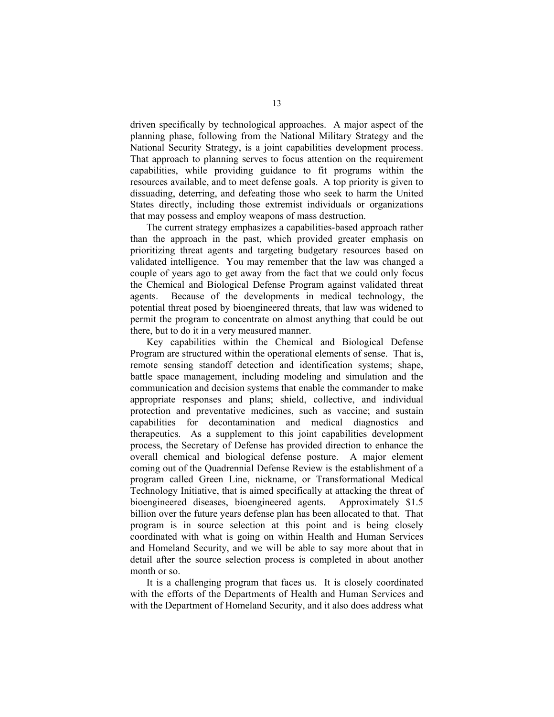driven specifically by technological approaches. A major aspect of the planning phase, following from the National Military Strategy and the National Security Strategy, is a joint capabilities development process. That approach to planning serves to focus attention on the requirement capabilities, while providing guidance to fit programs within the resources available, and to meet defense goals. A top priority is given to dissuading, deterring, and defeating those who seek to harm the United States directly, including those extremist individuals or organizations that may possess and employ weapons of mass destruction.

 The current strategy emphasizes a capabilities-based approach rather than the approach in the past, which provided greater emphasis on prioritizing threat agents and targeting budgetary resources based on validated intelligence. You may remember that the law was changed a couple of years ago to get away from the fact that we could only focus the Chemical and Biological Defense Program against validated threat agents. Because of the developments in medical technology, the potential threat posed by bioengineered threats, that law was widened to permit the program to concentrate on almost anything that could be out there, but to do it in a very measured manner.

 Key capabilities within the Chemical and Biological Defense Program are structured within the operational elements of sense. That is, remote sensing standoff detection and identification systems; shape, battle space management, including modeling and simulation and the communication and decision systems that enable the commander to make appropriate responses and plans; shield, collective, and individual protection and preventative medicines, such as vaccine; and sustain capabilities for decontamination and medical diagnostics and therapeutics. As a supplement to this joint capabilities development process, the Secretary of Defense has provided direction to enhance the overall chemical and biological defense posture. A major element coming out of the Quadrennial Defense Review is the establishment of a program called Green Line, nickname, or Transformational Medical Technology Initiative, that is aimed specifically at attacking the threat of bioengineered diseases, bioengineered agents. Approximately \$1.5 billion over the future years defense plan has been allocated to that. That program is in source selection at this point and is being closely coordinated with what is going on within Health and Human Services and Homeland Security, and we will be able to say more about that in detail after the source selection process is completed in about another month or so.

 It is a challenging program that faces us. It is closely coordinated with the efforts of the Departments of Health and Human Services and with the Department of Homeland Security, and it also does address what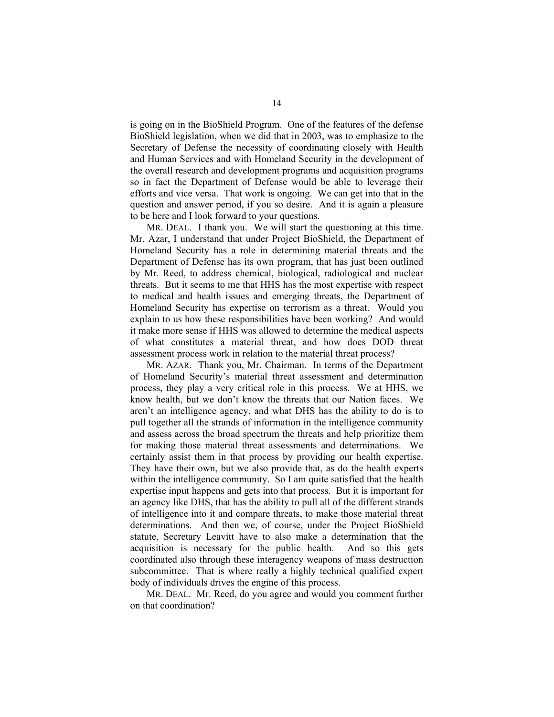is going on in the BioShield Program. One of the features of the defense BioShield legislation, when we did that in 2003, was to emphasize to the Secretary of Defense the necessity of coordinating closely with Health and Human Services and with Homeland Security in the development of the overall research and development programs and acquisition programs so in fact the Department of Defense would be able to leverage their efforts and vice versa. That work is ongoing. We can get into that in the question and answer period, if you so desire. And it is again a pleasure to be here and I look forward to your questions.

 MR. DEAL. I thank you. We will start the questioning at this time. Mr. Azar, I understand that under Project BioShield, the Department of Homeland Security has a role in determining material threats and the Department of Defense has its own program, that has just been outlined by Mr. Reed, to address chemical, biological, radiological and nuclear threats. But it seems to me that HHS has the most expertise with respect to medical and health issues and emerging threats, the Department of Homeland Security has expertise on terrorism as a threat. Would you explain to us how these responsibilities have been working? And would it make more sense if HHS was allowed to determine the medical aspects of what constitutes a material threat, and how does DOD threat assessment process work in relation to the material threat process?

 MR. AZAR. Thank you, Mr. Chairman. In terms of the Department of Homeland Security's material threat assessment and determination process, they play a very critical role in this process. We at HHS, we know health, but we don't know the threats that our Nation faces. We aren't an intelligence agency, and what DHS has the ability to do is to pull together all the strands of information in the intelligence community and assess across the broad spectrum the threats and help prioritize them for making those material threat assessments and determinations. We certainly assist them in that process by providing our health expertise. They have their own, but we also provide that, as do the health experts within the intelligence community. So I am quite satisfied that the health expertise input happens and gets into that process. But it is important for an agency like DHS, that has the ability to pull all of the different strands of intelligence into it and compare threats, to make those material threat determinations. And then we, of course, under the Project BioShield statute, Secretary Leavitt have to also make a determination that the acquisition is necessary for the public health. And so this gets coordinated also through these interagency weapons of mass destruction subcommittee. That is where really a highly technical qualified expert body of individuals drives the engine of this process.

 MR. DEAL. Mr. Reed, do you agree and would you comment further on that coordination?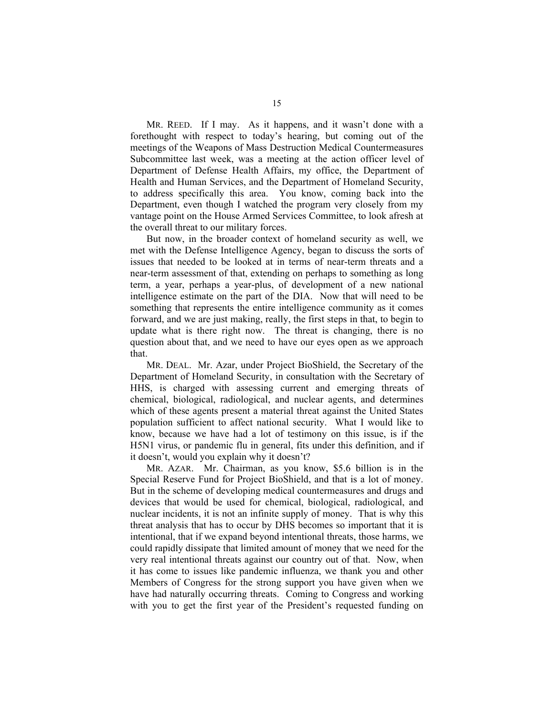MR. REED. If I may. As it happens, and it wasn't done with a forethought with respect to today's hearing, but coming out of the meetings of the Weapons of Mass Destruction Medical Countermeasures Subcommittee last week, was a meeting at the action officer level of Department of Defense Health Affairs, my office, the Department of Health and Human Services, and the Department of Homeland Security, to address specifically this area. You know, coming back into the Department, even though I watched the program very closely from my vantage point on the House Armed Services Committee, to look afresh at the overall threat to our military forces.

 But now, in the broader context of homeland security as well, we met with the Defense Intelligence Agency, began to discuss the sorts of issues that needed to be looked at in terms of near-term threats and a near-term assessment of that, extending on perhaps to something as long term, a year, perhaps a year-plus, of development of a new national intelligence estimate on the part of the DIA. Now that will need to be something that represents the entire intelligence community as it comes forward, and we are just making, really, the first steps in that, to begin to update what is there right now. The threat is changing, there is no question about that, and we need to have our eyes open as we approach that.

 MR. DEAL. Mr. Azar, under Project BioShield, the Secretary of the Department of Homeland Security, in consultation with the Secretary of HHS, is charged with assessing current and emerging threats of chemical, biological, radiological, and nuclear agents, and determines which of these agents present a material threat against the United States population sufficient to affect national security. What I would like to know, because we have had a lot of testimony on this issue, is if the H5N1 virus, or pandemic flu in general, fits under this definition, and if it doesn't, would you explain why it doesn't?

 MR. AZAR. Mr. Chairman, as you know, \$5.6 billion is in the Special Reserve Fund for Project BioShield, and that is a lot of money. But in the scheme of developing medical countermeasures and drugs and devices that would be used for chemical, biological, radiological, and nuclear incidents, it is not an infinite supply of money. That is why this threat analysis that has to occur by DHS becomes so important that it is intentional, that if we expand beyond intentional threats, those harms, we could rapidly dissipate that limited amount of money that we need for the very real intentional threats against our country out of that. Now, when it has come to issues like pandemic influenza, we thank you and other Members of Congress for the strong support you have given when we have had naturally occurring threats. Coming to Congress and working with you to get the first year of the President's requested funding on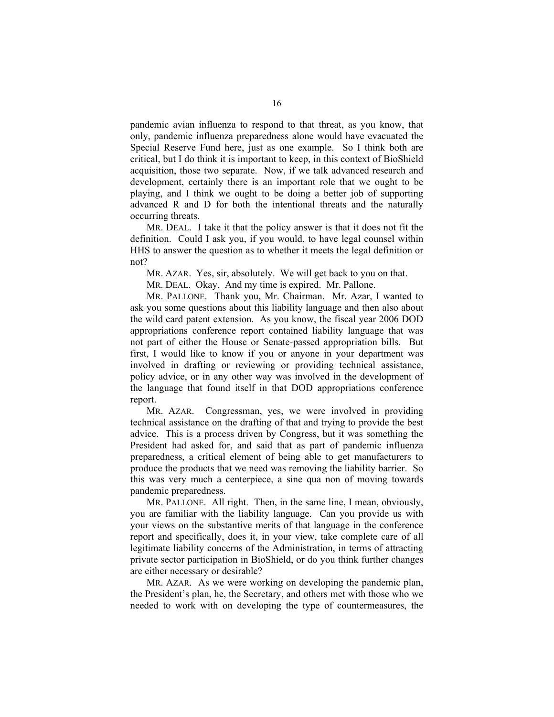pandemic avian influenza to respond to that threat, as you know, that only, pandemic influenza preparedness alone would have evacuated the Special Reserve Fund here, just as one example. So I think both are critical, but I do think it is important to keep, in this context of BioShield acquisition, those two separate. Now, if we talk advanced research and development, certainly there is an important role that we ought to be playing, and I think we ought to be doing a better job of supporting advanced R and D for both the intentional threats and the naturally occurring threats.

 MR. DEAL. I take it that the policy answer is that it does not fit the definition. Could I ask you, if you would, to have legal counsel within HHS to answer the question as to whether it meets the legal definition or not?

MR. AZAR. Yes, sir, absolutely. We will get back to you on that.

MR. DEAL. Okay. And my time is expired. Mr. Pallone.

 MR. PALLONE. Thank you, Mr. Chairman. Mr. Azar, I wanted to ask you some questions about this liability language and then also about the wild card patent extension. As you know, the fiscal year 2006 DOD appropriations conference report contained liability language that was not part of either the House or Senate-passed appropriation bills. But first, I would like to know if you or anyone in your department was involved in drafting or reviewing or providing technical assistance, policy advice, or in any other way was involved in the development of the language that found itself in that DOD appropriations conference report.

 MR. AZAR. Congressman, yes, we were involved in providing technical assistance on the drafting of that and trying to provide the best advice. This is a process driven by Congress, but it was something the President had asked for, and said that as part of pandemic influenza preparedness, a critical element of being able to get manufacturers to produce the products that we need was removing the liability barrier. So this was very much a centerpiece, a sine qua non of moving towards pandemic preparedness.

 MR. PALLONE. All right. Then, in the same line, I mean, obviously, you are familiar with the liability language. Can you provide us with your views on the substantive merits of that language in the conference report and specifically, does it, in your view, take complete care of all legitimate liability concerns of the Administration, in terms of attracting private sector participation in BioShield, or do you think further changes are either necessary or desirable?

 MR. AZAR. As we were working on developing the pandemic plan, the President's plan, he, the Secretary, and others met with those who we needed to work with on developing the type of countermeasures, the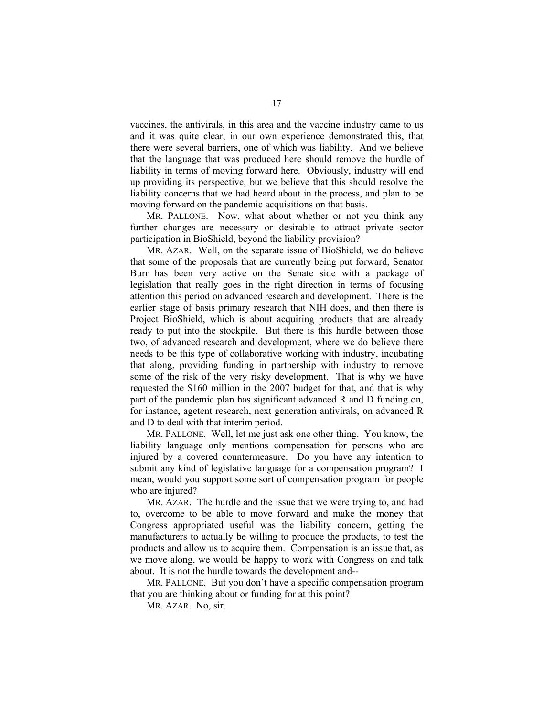vaccines, the antivirals, in this area and the vaccine industry came to us and it was quite clear, in our own experience demonstrated this, that there were several barriers, one of which was liability. And we believe that the language that was produced here should remove the hurdle of liability in terms of moving forward here. Obviously, industry will end up providing its perspective, but we believe that this should resolve the liability concerns that we had heard about in the process, and plan to be moving forward on the pandemic acquisitions on that basis.

MR. PALLONE. Now, what about whether or not you think any further changes are necessary or desirable to attract private sector participation in BioShield, beyond the liability provision?

 MR. AZAR. Well, on the separate issue of BioShield, we do believe that some of the proposals that are currently being put forward, Senator Burr has been very active on the Senate side with a package of legislation that really goes in the right direction in terms of focusing attention this period on advanced research and development. There is the earlier stage of basis primary research that NIH does, and then there is Project BioShield, which is about acquiring products that are already ready to put into the stockpile. But there is this hurdle between those two, of advanced research and development, where we do believe there needs to be this type of collaborative working with industry, incubating that along, providing funding in partnership with industry to remove some of the risk of the very risky development. That is why we have requested the \$160 million in the 2007 budget for that, and that is why part of the pandemic plan has significant advanced R and D funding on, for instance, agetent research, next generation antivirals, on advanced R and D to deal with that interim period.

 MR. PALLONE. Well, let me just ask one other thing. You know, the liability language only mentions compensation for persons who are injured by a covered countermeasure. Do you have any intention to submit any kind of legislative language for a compensation program? I mean, would you support some sort of compensation program for people who are injured?

 MR. AZAR. The hurdle and the issue that we were trying to, and had to, overcome to be able to move forward and make the money that Congress appropriated useful was the liability concern, getting the manufacturers to actually be willing to produce the products, to test the products and allow us to acquire them. Compensation is an issue that, as we move along, we would be happy to work with Congress on and talk about. It is not the hurdle towards the development and--

 MR. PALLONE. But you don't have a specific compensation program that you are thinking about or funding for at this point?

MR. AZAR. No, sir.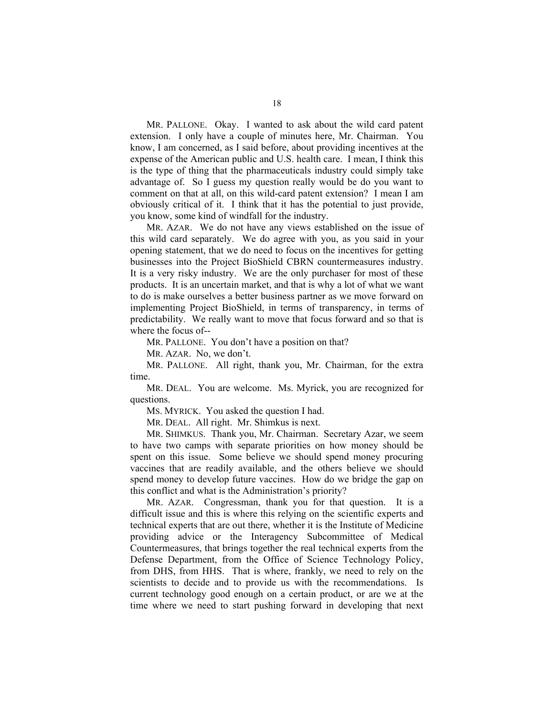MR. PALLONE. Okay. I wanted to ask about the wild card patent extension. I only have a couple of minutes here, Mr. Chairman. You know, I am concerned, as I said before, about providing incentives at the expense of the American public and U.S. health care. I mean, I think this is the type of thing that the pharmaceuticals industry could simply take advantage of. So I guess my question really would be do you want to comment on that at all, on this wild-card patent extension? I mean I am obviously critical of it. I think that it has the potential to just provide, you know, some kind of windfall for the industry.

 MR. AZAR. We do not have any views established on the issue of this wild card separately. We do agree with you, as you said in your opening statement, that we do need to focus on the incentives for getting businesses into the Project BioShield CBRN countermeasures industry. It is a very risky industry. We are the only purchaser for most of these products. It is an uncertain market, and that is why a lot of what we want to do is make ourselves a better business partner as we move forward on implementing Project BioShield, in terms of transparency, in terms of predictability. We really want to move that focus forward and so that is where the focus of--

MR. PALLONE. You don't have a position on that?

MR. AZAR. No, we don't.

 MR. PALLONE. All right, thank you, Mr. Chairman, for the extra time.

 MR. DEAL. You are welcome. Ms. Myrick, you are recognized for questions.

MS. MYRICK. You asked the question I had.

MR. DEAL. All right. Mr. Shimkus is next.

 MR. SHIMKUS. Thank you, Mr. Chairman. Secretary Azar, we seem to have two camps with separate priorities on how money should be spent on this issue. Some believe we should spend money procuring vaccines that are readily available, and the others believe we should spend money to develop future vaccines. How do we bridge the gap on this conflict and what is the Administration's priority?

 MR. AZAR. Congressman, thank you for that question. It is a difficult issue and this is where this relying on the scientific experts and technical experts that are out there, whether it is the Institute of Medicine providing advice or the Interagency Subcommittee of Medical Countermeasures, that brings together the real technical experts from the Defense Department, from the Office of Science Technology Policy, from DHS, from HHS. That is where, frankly, we need to rely on the scientists to decide and to provide us with the recommendations. Is current technology good enough on a certain product, or are we at the time where we need to start pushing forward in developing that next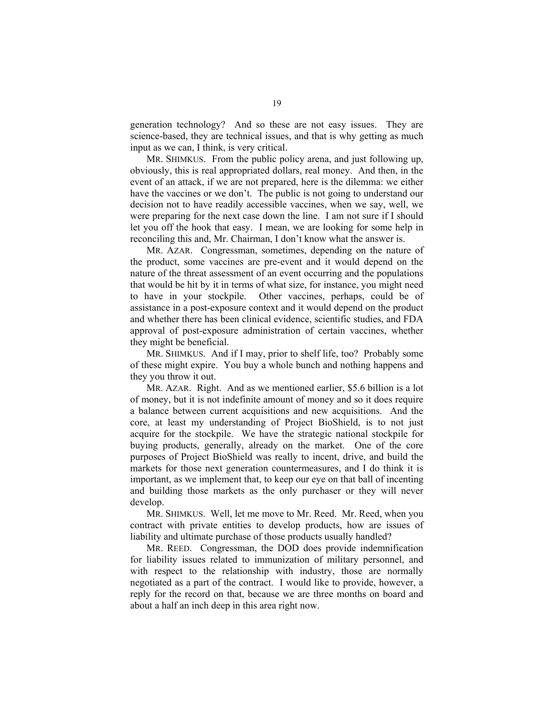generation technology? And so these are not easy issues. They are science-based, they are technical issues, and that is why getting as much input as we can, I think, is very critical.

 MR. SHIMKUS. From the public policy arena, and just following up, obviously, this is real appropriated dollars, real money. And then, in the event of an attack, if we are not prepared, here is the dilemma: we either have the vaccines or we don't. The public is not going to understand our decision not to have readily accessible vaccines, when we say, well, we were preparing for the next case down the line. I am not sure if I should let you off the hook that easy. I mean, we are looking for some help in reconciling this and, Mr. Chairman, I don't know what the answer is.

 MR. AZAR. Congressman, sometimes, depending on the nature of the product, some vaccines are pre-event and it would depend on the nature of the threat assessment of an event occurring and the populations that would be hit by it in terms of what size, for instance, you might need to have in your stockpile. Other vaccines, perhaps, could be of assistance in a post-exposure context and it would depend on the product and whether there has been clinical evidence, scientific studies, and FDA approval of post-exposure administration of certain vaccines, whether they might be beneficial.

 MR. SHIMKUS. And if I may, prior to shelf life, too? Probably some of these might expire. You buy a whole bunch and nothing happens and they you throw it out.

 MR. AZAR. Right. And as we mentioned earlier, \$5.6 billion is a lot of money, but it is not indefinite amount of money and so it does require a balance between current acquisitions and new acquisitions. And the core, at least my understanding of Project BioShield, is to not just acquire for the stockpile. We have the strategic national stockpile for buying products, generally, already on the market. One of the core purposes of Project BioShield was really to incent, drive, and build the markets for those next generation countermeasures, and I do think it is important, as we implement that, to keep our eye on that ball of incenting and building those markets as the only purchaser or they will never develop.

 MR. SHIMKUS. Well, let me move to Mr. Reed. Mr. Reed, when you contract with private entities to develop products, how are issues of liability and ultimate purchase of those products usually handled?

 MR. REED. Congressman, the DOD does provide indemnification for liability issues related to immunization of military personnel, and with respect to the relationship with industry, those are normally negotiated as a part of the contract. I would like to provide, however, a reply for the record on that, because we are three months on board and about a half an inch deep in this area right now.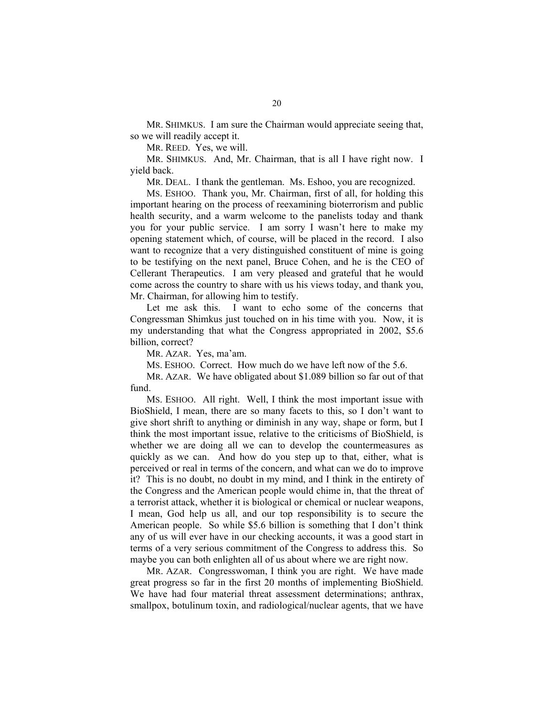MR. SHIMKUS. I am sure the Chairman would appreciate seeing that, so we will readily accept it.

MR. REED. Yes, we will.

 MR. SHIMKUS. And, Mr. Chairman, that is all I have right now. I yield back.

MR. DEAL. I thank the gentleman. Ms. Eshoo, you are recognized.

 MS. ESHOO. Thank you, Mr. Chairman, first of all, for holding this important hearing on the process of reexamining bioterrorism and public health security, and a warm welcome to the panelists today and thank you for your public service. I am sorry I wasn't here to make my opening statement which, of course, will be placed in the record. I also want to recognize that a very distinguished constituent of mine is going to be testifying on the next panel, Bruce Cohen, and he is the CEO of Cellerant Therapeutics. I am very pleased and grateful that he would come across the country to share with us his views today, and thank you, Mr. Chairman, for allowing him to testify.

 Let me ask this. I want to echo some of the concerns that Congressman Shimkus just touched on in his time with you. Now, it is my understanding that what the Congress appropriated in 2002, \$5.6 billion, correct?

MR. AZAR. Yes, ma'am.

MS. ESHOO. Correct. How much do we have left now of the 5.6.

 MR. AZAR. We have obligated about \$1.089 billion so far out of that fund.

 MS. ESHOO. All right. Well, I think the most important issue with BioShield, I mean, there are so many facets to this, so I don't want to give short shrift to anything or diminish in any way, shape or form, but I think the most important issue, relative to the criticisms of BioShield, is whether we are doing all we can to develop the countermeasures as quickly as we can. And how do you step up to that, either, what is perceived or real in terms of the concern, and what can we do to improve it? This is no doubt, no doubt in my mind, and I think in the entirety of the Congress and the American people would chime in, that the threat of a terrorist attack, whether it is biological or chemical or nuclear weapons, I mean, God help us all, and our top responsibility is to secure the American people. So while \$5.6 billion is something that I don't think any of us will ever have in our checking accounts, it was a good start in terms of a very serious commitment of the Congress to address this. So maybe you can both enlighten all of us about where we are right now.

 MR. AZAR. Congresswoman, I think you are right. We have made great progress so far in the first 20 months of implementing BioShield. We have had four material threat assessment determinations; anthrax, smallpox, botulinum toxin, and radiological/nuclear agents, that we have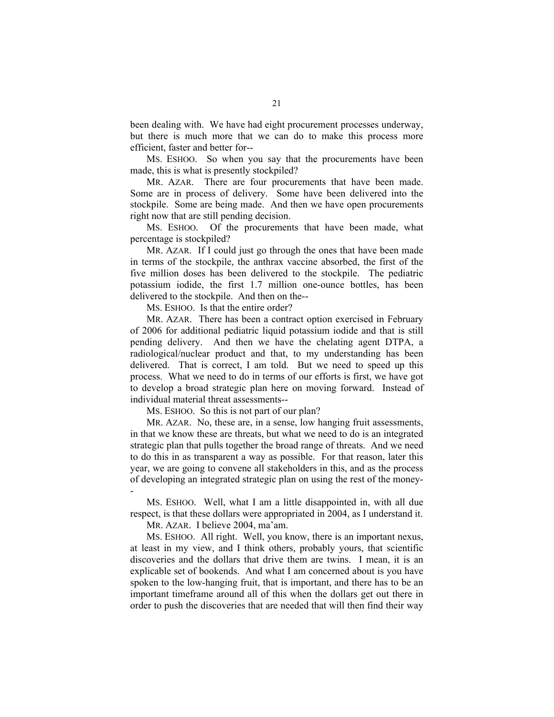been dealing with. We have had eight procurement processes underway, but there is much more that we can do to make this process more efficient, faster and better for--

 MS. ESHOO. So when you say that the procurements have been made, this is what is presently stockpiled?

 MR. AZAR. There are four procurements that have been made. Some are in process of delivery. Some have been delivered into the stockpile. Some are being made. And then we have open procurements right now that are still pending decision.

 MS. ESHOO. Of the procurements that have been made, what percentage is stockpiled?

 MR. AZAR. If I could just go through the ones that have been made in terms of the stockpile, the anthrax vaccine absorbed, the first of the five million doses has been delivered to the stockpile. The pediatric potassium iodide, the first 1.7 million one-ounce bottles, has been delivered to the stockpile. And then on the--

MS. ESHOO. Is that the entire order?

 MR. AZAR. There has been a contract option exercised in February of 2006 for additional pediatric liquid potassium iodide and that is still pending delivery. And then we have the chelating agent DTPA, a radiological/nuclear product and that, to my understanding has been delivered. That is correct, I am told. But we need to speed up this process. What we need to do in terms of our efforts is first, we have got to develop a broad strategic plan here on moving forward. Instead of individual material threat assessments--

MS. ESHOO. So this is not part of our plan?

 MR. AZAR. No, these are, in a sense, low hanging fruit assessments, in that we know these are threats, but what we need to do is an integrated strategic plan that pulls together the broad range of threats. And we need to do this in as transparent a way as possible. For that reason, later this year, we are going to convene all stakeholders in this, and as the process of developing an integrated strategic plan on using the rest of the money- -

 MS. ESHOO. Well, what I am a little disappointed in, with all due respect, is that these dollars were appropriated in 2004, as I understand it.

MR. AZAR. I believe 2004, ma'am.

 MS. ESHOO. All right. Well, you know, there is an important nexus, at least in my view, and I think others, probably yours, that scientific discoveries and the dollars that drive them are twins. I mean, it is an explicable set of bookends. And what I am concerned about is you have spoken to the low-hanging fruit, that is important, and there has to be an important timeframe around all of this when the dollars get out there in order to push the discoveries that are needed that will then find their way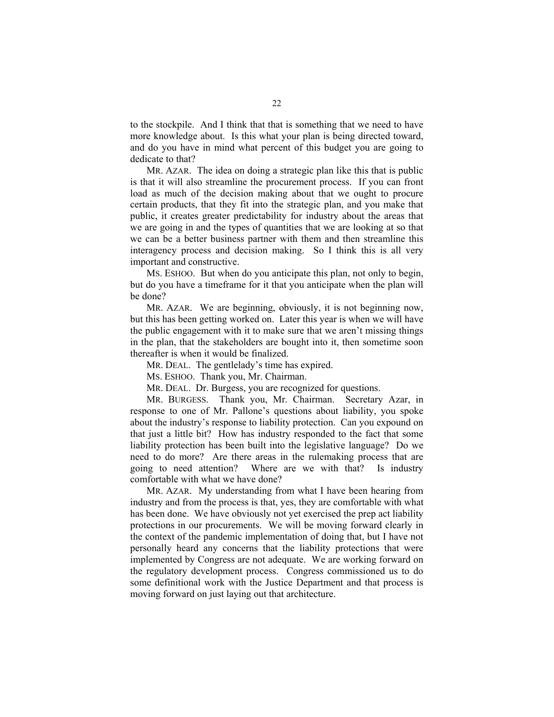to the stockpile. And I think that that is something that we need to have more knowledge about. Is this what your plan is being directed toward, and do you have in mind what percent of this budget you are going to dedicate to that?

 MR. AZAR. The idea on doing a strategic plan like this that is public is that it will also streamline the procurement process. If you can front load as much of the decision making about that we ought to procure certain products, that they fit into the strategic plan, and you make that public, it creates greater predictability for industry about the areas that we are going in and the types of quantities that we are looking at so that we can be a better business partner with them and then streamline this interagency process and decision making. So I think this is all very important and constructive.

 MS. ESHOO. But when do you anticipate this plan, not only to begin, but do you have a timeframe for it that you anticipate when the plan will be done?

 MR. AZAR. We are beginning, obviously, it is not beginning now, but this has been getting worked on. Later this year is when we will have the public engagement with it to make sure that we aren't missing things in the plan, that the stakeholders are bought into it, then sometime soon thereafter is when it would be finalized.

MR. DEAL. The gentlelady's time has expired.

MS. ESHOO. Thank you, Mr. Chairman.

MR. DEAL. Dr. Burgess, you are recognized for questions.

 MR. BURGESS. Thank you, Mr. Chairman. Secretary Azar, in response to one of Mr. Pallone's questions about liability, you spoke about the industry's response to liability protection. Can you expound on that just a little bit? How has industry responded to the fact that some liability protection has been built into the legislative language? Do we need to do more? Are there areas in the rulemaking process that are going to need attention? Where are we with that? Is industry comfortable with what we have done?

 MR. AZAR. My understanding from what I have been hearing from industry and from the process is that, yes, they are comfortable with what has been done. We have obviously not yet exercised the prep act liability protections in our procurements. We will be moving forward clearly in the context of the pandemic implementation of doing that, but I have not personally heard any concerns that the liability protections that were implemented by Congress are not adequate. We are working forward on the regulatory development process. Congress commissioned us to do some definitional work with the Justice Department and that process is moving forward on just laying out that architecture.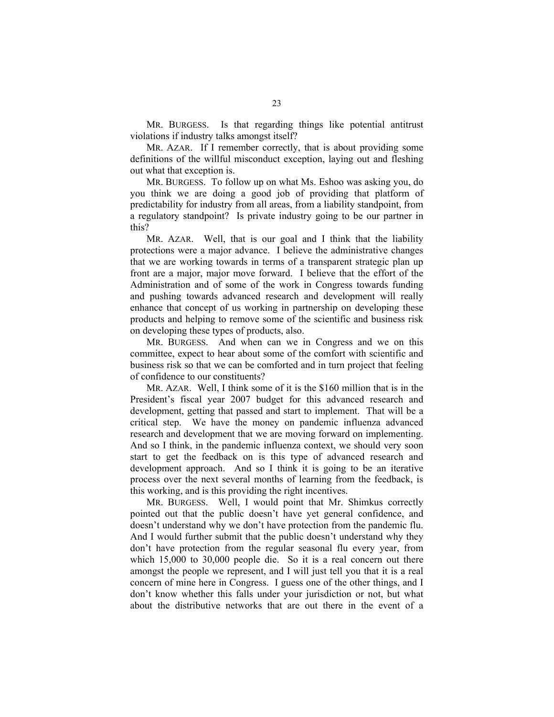MR. BURGESS. Is that regarding things like potential antitrust violations if industry talks amongst itself?

 MR. AZAR. If I remember correctly, that is about providing some definitions of the willful misconduct exception, laying out and fleshing out what that exception is.

 MR. BURGESS. To follow up on what Ms. Eshoo was asking you, do you think we are doing a good job of providing that platform of predictability for industry from all areas, from a liability standpoint, from a regulatory standpoint? Is private industry going to be our partner in this?

 MR. AZAR. Well, that is our goal and I think that the liability protections were a major advance. I believe the administrative changes that we are working towards in terms of a transparent strategic plan up front are a major, major move forward. I believe that the effort of the Administration and of some of the work in Congress towards funding and pushing towards advanced research and development will really enhance that concept of us working in partnership on developing these products and helping to remove some of the scientific and business risk on developing these types of products, also.

 MR. BURGESS. And when can we in Congress and we on this committee, expect to hear about some of the comfort with scientific and business risk so that we can be comforted and in turn project that feeling of confidence to our constituents?

 MR. AZAR. Well, I think some of it is the \$160 million that is in the President's fiscal year 2007 budget for this advanced research and development, getting that passed and start to implement. That will be a critical step. We have the money on pandemic influenza advanced research and development that we are moving forward on implementing. And so I think, in the pandemic influenza context, we should very soon start to get the feedback on is this type of advanced research and development approach. And so I think it is going to be an iterative process over the next several months of learning from the feedback, is this working, and is this providing the right incentives.

 MR. BURGESS. Well, I would point that Mr. Shimkus correctly pointed out that the public doesn't have yet general confidence, and doesn't understand why we don't have protection from the pandemic flu. And I would further submit that the public doesn't understand why they don't have protection from the regular seasonal flu every year, from which 15,000 to 30,000 people die. So it is a real concern out there amongst the people we represent, and I will just tell you that it is a real concern of mine here in Congress. I guess one of the other things, and I don't know whether this falls under your jurisdiction or not, but what about the distributive networks that are out there in the event of a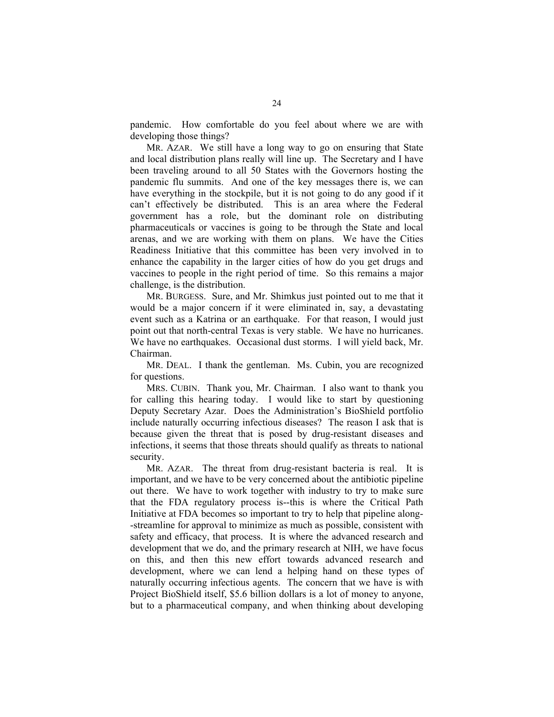pandemic. How comfortable do you feel about where we are with developing those things?

 MR. AZAR. We still have a long way to go on ensuring that State and local distribution plans really will line up. The Secretary and I have been traveling around to all 50 States with the Governors hosting the pandemic flu summits. And one of the key messages there is, we can have everything in the stockpile, but it is not going to do any good if it can't effectively be distributed. This is an area where the Federal government has a role, but the dominant role on distributing pharmaceuticals or vaccines is going to be through the State and local arenas, and we are working with them on plans. We have the Cities Readiness Initiative that this committee has been very involved in to enhance the capability in the larger cities of how do you get drugs and vaccines to people in the right period of time. So this remains a major challenge, is the distribution.

 MR. BURGESS. Sure, and Mr. Shimkus just pointed out to me that it would be a major concern if it were eliminated in, say, a devastating event such as a Katrina or an earthquake. For that reason, I would just point out that north-central Texas is very stable. We have no hurricanes. We have no earthquakes. Occasional dust storms. I will yield back, Mr. Chairman.

 MR. DEAL. I thank the gentleman. Ms. Cubin, you are recognized for questions.

 MRS. CUBIN. Thank you, Mr. Chairman. I also want to thank you for calling this hearing today. I would like to start by questioning Deputy Secretary Azar. Does the Administration's BioShield portfolio include naturally occurring infectious diseases? The reason I ask that is because given the threat that is posed by drug-resistant diseases and infections, it seems that those threats should qualify as threats to national security.

 MR. AZAR. The threat from drug-resistant bacteria is real. It is important, and we have to be very concerned about the antibiotic pipeline out there. We have to work together with industry to try to make sure that the FDA regulatory process is--this is where the Critical Path Initiative at FDA becomes so important to try to help that pipeline along- -streamline for approval to minimize as much as possible, consistent with safety and efficacy, that process. It is where the advanced research and development that we do, and the primary research at NIH, we have focus on this, and then this new effort towards advanced research and development, where we can lend a helping hand on these types of naturally occurring infectious agents. The concern that we have is with Project BioShield itself, \$5.6 billion dollars is a lot of money to anyone, but to a pharmaceutical company, and when thinking about developing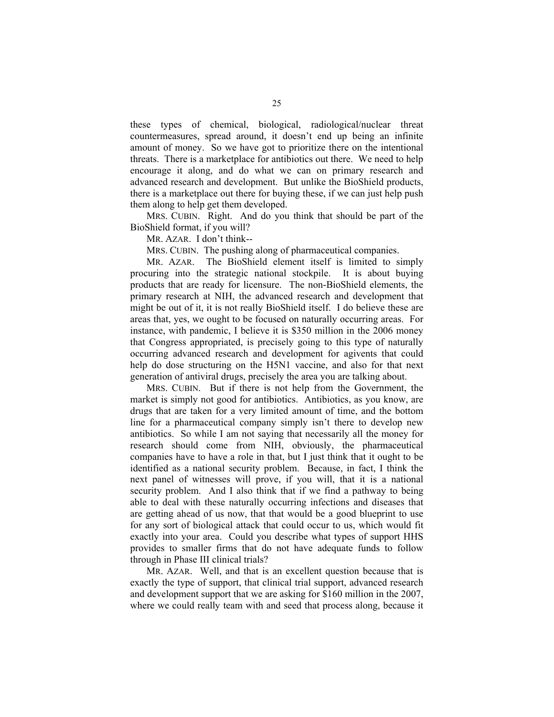these types of chemical, biological, radiological/nuclear threat countermeasures, spread around, it doesn't end up being an infinite amount of money. So we have got to prioritize there on the intentional threats. There is a marketplace for antibiotics out there. We need to help encourage it along, and do what we can on primary research and advanced research and development. But unlike the BioShield products, there is a marketplace out there for buying these, if we can just help push them along to help get them developed.

 MRS. CUBIN. Right. And do you think that should be part of the BioShield format, if you will?

MR. AZAR. I don't think--

MRS. CUBIN. The pushing along of pharmaceutical companies.

 MR. AZAR. The BioShield element itself is limited to simply procuring into the strategic national stockpile. It is about buying products that are ready for licensure. The non-BioShield elements, the primary research at NIH, the advanced research and development that might be out of it, it is not really BioShield itself. I do believe these are areas that, yes, we ought to be focused on naturally occurring areas. For instance, with pandemic, I believe it is \$350 million in the 2006 money that Congress appropriated, is precisely going to this type of naturally occurring advanced research and development for agivents that could help do dose structuring on the H5N1 vaccine, and also for that next generation of antiviral drugs, precisely the area you are talking about.

 MRS. CUBIN. But if there is not help from the Government, the market is simply not good for antibiotics. Antibiotics, as you know, are drugs that are taken for a very limited amount of time, and the bottom line for a pharmaceutical company simply isn't there to develop new antibiotics. So while I am not saying that necessarily all the money for research should come from NIH, obviously, the pharmaceutical companies have to have a role in that, but I just think that it ought to be identified as a national security problem. Because, in fact, I think the next panel of witnesses will prove, if you will, that it is a national security problem. And I also think that if we find a pathway to being able to deal with these naturally occurring infections and diseases that are getting ahead of us now, that that would be a good blueprint to use for any sort of biological attack that could occur to us, which would fit exactly into your area. Could you describe what types of support HHS provides to smaller firms that do not have adequate funds to follow through in Phase III clinical trials?

 MR. AZAR. Well, and that is an excellent question because that is exactly the type of support, that clinical trial support, advanced research and development support that we are asking for \$160 million in the 2007, where we could really team with and seed that process along, because it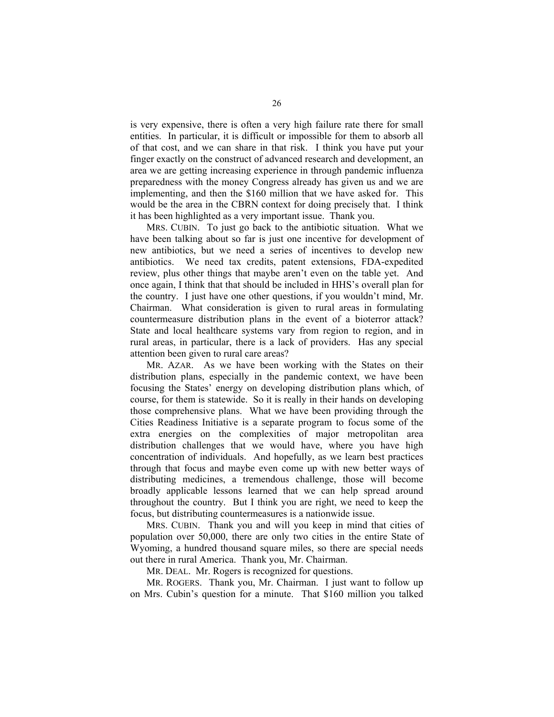is very expensive, there is often a very high failure rate there for small entities. In particular, it is difficult or impossible for them to absorb all of that cost, and we can share in that risk. I think you have put your finger exactly on the construct of advanced research and development, an area we are getting increasing experience in through pandemic influenza preparedness with the money Congress already has given us and we are implementing, and then the \$160 million that we have asked for. This would be the area in the CBRN context for doing precisely that. I think it has been highlighted as a very important issue. Thank you.

 MRS. CUBIN. To just go back to the antibiotic situation. What we have been talking about so far is just one incentive for development of new antibiotics, but we need a series of incentives to develop new antibiotics. We need tax credits, patent extensions, FDA-expedited review, plus other things that maybe aren't even on the table yet. And once again, I think that that should be included in HHS's overall plan for the country. I just have one other questions, if you wouldn't mind, Mr. Chairman. What consideration is given to rural areas in formulating countermeasure distribution plans in the event of a bioterror attack? State and local healthcare systems vary from region to region, and in rural areas, in particular, there is a lack of providers. Has any special attention been given to rural care areas?

 MR. AZAR. As we have been working with the States on their distribution plans, especially in the pandemic context, we have been focusing the States' energy on developing distribution plans which, of course, for them is statewide. So it is really in their hands on developing those comprehensive plans. What we have been providing through the Cities Readiness Initiative is a separate program to focus some of the extra energies on the complexities of major metropolitan area distribution challenges that we would have, where you have high concentration of individuals. And hopefully, as we learn best practices through that focus and maybe even come up with new better ways of distributing medicines, a tremendous challenge, those will become broadly applicable lessons learned that we can help spread around throughout the country. But I think you are right, we need to keep the focus, but distributing countermeasures is a nationwide issue.

 MRS. CUBIN. Thank you and will you keep in mind that cities of population over 50,000, there are only two cities in the entire State of Wyoming, a hundred thousand square miles, so there are special needs out there in rural America. Thank you, Mr. Chairman.

MR. DEAL. Mr. Rogers is recognized for questions.

 MR. ROGERS. Thank you, Mr. Chairman. I just want to follow up on Mrs. Cubin's question for a minute. That \$160 million you talked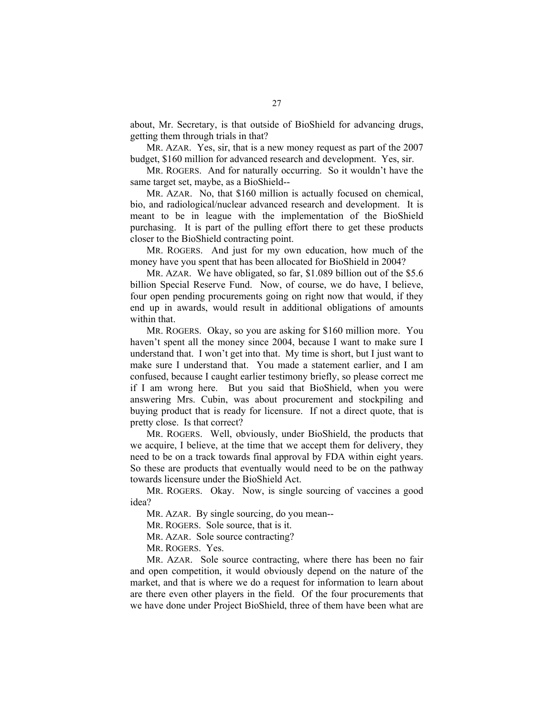about, Mr. Secretary, is that outside of BioShield for advancing drugs, getting them through trials in that?

 MR. AZAR. Yes, sir, that is a new money request as part of the 2007 budget, \$160 million for advanced research and development. Yes, sir.

 MR. ROGERS. And for naturally occurring. So it wouldn't have the same target set, maybe, as a BioShield--

 MR. AZAR. No, that \$160 million is actually focused on chemical, bio, and radiological/nuclear advanced research and development. It is meant to be in league with the implementation of the BioShield purchasing. It is part of the pulling effort there to get these products closer to the BioShield contracting point.

 MR. ROGERS. And just for my own education, how much of the money have you spent that has been allocated for BioShield in 2004?

 MR. AZAR. We have obligated, so far, \$1.089 billion out of the \$5.6 billion Special Reserve Fund. Now, of course, we do have, I believe, four open pending procurements going on right now that would, if they end up in awards, would result in additional obligations of amounts within that.

 MR. ROGERS. Okay, so you are asking for \$160 million more. You haven't spent all the money since 2004, because I want to make sure I understand that. I won't get into that. My time is short, but I just want to make sure I understand that. You made a statement earlier, and I am confused, because I caught earlier testimony briefly, so please correct me if I am wrong here. But you said that BioShield, when you were answering Mrs. Cubin, was about procurement and stockpiling and buying product that is ready for licensure. If not a direct quote, that is pretty close. Is that correct?

 MR. ROGERS. Well, obviously, under BioShield, the products that we acquire, I believe, at the time that we accept them for delivery, they need to be on a track towards final approval by FDA within eight years. So these are products that eventually would need to be on the pathway towards licensure under the BioShield Act.

 MR. ROGERS. Okay. Now, is single sourcing of vaccines a good idea?

MR. AZAR. By single sourcing, do you mean--

MR. ROGERS. Sole source, that is it.

MR. AZAR. Sole source contracting?

MR. ROGERS. Yes.

 MR. AZAR. Sole source contracting, where there has been no fair and open competition, it would obviously depend on the nature of the market, and that is where we do a request for information to learn about are there even other players in the field. Of the four procurements that we have done under Project BioShield, three of them have been what are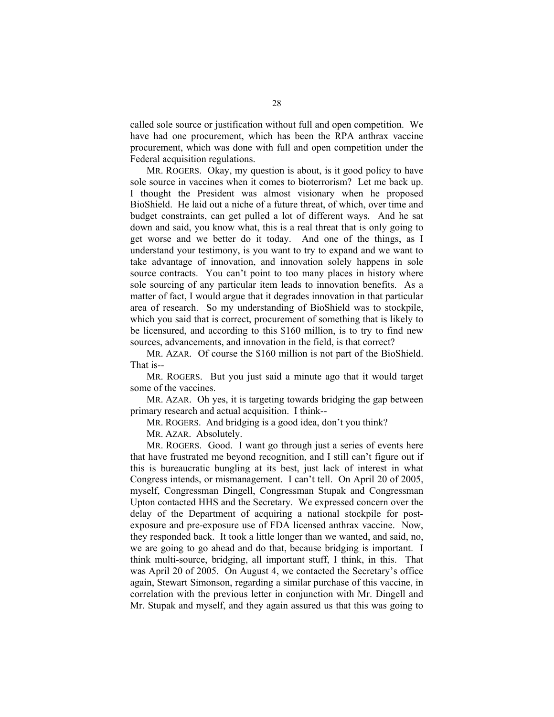called sole source or justification without full and open competition. We have had one procurement, which has been the RPA anthrax vaccine procurement, which was done with full and open competition under the Federal acquisition regulations.

 MR. ROGERS. Okay, my question is about, is it good policy to have sole source in vaccines when it comes to bioterrorism? Let me back up. I thought the President was almost visionary when he proposed BioShield. He laid out a niche of a future threat, of which, over time and budget constraints, can get pulled a lot of different ways. And he sat down and said, you know what, this is a real threat that is only going to get worse and we better do it today. And one of the things, as I understand your testimony, is you want to try to expand and we want to take advantage of innovation, and innovation solely happens in sole source contracts. You can't point to too many places in history where sole sourcing of any particular item leads to innovation benefits. As a matter of fact, I would argue that it degrades innovation in that particular area of research. So my understanding of BioShield was to stockpile, which you said that is correct, procurement of something that is likely to be licensured, and according to this \$160 million, is to try to find new sources, advancements, and innovation in the field, is that correct?

 MR. AZAR. Of course the \$160 million is not part of the BioShield. That is--

 MR. ROGERS. But you just said a minute ago that it would target some of the vaccines.

 MR. AZAR. Oh yes, it is targeting towards bridging the gap between primary research and actual acquisition. I think--

MR. ROGERS. And bridging is a good idea, don't you think?

MR. AZAR. Absolutely.

 MR. ROGERS. Good. I want go through just a series of events here that have frustrated me beyond recognition, and I still can't figure out if this is bureaucratic bungling at its best, just lack of interest in what Congress intends, or mismanagement. I can't tell. On April 20 of 2005, myself, Congressman Dingell, Congressman Stupak and Congressman Upton contacted HHS and the Secretary. We expressed concern over the delay of the Department of acquiring a national stockpile for postexposure and pre-exposure use of FDA licensed anthrax vaccine. Now, they responded back. It took a little longer than we wanted, and said, no, we are going to go ahead and do that, because bridging is important. I think multi-source, bridging, all important stuff, I think, in this. That was April 20 of 2005. On August 4, we contacted the Secretary's office again, Stewart Simonson, regarding a similar purchase of this vaccine, in correlation with the previous letter in conjunction with Mr. Dingell and Mr. Stupak and myself, and they again assured us that this was going to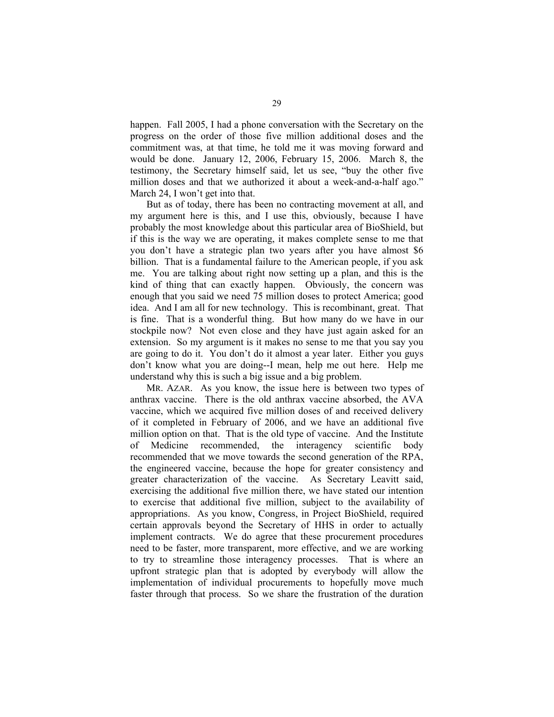happen. Fall 2005, I had a phone conversation with the Secretary on the progress on the order of those five million additional doses and the commitment was, at that time, he told me it was moving forward and would be done. January 12, 2006, February 15, 2006. March 8, the testimony, the Secretary himself said, let us see, "buy the other five million doses and that we authorized it about a week-and-a-half ago." March 24, I won't get into that.

 But as of today, there has been no contracting movement at all, and my argument here is this, and I use this, obviously, because I have probably the most knowledge about this particular area of BioShield, but if this is the way we are operating, it makes complete sense to me that you don't have a strategic plan two years after you have almost \$6 billion. That is a fundamental failure to the American people, if you ask me. You are talking about right now setting up a plan, and this is the kind of thing that can exactly happen. Obviously, the concern was enough that you said we need 75 million doses to protect America; good idea. And I am all for new technology. This is recombinant, great. That is fine. That is a wonderful thing. But how many do we have in our stockpile now? Not even close and they have just again asked for an extension. So my argument is it makes no sense to me that you say you are going to do it. You don't do it almost a year later. Either you guys don't know what you are doing--I mean, help me out here. Help me understand why this is such a big issue and a big problem.

 MR. AZAR. As you know, the issue here is between two types of anthrax vaccine. There is the old anthrax vaccine absorbed, the AVA vaccine, which we acquired five million doses of and received delivery of it completed in February of 2006, and we have an additional five million option on that. That is the old type of vaccine. And the Institute of Medicine recommended, the interagency scientific body recommended that we move towards the second generation of the RPA, the engineered vaccine, because the hope for greater consistency and greater characterization of the vaccine. As Secretary Leavitt said, exercising the additional five million there, we have stated our intention to exercise that additional five million, subject to the availability of appropriations. As you know, Congress, in Project BioShield, required certain approvals beyond the Secretary of HHS in order to actually implement contracts. We do agree that these procurement procedures need to be faster, more transparent, more effective, and we are working to try to streamline those interagency processes. That is where an upfront strategic plan that is adopted by everybody will allow the implementation of individual procurements to hopefully move much faster through that process. So we share the frustration of the duration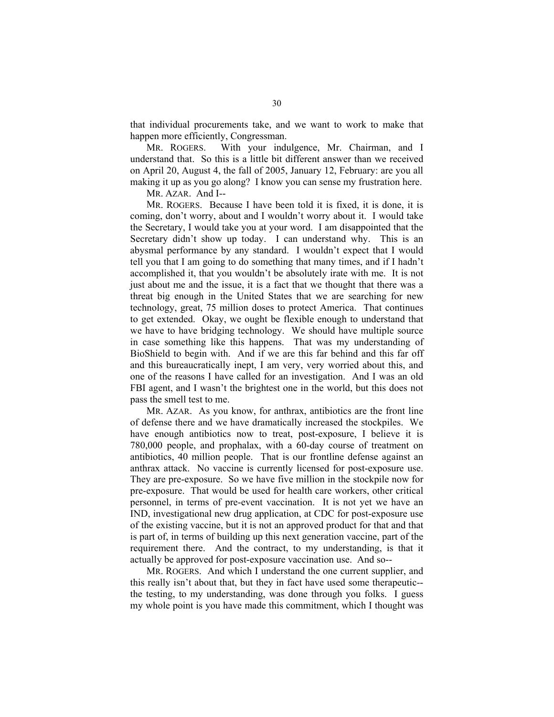that individual procurements take, and we want to work to make that happen more efficiently, Congressman.

 MR. ROGERS. With your indulgence, Mr. Chairman, and I understand that. So this is a little bit different answer than we received on April 20, August 4, the fall of 2005, January 12, February: are you all making it up as you go along? I know you can sense my frustration here.

MR. AZAR. And I--

 MR. ROGERS. Because I have been told it is fixed, it is done, it is coming, don't worry, about and I wouldn't worry about it. I would take the Secretary, I would take you at your word. I am disappointed that the Secretary didn't show up today. I can understand why. This is an abysmal performance by any standard. I wouldn't expect that I would tell you that I am going to do something that many times, and if I hadn't accomplished it, that you wouldn't be absolutely irate with me. It is not just about me and the issue, it is a fact that we thought that there was a threat big enough in the United States that we are searching for new technology, great, 75 million doses to protect America. That continues to get extended. Okay, we ought be flexible enough to understand that we have to have bridging technology. We should have multiple source in case something like this happens. That was my understanding of BioShield to begin with. And if we are this far behind and this far off and this bureaucratically inept, I am very, very worried about this, and one of the reasons I have called for an investigation. And I was an old FBI agent, and I wasn't the brightest one in the world, but this does not pass the smell test to me.

 MR. AZAR. As you know, for anthrax, antibiotics are the front line of defense there and we have dramatically increased the stockpiles. We have enough antibiotics now to treat, post-exposure, I believe it is 780,000 people, and prophalax, with a 60-day course of treatment on antibiotics, 40 million people. That is our frontline defense against an anthrax attack. No vaccine is currently licensed for post-exposure use. They are pre-exposure. So we have five million in the stockpile now for pre-exposure. That would be used for health care workers, other critical personnel, in terms of pre-event vaccination. It is not yet we have an IND, investigational new drug application, at CDC for post-exposure use of the existing vaccine, but it is not an approved product for that and that is part of, in terms of building up this next generation vaccine, part of the requirement there. And the contract, to my understanding, is that it actually be approved for post-exposure vaccination use. And so--

 MR. ROGERS. And which I understand the one current supplier, and this really isn't about that, but they in fact have used some therapeutic- the testing, to my understanding, was done through you folks. I guess my whole point is you have made this commitment, which I thought was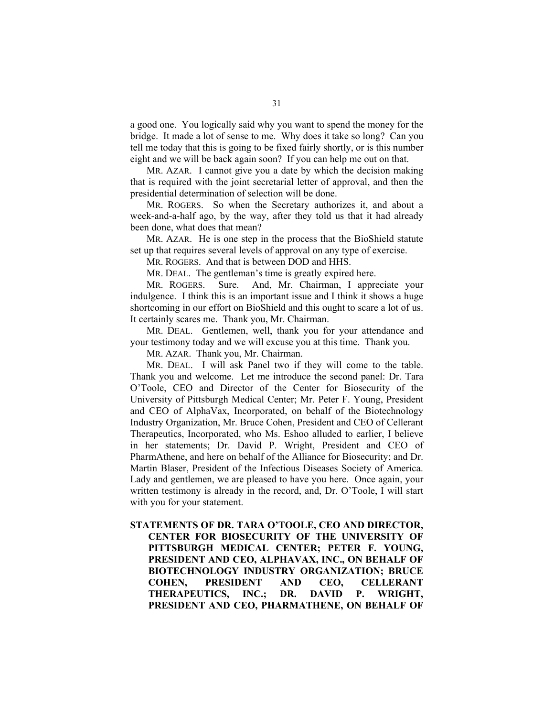a good one. You logically said why you want to spend the money for the bridge. It made a lot of sense to me. Why does it take so long? Can you tell me today that this is going to be fixed fairly shortly, or is this number eight and we will be back again soon? If you can help me out on that.

 MR. AZAR. I cannot give you a date by which the decision making that is required with the joint secretarial letter of approval, and then the presidential determination of selection will be done.

 MR. ROGERS. So when the Secretary authorizes it, and about a week-and-a-half ago, by the way, after they told us that it had already been done, what does that mean?

 MR. AZAR. He is one step in the process that the BioShield statute set up that requires several levels of approval on any type of exercise.

MR. ROGERS. And that is between DOD and HHS.

MR. DEAL. The gentleman's time is greatly expired here.

 MR. ROGERS. Sure. And, Mr. Chairman, I appreciate your indulgence. I think this is an important issue and I think it shows a huge shortcoming in our effort on BioShield and this ought to scare a lot of us. It certainly scares me. Thank you, Mr. Chairman.

 MR. DEAL. Gentlemen, well, thank you for your attendance and your testimony today and we will excuse you at this time. Thank you.

MR. AZAR. Thank you, Mr. Chairman.

 MR. DEAL. I will ask Panel two if they will come to the table. Thank you and welcome. Let me introduce the second panel: Dr. Tara O'Toole, CEO and Director of the Center for Biosecurity of the University of Pittsburgh Medical Center; Mr. Peter F. Young, President and CEO of AlphaVax, Incorporated, on behalf of the Biotechnology Industry Organization, Mr. Bruce Cohen, President and CEO of Cellerant Therapeutics, Incorporated, who Ms. Eshoo alluded to earlier, I believe in her statements; Dr. David P. Wright, President and CEO of PharmAthene, and here on behalf of the Alliance for Biosecurity; and Dr. Martin Blaser, President of the Infectious Diseases Society of America. Lady and gentlemen, we are pleased to have you here. Once again, your written testimony is already in the record, and, Dr. O'Toole, I will start with you for your statement.

**STATEMENTS OF DR. TARA O'TOOLE, CEO AND DIRECTOR, CENTER FOR BIOSECURITY OF THE UNIVERSITY OF PITTSBURGH MEDICAL CENTER; PETER F. YOUNG, PRESIDENT AND CEO, ALPHAVAX, INC., ON BEHALF OF BIOTECHNOLOGY INDUSTRY ORGANIZATION; BRUCE COHEN, PRESIDENT AND CEO, CELLERANT THERAPEUTICS, INC.; DR. DAVID P. WRIGHT, PRESIDENT AND CEO, PHARMATHENE, ON BEHALF OF**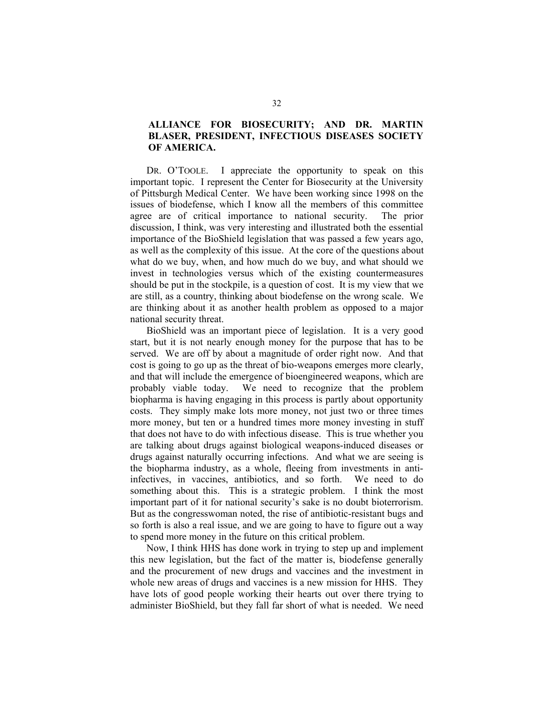### **ALLIANCE FOR BIOSECURITY; AND DR. MARTIN BLASER, PRESIDENT, INFECTIOUS DISEASES SOCIETY OF AMERICA.**

 DR. O'TOOLE. I appreciate the opportunity to speak on this important topic. I represent the Center for Biosecurity at the University of Pittsburgh Medical Center. We have been working since 1998 on the issues of biodefense, which I know all the members of this committee agree are of critical importance to national security. The prior discussion, I think, was very interesting and illustrated both the essential importance of the BioShield legislation that was passed a few years ago, as well as the complexity of this issue. At the core of the questions about what do we buy, when, and how much do we buy, and what should we invest in technologies versus which of the existing countermeasures should be put in the stockpile, is a question of cost. It is my view that we are still, as a country, thinking about biodefense on the wrong scale. We are thinking about it as another health problem as opposed to a major national security threat.

 BioShield was an important piece of legislation. It is a very good start, but it is not nearly enough money for the purpose that has to be served. We are off by about a magnitude of order right now. And that cost is going to go up as the threat of bio-weapons emerges more clearly, and that will include the emergence of bioengineered weapons, which are probably viable today. We need to recognize that the problem biopharma is having engaging in this process is partly about opportunity costs. They simply make lots more money, not just two or three times more money, but ten or a hundred times more money investing in stuff that does not have to do with infectious disease. This is true whether you are talking about drugs against biological weapons-induced diseases or drugs against naturally occurring infections. And what we are seeing is the biopharma industry, as a whole, fleeing from investments in antiinfectives, in vaccines, antibiotics, and so forth. We need to do something about this. This is a strategic problem. I think the most important part of it for national security's sake is no doubt bioterrorism. But as the congresswoman noted, the rise of antibiotic-resistant bugs and so forth is also a real issue, and we are going to have to figure out a way to spend more money in the future on this critical problem.

 Now, I think HHS has done work in trying to step up and implement this new legislation, but the fact of the matter is, biodefense generally and the procurement of new drugs and vaccines and the investment in whole new areas of drugs and vaccines is a new mission for HHS. They have lots of good people working their hearts out over there trying to administer BioShield, but they fall far short of what is needed. We need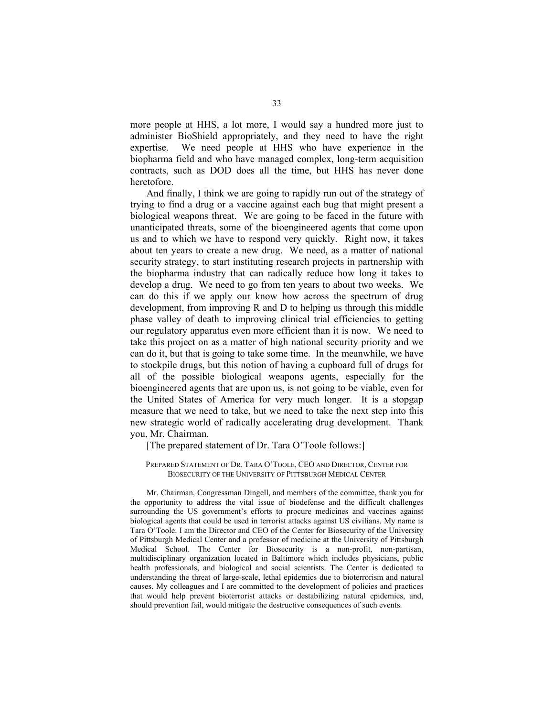more people at HHS, a lot more, I would say a hundred more just to administer BioShield appropriately, and they need to have the right expertise. We need people at HHS who have experience in the biopharma field and who have managed complex, long-term acquisition contracts, such as DOD does all the time, but HHS has never done heretofore.

 And finally, I think we are going to rapidly run out of the strategy of trying to find a drug or a vaccine against each bug that might present a biological weapons threat. We are going to be faced in the future with unanticipated threats, some of the bioengineered agents that come upon us and to which we have to respond very quickly. Right now, it takes about ten years to create a new drug. We need, as a matter of national security strategy, to start instituting research projects in partnership with the biopharma industry that can radically reduce how long it takes to develop a drug. We need to go from ten years to about two weeks. We can do this if we apply our know how across the spectrum of drug development, from improving R and D to helping us through this middle phase valley of death to improving clinical trial efficiencies to getting our regulatory apparatus even more efficient than it is now. We need to take this project on as a matter of high national security priority and we can do it, but that is going to take some time. In the meanwhile, we have to stockpile drugs, but this notion of having a cupboard full of drugs for all of the possible biological weapons agents, especially for the bioengineered agents that are upon us, is not going to be viable, even for the United States of America for very much longer. It is a stopgap measure that we need to take, but we need to take the next step into this new strategic world of radically accelerating drug development. Thank you, Mr. Chairman.

# [The prepared statement of Dr. Tara O'Toole follows:]

### PREPARED STATEMENT OF DR. TARA O'TOOLE, CEO AND DIRECTOR, CENTER FOR BIOSECURITY OF THE UNIVERSITY OF PITTSBURGH MEDICAL CENTER

Mr. Chairman, Congressman Dingell, and members of the committee, thank you for the opportunity to address the vital issue of biodefense and the difficult challenges surrounding the US government's efforts to procure medicines and vaccines against biological agents that could be used in terrorist attacks against US civilians. My name is Tara O'Toole. I am the Director and CEO of the Center for Biosecurity of the University of Pittsburgh Medical Center and a professor of medicine at the University of Pittsburgh Medical School. The Center for Biosecurity is a non-profit, non-partisan, multidisciplinary organization located in Baltimore which includes physicians, public health professionals, and biological and social scientists. The Center is dedicated to understanding the threat of large-scale, lethal epidemics due to bioterrorism and natural causes. My colleagues and I are committed to the development of policies and practices that would help prevent bioterrorist attacks or destabilizing natural epidemics, and, should prevention fail, would mitigate the destructive consequences of such events.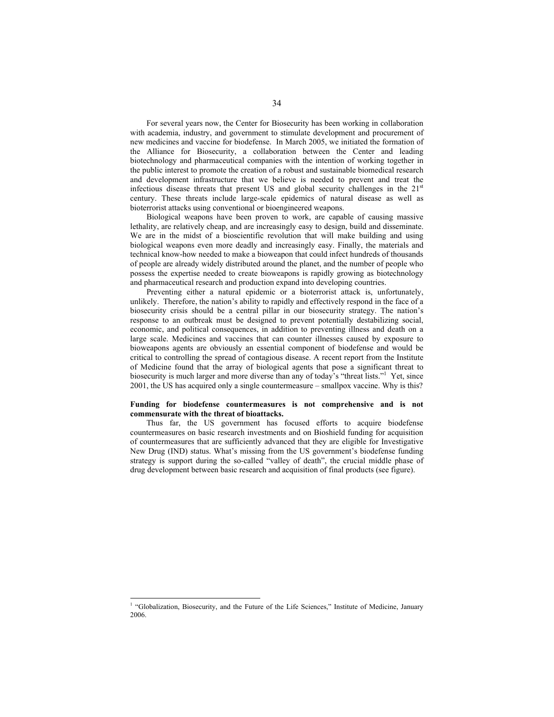For several years now, the Center for Biosecurity has been working in collaboration with academia, industry, and government to stimulate development and procurement of new medicines and vaccine for biodefense. In March 2005, we initiated the formation of the Alliance for Biosecurity, a collaboration between the Center and leading biotechnology and pharmaceutical companies with the intention of working together in the public interest to promote the creation of a robust and sustainable biomedical research and development infrastructure that we believe is needed to prevent and treat the infectious disease threats that present US and global security challenges in the  $21<sup>st</sup>$ century. These threats include large-scale epidemics of natural disease as well as bioterrorist attacks using conventional or bioengineered weapons.

Biological weapons have been proven to work, are capable of causing massive lethality, are relatively cheap, and are increasingly easy to design, build and disseminate. We are in the midst of a bioscientific revolution that will make building and using biological weapons even more deadly and increasingly easy. Finally, the materials and technical know-how needed to make a bioweapon that could infect hundreds of thousands of people are already widely distributed around the planet, and the number of people who possess the expertise needed to create bioweapons is rapidly growing as biotechnology and pharmaceutical research and production expand into developing countries.

Preventing either a natural epidemic or a bioterrorist attack is, unfortunately, unlikely. Therefore, the nation's ability to rapidly and effectively respond in the face of a biosecurity crisis should be a central pillar in our biosecurity strategy. The nation's response to an outbreak must be designed to prevent potentially destabilizing social, economic, and political consequences, in addition to preventing illness and death on a large scale. Medicines and vaccines that can counter illnesses caused by exposure to bioweapons agents are obviously an essential component of biodefense and would be critical to controlling the spread of contagious disease. A recent report from the Institute of Medicine found that the array of biological agents that pose a significant threat to biosecurity is much larger and more diverse than any of today's "threat lists."<sup>1</sup> Yet, since 2001, the US has acquired only a single countermeasure – smallpox vaccine. Why is this?

### **Funding for biodefense countermeasures is not comprehensive and is not commensurate with the threat of bioattacks.**

Thus far, the US government has focused efforts to acquire biodefense countermeasures on basic research investments and on Bioshield funding for acquisition of countermeasures that are sufficiently advanced that they are eligible for Investigative New Drug (IND) status. What's missing from the US government's biodefense funding strategy is support during the so-called "valley of death", the crucial middle phase of drug development between basic research and acquisition of final products (see figure).

<sup>&</sup>lt;sup>1</sup> "Globalization, Biosecurity, and the Future of the Life Sciences," Institute of Medicine, January 2006.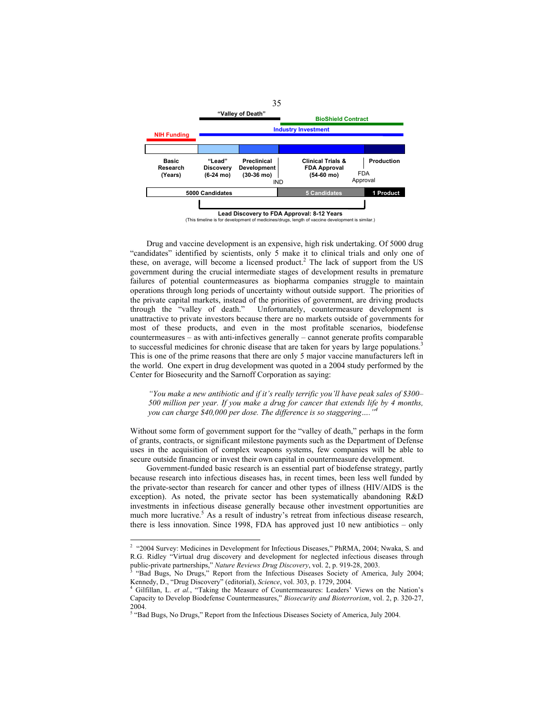

Drug and vaccine development is an expensive, high risk undertaking. Of 5000 drug "candidates" identified by scientists, only 5 make it to clinical trials and only one of these, on average, will become a licensed product.<sup>2</sup> The lack of support from the US government during the crucial intermediate stages of development results in premature failures of potential countermeasures as biopharma companies struggle to maintain operations through long periods of uncertainty without outside support. The priorities of the private capital markets, instead of the priorities of government, are driving products through the "valley of death." Unfortunately, countermeasure development is Unfortunately, countermeasure development is unattractive to private investors because there are no markets outside of governments for most of these products, and even in the most profitable scenarios, biodefense countermeasures – as with anti-infectives generally – cannot generate profits comparable to successful medicines for chronic disease that are taken for years by large populations.<sup>3</sup> This is one of the prime reasons that there are only 5 major vaccine manufacturers left in the world. One expert in drug development was quoted in a 2004 study performed by the Center for Biosecurity and the Sarnoff Corporation as saying:

*"You make a new antibiotic and if it's really terrific you'll have peak sales of \$300– 500 million per year. If you make a drug for cancer that extends life by 4 months, you can charge \$40,000 per dose. The difference is so staggering....* 

Without some form of government support for the "valley of death," perhaps in the form of grants, contracts, or significant milestone payments such as the Department of Defense uses in the acquisition of complex weapons systems, few companies will be able to secure outside financing or invest their own capital in countermeasure development.

Government-funded basic research is an essential part of biodefense strategy, partly because research into infectious diseases has, in recent times, been less well funded by the private-sector than research for cancer and other types of illness (HIV/AIDS is the exception). As noted, the private sector has been systematically abandoning R&D investments in infectious disease generally because other investment opportunities are much more lucrative.<sup>5</sup> As a result of industry's retreat from infectious disease research, there is less innovation. Since 1998, FDA has approved just 10 new antibiotics – only

<sup>&</sup>lt;sup>2</sup> "2004 Survey: Medicines in Development for Infectious Diseases," PhRMA, 2004; Nwaka, S. and R.G. Ridley "Virtual drug discovery and development for neglected infectious diseases through public-private partnerships," *Nature Reviews Drug Discovery*, vol. 2, p. 919-28, 2003.<br><sup>3</sup> "Bad Bugs, No Drugs," Report from the Infectious Diseases Society of America, July 2004;

Kennedy, D., "Drug Discovery" (editorial), *Science*, vol. 303, p. 1729, 2004. 4

<sup>&</sup>lt;sup>4</sup> Gilfillan, L. *et al.*, "Taking the Measure of Countermeasures: Leaders' Views on the Nation's Capacity to Develop Biodefense Countermeasures," *Biosecurity and Bioterrorism*, vol. 2, p. 320-27, 2004.

<sup>&</sup>lt;sup>5</sup> "Bad Bugs, No Drugs," Report from the Infectious Diseases Society of America, July 2004.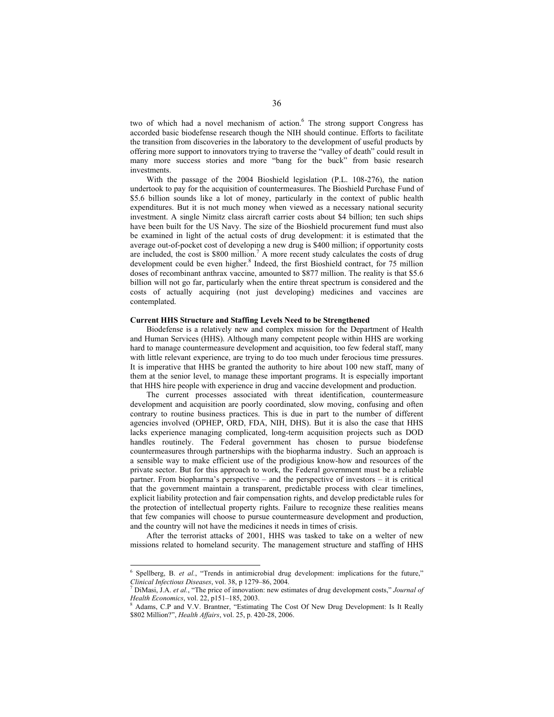two of which had a novel mechanism of action.<sup>6</sup> The strong support Congress has accorded basic biodefense research though the NIH should continue. Efforts to facilitate the transition from discoveries in the laboratory to the development of useful products by offering more support to innovators trying to traverse the "valley of death" could result in many more success stories and more "bang for the buck" from basic research investments.

With the passage of the 2004 Bioshield legislation (P.L. 108-276), the nation undertook to pay for the acquisition of countermeasures. The Bioshield Purchase Fund of \$5.6 billion sounds like a lot of money, particularly in the context of public health expenditures. But it is not much money when viewed as a necessary national security investment. A single Nimitz class aircraft carrier costs about \$4 billion; ten such ships have been built for the US Navy. The size of the Bioshield procurement fund must also be examined in light of the actual costs of drug development: it is estimated that the average out-of-pocket cost of developing a new drug is \$400 million; if opportunity costs are included, the cost is  $$800$  million.<sup>7</sup> A more recent study calculates the costs of drug development could be even higher.<sup>8</sup> Indeed, the first Bioshield contract, for 75 million doses of recombinant anthrax vaccine, amounted to \$877 million. The reality is that \$5.6 billion will not go far, particularly when the entire threat spectrum is considered and the costs of actually acquiring (not just developing) medicines and vaccines are contemplated.

### **Current HHS Structure and Staffing Levels Need to be Strengthened**

Biodefense is a relatively new and complex mission for the Department of Health and Human Services (HHS). Although many competent people within HHS are working hard to manage countermeasure development and acquisition, too few federal staff, many with little relevant experience, are trying to do too much under ferocious time pressures. It is imperative that HHS be granted the authority to hire about 100 new staff, many of them at the senior level, to manage these important programs. It is especially important that HHS hire people with experience in drug and vaccine development and production.

The current processes associated with threat identification, countermeasure development and acquisition are poorly coordinated, slow moving, confusing and often contrary to routine business practices. This is due in part to the number of different agencies involved (OPHEP, ORD, FDA, NIH, DHS). But it is also the case that HHS lacks experience managing complicated, long-term acquisition projects such as DOD handles routinely. The Federal government has chosen to pursue biodefense countermeasures through partnerships with the biopharma industry. Such an approach is a sensible way to make efficient use of the prodigious know-how and resources of the private sector. But for this approach to work, the Federal government must be a reliable partner. From biopharma's perspective – and the perspective of investors – it is critical that the government maintain a transparent, predictable process with clear timelines, explicit liability protection and fair compensation rights, and develop predictable rules for the protection of intellectual property rights. Failure to recognize these realities means that few companies will choose to pursue countermeasure development and production, and the country will not have the medicines it needs in times of crisis.

After the terrorist attacks of 2001, HHS was tasked to take on a welter of new missions related to homeland security. The management structure and staffing of HHS

 $\overline{a}$ 

<sup>6</sup> Spellberg, B. *et al.*, "Trends in antimicrobial drug development: implications for the future," *Clinical Infectious Diseases*, vol. 38, p 1279–86, 2004. 7

<sup>&</sup>lt;sup>7</sup> DiMasi, J.A. *et al.*, "The price of innovation: new estimates of drug development costs," *Journal of Health Economics*, vol. 22, p151-185, 2003.

Adams, C.P and V.V. Brantner, "Estimating The Cost Of New Drug Development: Is It Really \$802 Million?", *Health Affairs*, vol. 25, p. 420-28, 2006.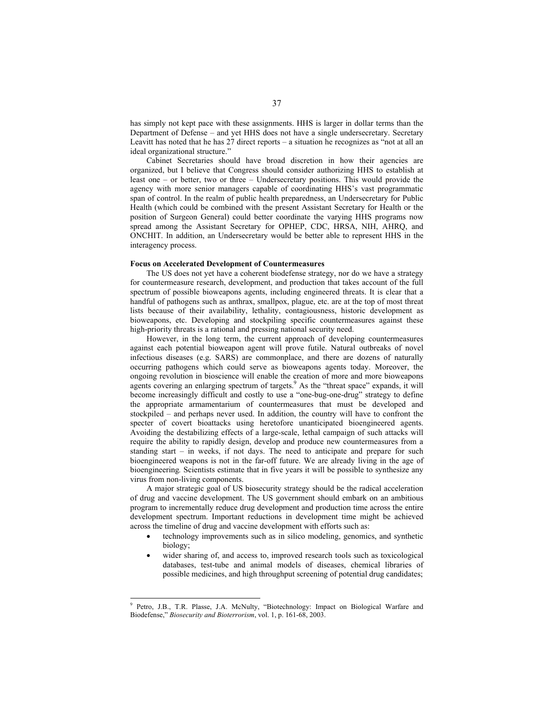has simply not kept pace with these assignments. HHS is larger in dollar terms than the Department of Defense – and yet HHS does not have a single undersecretary. Secretary Leavitt has noted that he has 27 direct reports – a situation he recognizes as "not at all an ideal organizational structure."

Cabinet Secretaries should have broad discretion in how their agencies are organized, but I believe that Congress should consider authorizing HHS to establish at least one – or better, two or three – Undersecretary positions. This would provide the agency with more senior managers capable of coordinating HHS's vast programmatic span of control. In the realm of public health preparedness, an Undersecretary for Public Health (which could be combined with the present Assistant Secretary for Health or the position of Surgeon General) could better coordinate the varying HHS programs now spread among the Assistant Secretary for OPHEP, CDC, HRSA, NIH, AHRQ, and ONCHIT. In addition, an Undersecretary would be better able to represent HHS in the interagency process.

### **Focus on Accelerated Development of Countermeasures**

The US does not yet have a coherent biodefense strategy, nor do we have a strategy for countermeasure research, development, and production that takes account of the full spectrum of possible bioweapons agents, including engineered threats. It is clear that a handful of pathogens such as anthrax, smallpox, plague, etc. are at the top of most threat lists because of their availability, lethality, contagiousness, historic development as bioweapons, etc. Developing and stockpiling specific countermeasures against these high-priority threats is a rational and pressing national security need.

However, in the long term, the current approach of developing countermeasures against each potential bioweapon agent will prove futile. Natural outbreaks of novel infectious diseases (e.g. SARS) are commonplace, and there are dozens of naturally occurring pathogens which could serve as bioweapons agents today. Moreover, the ongoing revolution in bioscience will enable the creation of more and more bioweapons agents covering an enlarging spectrum of targets.<sup>9</sup> As the "threat space" expands, it will become increasingly difficult and costly to use a "one-bug-one-drug" strategy to define the appropriate armamentarium of countermeasures that must be developed and stockpiled – and perhaps never used. In addition, the country will have to confront the specter of covert bioattacks using heretofore unanticipated bioengineered agents. Avoiding the destabilizing effects of a large-scale, lethal campaign of such attacks will require the ability to rapidly design, develop and produce new countermeasures from a standing start – in weeks, if not days. The need to anticipate and prepare for such bioengineered weapons is not in the far-off future. We are already living in the age of bioengineering*.* Scientists estimate that in five years it will be possible to synthesize any virus from non-living components.

A major strategic goal of US biosecurity strategy should be the radical acceleration of drug and vaccine development. The US government should embark on an ambitious program to incrementally reduce drug development and production time across the entire development spectrum. Important reductions in development time might be achieved across the timeline of drug and vaccine development with efforts such as:

- technology improvements such as in silico modeling, genomics, and synthetic biology;
- wider sharing of, and access to, improved research tools such as toxicological databases, test-tube and animal models of diseases, chemical libraries of possible medicines, and high throughput screening of potential drug candidates;

 $\overline{\phantom{a}}$ 

<sup>9</sup> Petro, J.B., T.R. Plasse, J.A. McNulty, "Biotechnology: Impact on Biological Warfare and Biodefense," *Biosecurity and Bioterrorism*, vol. 1, p. 161-68, 2003.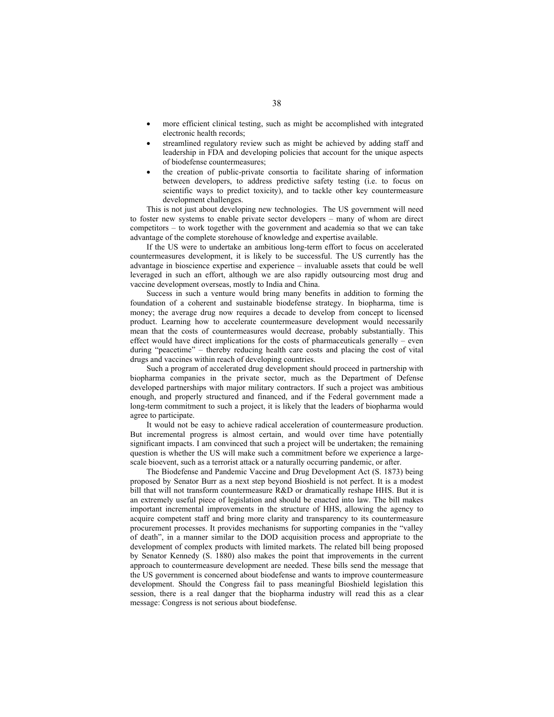- more efficient clinical testing, such as might be accomplished with integrated electronic health records;
- streamlined regulatory review such as might be achieved by adding staff and leadership in FDA and developing policies that account for the unique aspects of biodefense countermeasures;
- the creation of public-private consortia to facilitate sharing of information between developers, to address predictive safety testing (i.e. to focus on scientific ways to predict toxicity), and to tackle other key countermeasure development challenges.

This is not just about developing new technologies. The US government will need to foster new systems to enable private sector developers – many of whom are direct competitors – to work together with the government and academia so that we can take advantage of the complete storehouse of knowledge and expertise available.

If the US were to undertake an ambitious long-term effort to focus on accelerated countermeasures development, it is likely to be successful. The US currently has the advantage in bioscience expertise and experience – invaluable assets that could be well leveraged in such an effort, although we are also rapidly outsourcing most drug and vaccine development overseas, mostly to India and China.

Success in such a venture would bring many benefits in addition to forming the foundation of a coherent and sustainable biodefense strategy. In biopharma, time is money; the average drug now requires a decade to develop from concept to licensed product. Learning how to accelerate countermeasure development would necessarily mean that the costs of countermeasures would decrease, probably substantially. This effect would have direct implications for the costs of pharmaceuticals generally – even during "peacetime" – thereby reducing health care costs and placing the cost of vital drugs and vaccines within reach of developing countries.

Such a program of accelerated drug development should proceed in partnership with biopharma companies in the private sector, much as the Department of Defense developed partnerships with major military contractors. If such a project was ambitious enough, and properly structured and financed, and if the Federal government made a long-term commitment to such a project, it is likely that the leaders of biopharma would agree to participate.

It would not be easy to achieve radical acceleration of countermeasure production. But incremental progress is almost certain, and would over time have potentially significant impacts. I am convinced that such a project will be undertaken; the remaining question is whether the US will make such a commitment before we experience a largescale bioevent, such as a terrorist attack or a naturally occurring pandemic, or after.

The Biodefense and Pandemic Vaccine and Drug Development Act (S. 1873) being proposed by Senator Burr as a next step beyond Bioshield is not perfect. It is a modest bill that will not transform countermeasure R&D or dramatically reshape HHS. But it is an extremely useful piece of legislation and should be enacted into law. The bill makes important incremental improvements in the structure of HHS, allowing the agency to acquire competent staff and bring more clarity and transparency to its countermeasure procurement processes. It provides mechanisms for supporting companies in the "valley of death", in a manner similar to the DOD acquisition process and appropriate to the development of complex products with limited markets. The related bill being proposed by Senator Kennedy (S. 1880) also makes the point that improvements in the current approach to countermeasure development are needed. These bills send the message that the US government is concerned about biodefense and wants to improve countermeasure development. Should the Congress fail to pass meaningful Bioshield legislation this session, there is a real danger that the biopharma industry will read this as a clear message: Congress is not serious about biodefense.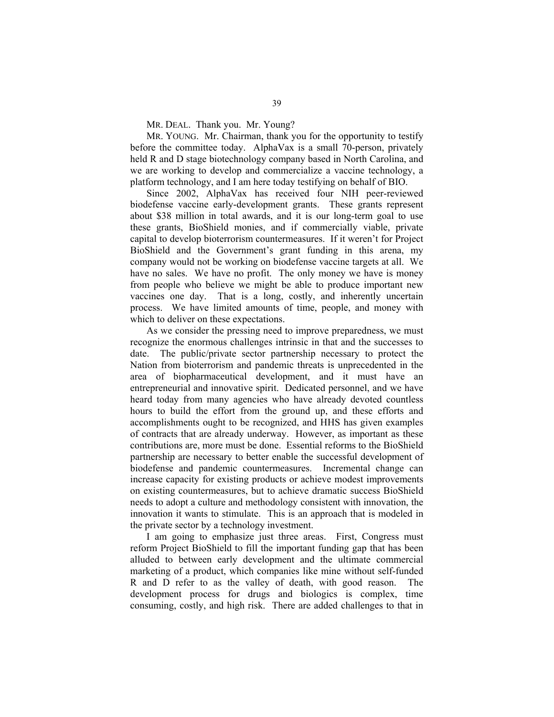MR. DEAL. Thank you. Mr. Young?

MR. YOUNG. Mr. Chairman, thank you for the opportunity to testify before the committee today. AlphaVax is a small 70-person, privately held R and D stage biotechnology company based in North Carolina, and we are working to develop and commercialize a vaccine technology, a platform technology, and I am here today testifying on behalf of BIO.

 Since 2002, AlphaVax has received four NIH peer-reviewed biodefense vaccine early-development grants. These grants represent about \$38 million in total awards, and it is our long-term goal to use these grants, BioShield monies, and if commercially viable, private capital to develop bioterrorism countermeasures. If it weren't for Project BioShield and the Government's grant funding in this arena, my company would not be working on biodefense vaccine targets at all. We have no sales. We have no profit. The only money we have is money from people who believe we might be able to produce important new vaccines one day. That is a long, costly, and inherently uncertain process. We have limited amounts of time, people, and money with which to deliver on these expectations.

 As we consider the pressing need to improve preparedness, we must recognize the enormous challenges intrinsic in that and the successes to date. The public/private sector partnership necessary to protect the Nation from bioterrorism and pandemic threats is unprecedented in the area of biopharmaceutical development, and it must have an entrepreneurial and innovative spirit. Dedicated personnel, and we have heard today from many agencies who have already devoted countless hours to build the effort from the ground up, and these efforts and accomplishments ought to be recognized, and HHS has given examples of contracts that are already underway. However, as important as these contributions are, more must be done. Essential reforms to the BioShield partnership are necessary to better enable the successful development of biodefense and pandemic countermeasures. Incremental change can increase capacity for existing products or achieve modest improvements on existing countermeasures, but to achieve dramatic success BioShield needs to adopt a culture and methodology consistent with innovation, the innovation it wants to stimulate. This is an approach that is modeled in the private sector by a technology investment.

 I am going to emphasize just three areas. First, Congress must reform Project BioShield to fill the important funding gap that has been alluded to between early development and the ultimate commercial marketing of a product, which companies like mine without self-funded R and D refer to as the valley of death, with good reason. The development process for drugs and biologics is complex, time consuming, costly, and high risk. There are added challenges to that in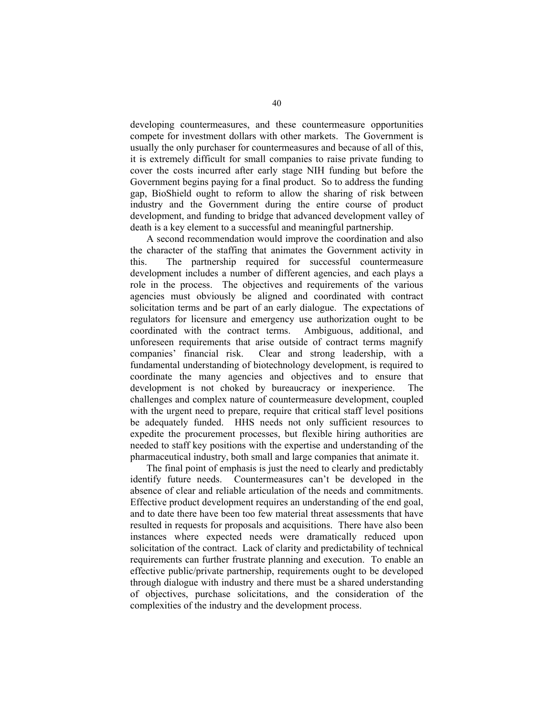developing countermeasures, and these countermeasure opportunities compete for investment dollars with other markets. The Government is usually the only purchaser for countermeasures and because of all of this, it is extremely difficult for small companies to raise private funding to cover the costs incurred after early stage NIH funding but before the Government begins paying for a final product. So to address the funding gap, BioShield ought to reform to allow the sharing of risk between industry and the Government during the entire course of product development, and funding to bridge that advanced development valley of death is a key element to a successful and meaningful partnership.

 A second recommendation would improve the coordination and also the character of the staffing that animates the Government activity in this. The partnership required for successful countermeasure development includes a number of different agencies, and each plays a role in the process. The objectives and requirements of the various agencies must obviously be aligned and coordinated with contract solicitation terms and be part of an early dialogue. The expectations of regulators for licensure and emergency use authorization ought to be coordinated with the contract terms. Ambiguous, additional, and unforeseen requirements that arise outside of contract terms magnify companies' financial risk. Clear and strong leadership, with a fundamental understanding of biotechnology development, is required to coordinate the many agencies and objectives and to ensure that development is not choked by bureaucracy or inexperience. The challenges and complex nature of countermeasure development, coupled with the urgent need to prepare, require that critical staff level positions be adequately funded. HHS needs not only sufficient resources to expedite the procurement processes, but flexible hiring authorities are needed to staff key positions with the expertise and understanding of the pharmaceutical industry, both small and large companies that animate it.

 The final point of emphasis is just the need to clearly and predictably identify future needs. Countermeasures can't be developed in the absence of clear and reliable articulation of the needs and commitments. Effective product development requires an understanding of the end goal, and to date there have been too few material threat assessments that have resulted in requests for proposals and acquisitions. There have also been instances where expected needs were dramatically reduced upon solicitation of the contract. Lack of clarity and predictability of technical requirements can further frustrate planning and execution. To enable an effective public/private partnership, requirements ought to be developed through dialogue with industry and there must be a shared understanding of objectives, purchase solicitations, and the consideration of the complexities of the industry and the development process.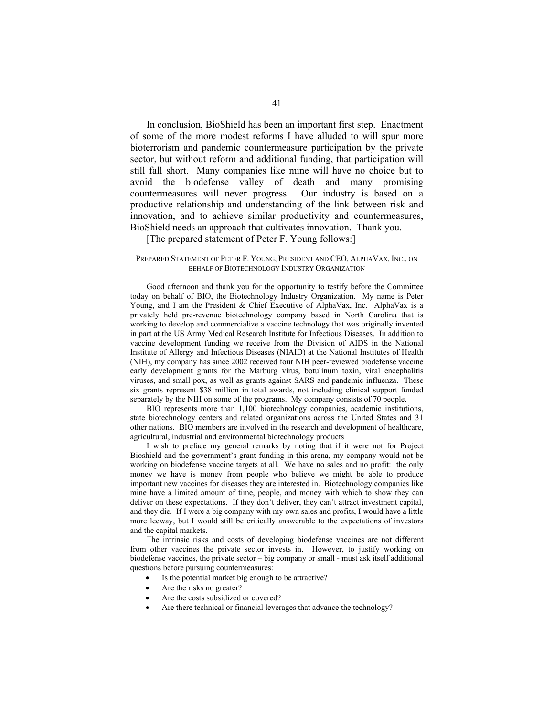In conclusion, BioShield has been an important first step. Enactment of some of the more modest reforms I have alluded to will spur more bioterrorism and pandemic countermeasure participation by the private sector, but without reform and additional funding, that participation will still fall short. Many companies like mine will have no choice but to avoid the biodefense valley of death and many promising countermeasures will never progress. Our industry is based on a productive relationship and understanding of the link between risk and innovation, and to achieve similar productivity and countermeasures, BioShield needs an approach that cultivates innovation. Thank you.

[The prepared statement of Peter F. Young follows:]

# PREPARED STATEMENT OF PETER F. YOUNG, PRESIDENT AND CEO, ALPHAVAX, INC., ON BEHALF OF BIOTECHNOLOGY INDUSTRY ORGANIZATION

Good afternoon and thank you for the opportunity to testify before the Committee today on behalf of BIO, the Biotechnology Industry Organization. My name is Peter Young, and I am the President & Chief Executive of AlphaVax, Inc. AlphaVax is a privately held pre-revenue biotechnology company based in North Carolina that is working to develop and commercialize a vaccine technology that was originally invented in part at the US Army Medical Research Institute for Infectious Diseases. In addition to vaccine development funding we receive from the Division of AIDS in the National Institute of Allergy and Infectious Diseases (NIAID) at the National Institutes of Health (NIH), my company has since 2002 received four NIH peer-reviewed biodefense vaccine early development grants for the Marburg virus, botulinum toxin, viral encephalitis viruses, and small pox, as well as grants against SARS and pandemic influenza. These six grants represent \$38 million in total awards, not including clinical support funded separately by the NIH on some of the programs. My company consists of 70 people.

BIO represents more than 1,100 biotechnology companies, academic institutions, state biotechnology centers and related organizations across the United States and 31 other nations. BIO members are involved in the research and development of healthcare, agricultural, industrial and environmental biotechnology products

I wish to preface my general remarks by noting that if it were not for Project Bioshield and the government's grant funding in this arena, my company would not be working on biodefense vaccine targets at all. We have no sales and no profit: the only money we have is money from people who believe we might be able to produce important new vaccines for diseases they are interested in. Biotechnology companies like mine have a limited amount of time, people, and money with which to show they can deliver on these expectations. If they don't deliver, they can't attract investment capital, and they die. If I were a big company with my own sales and profits, I would have a little more leeway, but I would still be critically answerable to the expectations of investors and the capital markets.

The intrinsic risks and costs of developing biodefense vaccines are not different from other vaccines the private sector invests in. However, to justify working on biodefense vaccines, the private sector – big company or small - must ask itself additional questions before pursuing countermeasures:

- Is the potential market big enough to be attractive?
- Are the risks no greater?
- Are the costs subsidized or covered?
- Are there technical or financial leverages that advance the technology?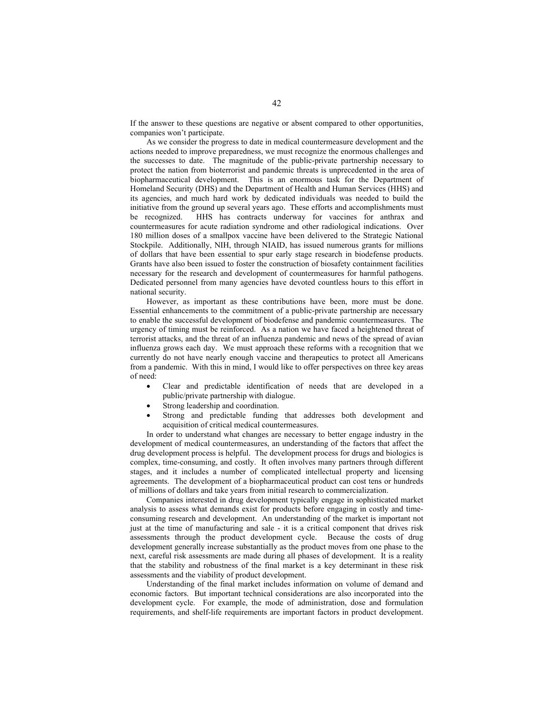If the answer to these questions are negative or absent compared to other opportunities, companies won't participate.

As we consider the progress to date in medical countermeasure development and the actions needed to improve preparedness, we must recognize the enormous challenges and the successes to date. The magnitude of the public-private partnership necessary to protect the nation from bioterrorist and pandemic threats is unprecedented in the area of biopharmaceutical development. This is an enormous task for the Department of Homeland Security (DHS) and the Department of Health and Human Services (HHS) and its agencies, and much hard work by dedicated individuals was needed to build the initiative from the ground up several years ago. These efforts and accomplishments must be recognized. HHS has contracts underway for vaccines for anthrax and countermeasures for acute radiation syndrome and other radiological indications. Over 180 million doses of a smallpox vaccine have been delivered to the Strategic National Stockpile. Additionally, NIH, through NIAID, has issued numerous grants for millions of dollars that have been essential to spur early stage research in biodefense products. Grants have also been issued to foster the construction of biosafety containment facilities necessary for the research and development of countermeasures for harmful pathogens. Dedicated personnel from many agencies have devoted countless hours to this effort in national security.

However, as important as these contributions have been, more must be done. Essential enhancements to the commitment of a public-private partnership are necessary to enable the successful development of biodefense and pandemic countermeasures. The urgency of timing must be reinforced. As a nation we have faced a heightened threat of terrorist attacks, and the threat of an influenza pandemic and news of the spread of avian influenza grows each day. We must approach these reforms with a recognition that we currently do not have nearly enough vaccine and therapeutics to protect all Americans from a pandemic. With this in mind, I would like to offer perspectives on three key areas of need:

- Clear and predictable identification of needs that are developed in a public/private partnership with dialogue.
- Strong leadership and coordination.
- Strong and predictable funding that addresses both development and acquisition of critical medical countermeasures.

In order to understand what changes are necessary to better engage industry in the development of medical countermeasures, an understanding of the factors that affect the drug development process is helpful. The development process for drugs and biologics is complex, time-consuming, and costly. It often involves many partners through different stages, and it includes a number of complicated intellectual property and licensing agreements. The development of a biopharmaceutical product can cost tens or hundreds of millions of dollars and take years from initial research to commercialization.

Companies interested in drug development typically engage in sophisticated market analysis to assess what demands exist for products before engaging in costly and timeconsuming research and development. An understanding of the market is important not just at the time of manufacturing and sale - it is a critical component that drives risk assessments through the product development cycle. Because the costs of drug development generally increase substantially as the product moves from one phase to the next, careful risk assessments are made during all phases of development. It is a reality that the stability and robustness of the final market is a key determinant in these risk assessments and the viability of product development.

Understanding of the final market includes information on volume of demand and economic factors. But important technical considerations are also incorporated into the development cycle. For example, the mode of administration, dose and formulation requirements, and shelf-life requirements are important factors in product development.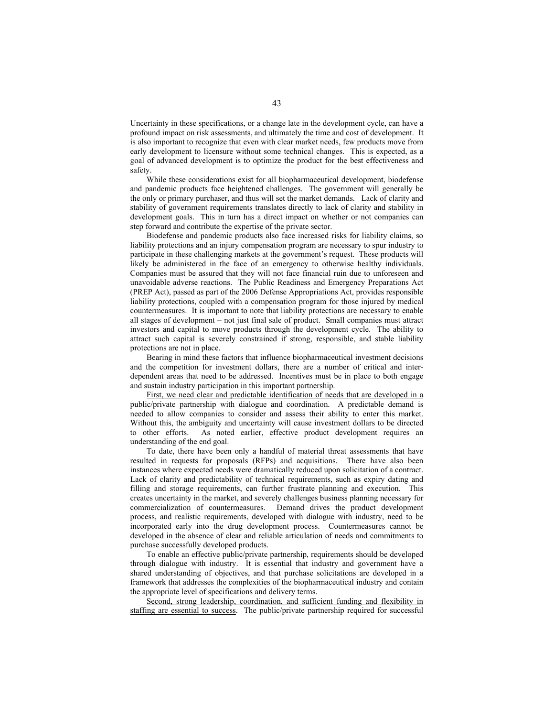Uncertainty in these specifications, or a change late in the development cycle, can have a profound impact on risk assessments, and ultimately the time and cost of development. It is also important to recognize that even with clear market needs, few products move from early development to licensure without some technical changes. This is expected, as a goal of advanced development is to optimize the product for the best effectiveness and safety.

While these considerations exist for all biopharmaceutical development, biodefense and pandemic products face heightened challenges. The government will generally be the only or primary purchaser, and thus will set the market demands. Lack of clarity and stability of government requirements translates directly to lack of clarity and stability in development goals. This in turn has a direct impact on whether or not companies can step forward and contribute the expertise of the private sector.

Biodefense and pandemic products also face increased risks for liability claims, so liability protections and an injury compensation program are necessary to spur industry to participate in these challenging markets at the government's request. These products will likely be administered in the face of an emergency to otherwise healthy individuals. Companies must be assured that they will not face financial ruin due to unforeseen and unavoidable adverse reactions. The Public Readiness and Emergency Preparations Act (PREP Act), passed as part of the 2006 Defense Appropriations Act, provides responsible liability protections, coupled with a compensation program for those injured by medical countermeasures. It is important to note that liability protections are necessary to enable all stages of development – not just final sale of product. Small companies must attract investors and capital to move products through the development cycle. The ability to attract such capital is severely constrained if strong, responsible, and stable liability protections are not in place.

Bearing in mind these factors that influence biopharmaceutical investment decisions and the competition for investment dollars, there are a number of critical and interdependent areas that need to be addressed. Incentives must be in place to both engage and sustain industry participation in this important partnership.

First, we need clear and predictable identification of needs that are developed in a public/private partnership with dialogue and coordination. A predictable demand is needed to allow companies to consider and assess their ability to enter this market. Without this, the ambiguity and uncertainty will cause investment dollars to be directed to other efforts. As noted earlier, effective product development requires an understanding of the end goal.

To date, there have been only a handful of material threat assessments that have resulted in requests for proposals (RFPs) and acquisitions. There have also been instances where expected needs were dramatically reduced upon solicitation of a contract. Lack of clarity and predictability of technical requirements, such as expiry dating and filling and storage requirements, can further frustrate planning and execution. This creates uncertainty in the market, and severely challenges business planning necessary for commercialization of countermeasures. Demand drives the product development process, and realistic requirements, developed with dialogue with industry, need to be incorporated early into the drug development process. Countermeasures cannot be developed in the absence of clear and reliable articulation of needs and commitments to purchase successfully developed products.

To enable an effective public/private partnership, requirements should be developed through dialogue with industry. It is essential that industry and government have a shared understanding of objectives, and that purchase solicitations are developed in a framework that addresses the complexities of the biopharmaceutical industry and contain the appropriate level of specifications and delivery terms.

Second, strong leadership, coordination, and sufficient funding and flexibility in staffing are essential to success. The public/private partnership required for successful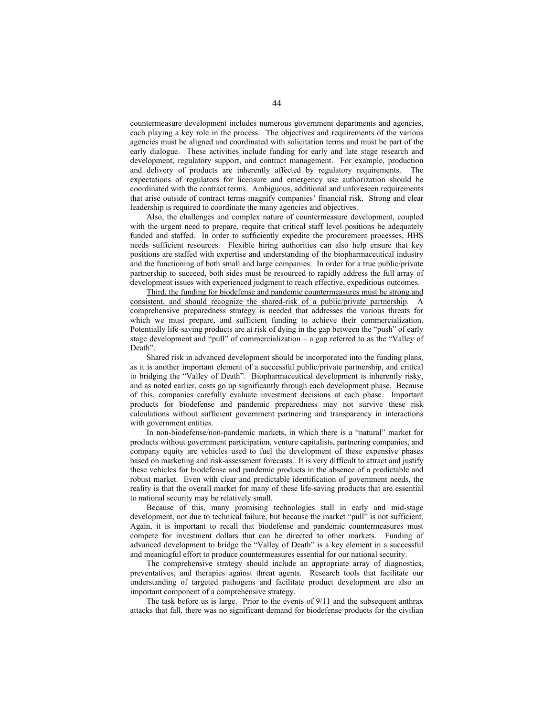countermeasure development includes numerous government departments and agencies, each playing a key role in the process. The objectives and requirements of the various agencies must be aligned and coordinated with solicitation terms and must be part of the early dialogue. These activities include funding for early and late stage research and development, regulatory support, and contract management. For example, production and delivery of products are inherently affected by regulatory requirements. The expectations of regulators for licensure and emergency use authorization should be coordinated with the contract terms. Ambiguous, additional and unforeseen requirements that arise outside of contract terms magnify companies' financial risk. Strong and clear leadership is required to coordinate the many agencies and objectives.

Also, the challenges and complex nature of countermeasure development, coupled with the urgent need to prepare, require that critical staff level positions be adequately funded and staffed. In order to sufficiently expedite the procurement processes, HHS needs sufficient resources. Flexible hiring authorities can also help ensure that key positions are staffed with expertise and understanding of the biopharmaceutical industry and the functioning of both small and large companies. In order for a true public/private partnership to succeed, both sides must be resourced to rapidly address the full array of development issues with experienced judgment to reach effective, expeditious outcomes.

Third, the funding for biodefense and pandemic countermeasures must be strong and consistent, and should recognize the shared-risk of a public/private partnership. A comprehensive preparedness strategy is needed that addresses the various threats for which we must prepare, and sufficient funding to achieve their commercialization. Potentially life-saving products are at risk of dying in the gap between the "push" of early stage development and "pull" of commercialization – a gap referred to as the "Valley of Death".

Shared risk in advanced development should be incorporated into the funding plans, as it is another important element of a successful public/private partnership, and critical to bridging the "Valley of Death". Biopharmaceutical development is inherently risky, and as noted earlier, costs go up significantly through each development phase. Because of this, companies carefully evaluate investment decisions at each phase. Important products for biodefense and pandemic preparedness may not survive these risk calculations without sufficient government partnering and transparency in interactions with government entities.

In non-biodefense/non-pandemic markets, in which there is a "natural" market for products without government participation, venture capitalists, partnering companies, and company equity are vehicles used to fuel the development of these expensive phases based on marketing and risk-assessment forecasts. It is very difficult to attract and justify these vehicles for biodefense and pandemic products in the absence of a predictable and robust market. Even with clear and predictable identification of government needs, the reality is that the overall market for many of these life-saving products that are essential to national security may be relatively small.

Because of this, many promising technologies stall in early and mid-stage development, not due to technical failure, but because the market "pull" is not sufficient. Again, it is important to recall that biodefense and pandemic countermeasures must compete for investment dollars that can be directed to other markets. Funding of advanced development to bridge the "Valley of Death" is a key element in a successful and meaningful effort to produce countermeasures essential for our national security.

The comprehensive strategy should include an appropriate array of diagnostics, preventatives, and therapies against threat agents. Research tools that facilitate our understanding of targeted pathogens and facilitate product development are also an important component of a comprehensive strategy.

The task before us is large. Prior to the events of 9/11 and the subsequent anthrax attacks that fall, there was no significant demand for biodefense products for the civilian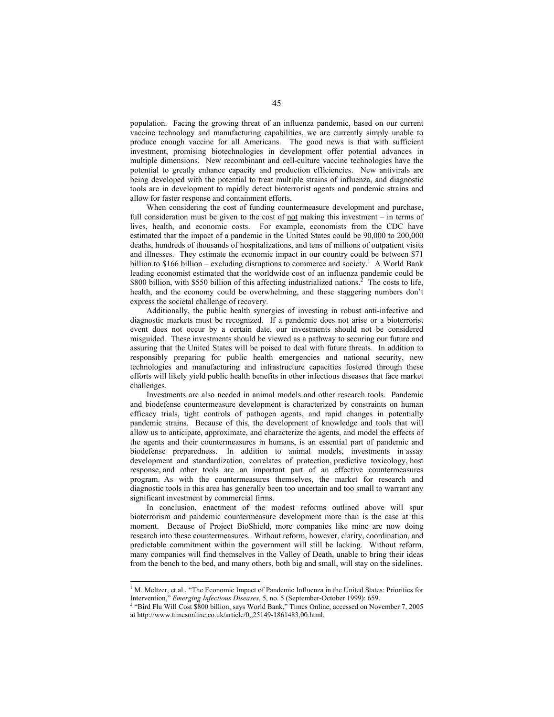population. Facing the growing threat of an influenza pandemic, based on our current vaccine technology and manufacturing capabilities, we are currently simply unable to produce enough vaccine for all Americans. The good news is that with sufficient investment, promising biotechnologies in development offer potential advances in multiple dimensions. New recombinant and cell-culture vaccine technologies have the potential to greatly enhance capacity and production efficiencies. New antivirals are being developed with the potential to treat multiple strains of influenza, and diagnostic tools are in development to rapidly detect bioterrorist agents and pandemic strains and allow for faster response and containment efforts.

When considering the cost of funding countermeasure development and purchase, full consideration must be given to the cost of <u>not</u> making this investment – in terms of lives, health, and economic costs. For example, economists from the CDC have estimated that the impact of a pandemic in the United States could be 90,000 to 200,000 deaths, hundreds of thousands of hospitalizations, and tens of millions of outpatient visits and illnesses. They estimate the economic impact in our country could be between \$71 billion to \$166 billion – excluding disruptions to commerce and society.<sup>1</sup> A World Bank leading economist estimated that the worldwide cost of an influenza pandemic could be \$800 billion, with \$550 billion of this affecting industrialized nations.<sup>2</sup> The costs to life, health, and the economy could be overwhelming, and these staggering numbers don't express the societal challenge of recovery.

Additionally, the public health synergies of investing in robust anti-infective and diagnostic markets must be recognized. If a pandemic does not arise or a bioterrorist event does not occur by a certain date, our investments should not be considered misguided. These investments should be viewed as a pathway to securing our future and assuring that the United States will be poised to deal with future threats. In addition to responsibly preparing for public health emergencies and national security, new technologies and manufacturing and infrastructure capacities fostered through these efforts will likely yield public health benefits in other infectious diseases that face market challenges.

Investments are also needed in animal models and other research tools. Pandemic and biodefense countermeasure development is characterized by constraints on human efficacy trials, tight controls of pathogen agents, and rapid changes in potentially pandemic strains. Because of this, the development of knowledge and tools that will allow us to anticipate, approximate, and characterize the agents, and model the effects of the agents and their countermeasures in humans, is an essential part of pandemic and biodefense preparedness. In addition to animal models, investments in assay development and standardization, correlates of protection, predictive toxicology, host response, and other tools are an important part of an effective countermeasures program. As with the countermeasures themselves, the market for research and diagnostic tools in this area has generally been too uncertain and too small to warrant any significant investment by commercial firms.

In conclusion, enactment of the modest reforms outlined above will spur bioterrorism and pandemic countermeasure development more than is the case at this moment. Because of Project BioShield, more companies like mine are now doing research into these countermeasures. Without reform, however, clarity, coordination, and predictable commitment within the government will still be lacking. Without reform, many companies will find themselves in the Valley of Death, unable to bring their ideas from the bench to the bed, and many others, both big and small, will stay on the sidelines.

 $\overline{a}$ 

<sup>&</sup>lt;sup>1</sup> M. Meltzer, et al., "The Economic Impact of Pandemic Influenza in the United States: Priorities for Intervention," *Emerging Infectious Diseases*, 5, no. 5 (September-October 1999): 659.<br><sup>2</sup> "Bird Flu Will Cost \$800 billion, says World Bank," Times Online, accessed on November 7, 2005

at http://www.timesonline.co.uk/article/0,,25149-1861483,00.html.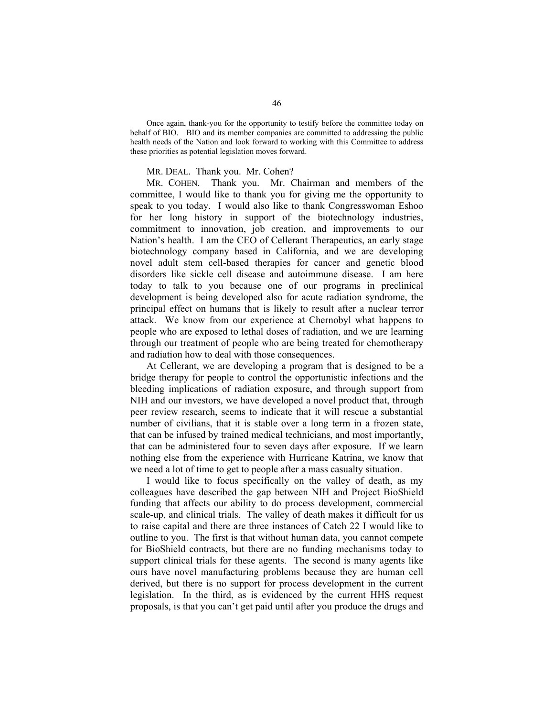Once again, thank-you for the opportunity to testify before the committee today on behalf of BIO. BIO and its member companies are committed to addressing the public health needs of the Nation and look forward to working with this Committee to address these priorities as potential legislation moves forward.

# MR. DEAL. Thank you. Mr. Cohen?

MR. COHEN. Thank you. Mr. Chairman and members of the committee, I would like to thank you for giving me the opportunity to speak to you today. I would also like to thank Congresswoman Eshoo for her long history in support of the biotechnology industries, commitment to innovation, job creation, and improvements to our Nation's health. I am the CEO of Cellerant Therapeutics, an early stage biotechnology company based in California, and we are developing novel adult stem cell-based therapies for cancer and genetic blood disorders like sickle cell disease and autoimmune disease. I am here today to talk to you because one of our programs in preclinical development is being developed also for acute radiation syndrome, the principal effect on humans that is likely to result after a nuclear terror attack. We know from our experience at Chernobyl what happens to people who are exposed to lethal doses of radiation, and we are learning through our treatment of people who are being treated for chemotherapy and radiation how to deal with those consequences.

 At Cellerant, we are developing a program that is designed to be a bridge therapy for people to control the opportunistic infections and the bleeding implications of radiation exposure, and through support from NIH and our investors, we have developed a novel product that, through peer review research, seems to indicate that it will rescue a substantial number of civilians, that it is stable over a long term in a frozen state, that can be infused by trained medical technicians, and most importantly, that can be administered four to seven days after exposure. If we learn nothing else from the experience with Hurricane Katrina, we know that we need a lot of time to get to people after a mass casualty situation.

 I would like to focus specifically on the valley of death, as my colleagues have described the gap between NIH and Project BioShield funding that affects our ability to do process development, commercial scale-up, and clinical trials. The valley of death makes it difficult for us to raise capital and there are three instances of Catch 22 I would like to outline to you. The first is that without human data, you cannot compete for BioShield contracts, but there are no funding mechanisms today to support clinical trials for these agents. The second is many agents like ours have novel manufacturing problems because they are human cell derived, but there is no support for process development in the current legislation. In the third, as is evidenced by the current HHS request proposals, is that you can't get paid until after you produce the drugs and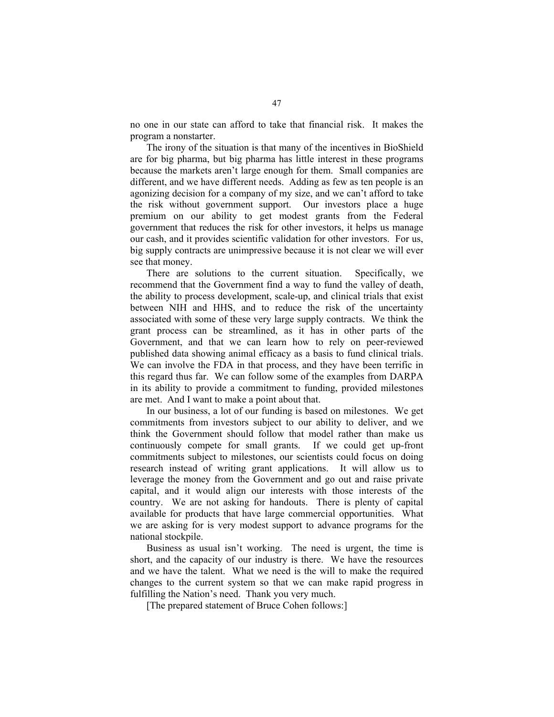no one in our state can afford to take that financial risk. It makes the program a nonstarter.

 The irony of the situation is that many of the incentives in BioShield are for big pharma, but big pharma has little interest in these programs because the markets aren't large enough for them. Small companies are different, and we have different needs. Adding as few as ten people is an agonizing decision for a company of my size, and we can't afford to take the risk without government support. Our investors place a huge premium on our ability to get modest grants from the Federal government that reduces the risk for other investors, it helps us manage our cash, and it provides scientific validation for other investors. For us, big supply contracts are unimpressive because it is not clear we will ever see that money.

 There are solutions to the current situation. Specifically, we recommend that the Government find a way to fund the valley of death, the ability to process development, scale-up, and clinical trials that exist between NIH and HHS, and to reduce the risk of the uncertainty associated with some of these very large supply contracts. We think the grant process can be streamlined, as it has in other parts of the Government, and that we can learn how to rely on peer-reviewed published data showing animal efficacy as a basis to fund clinical trials. We can involve the FDA in that process, and they have been terrific in this regard thus far. We can follow some of the examples from DARPA in its ability to provide a commitment to funding, provided milestones are met. And I want to make a point about that.

 In our business, a lot of our funding is based on milestones. We get commitments from investors subject to our ability to deliver, and we think the Government should follow that model rather than make us continuously compete for small grants. If we could get up-front commitments subject to milestones, our scientists could focus on doing research instead of writing grant applications. It will allow us to leverage the money from the Government and go out and raise private capital, and it would align our interests with those interests of the country. We are not asking for handouts. There is plenty of capital available for products that have large commercial opportunities. What we are asking for is very modest support to advance programs for the national stockpile.

 Business as usual isn't working. The need is urgent, the time is short, and the capacity of our industry is there. We have the resources and we have the talent. What we need is the will to make the required changes to the current system so that we can make rapid progress in fulfilling the Nation's need. Thank you very much.

[The prepared statement of Bruce Cohen follows:]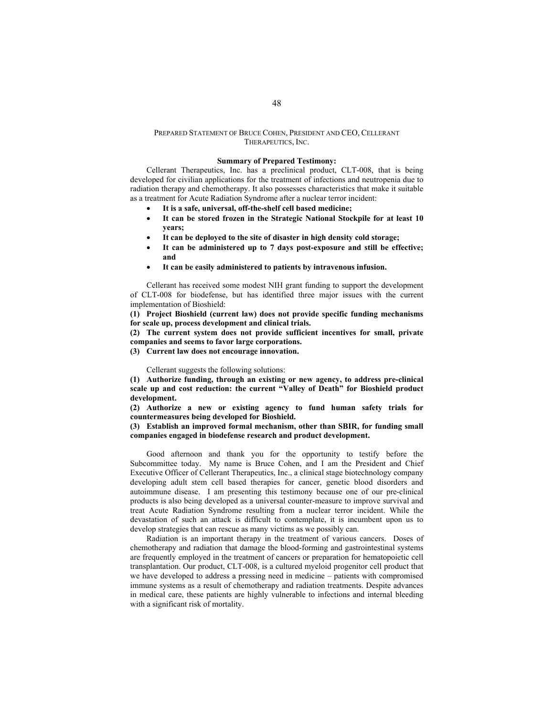# PREPARED STATEMENT OF BRUCE COHEN, PRESIDENT AND CEO, CELLERANT THERAPEUTICS, INC.

### **Summary of Prepared Testimony:**

Cellerant Therapeutics, Inc. has a preclinical product, CLT-008, that is being developed for civilian applications for the treatment of infections and neutropenia due to radiation therapy and chemotherapy. It also possesses characteristics that make it suitable as a treatment for Acute Radiation Syndrome after a nuclear terror incident:

- **It is a safe, universal, off-the-shelf cell based medicine;**
- **It can be stored frozen in the Strategic National Stockpile for at least 10 years;**
- **It can be deployed to the site of disaster in high density cold storage;**
- **It can be administered up to 7 days post-exposure and still be effective; and**
- **It can be easily administered to patients by intravenous infusion.**

Cellerant has received some modest NIH grant funding to support the development of CLT-008 for biodefense, but has identified three major issues with the current implementation of Bioshield:

**(1) Project Bioshield (current law) does not provide specific funding mechanisms for scale up, process development and clinical trials.** 

**(2) The current system does not provide sufficient incentives for small, private companies and seems to favor large corporations.** 

**(3) Current law does not encourage innovation.**

Cellerant suggests the following solutions:

**(1) Authorize funding, through an existing or new agency, to address pre-clinical**  scale up and cost reduction: the current "Valley of Death" for Bioshield product **development.** 

**(2) Authorize a new or existing agency to fund human safety trials for countermeasures being developed for Bioshield.** 

**(3) Establish an improved formal mechanism, other than SBIR, for funding small companies engaged in biodefense research and product development.** 

Good afternoon and thank you for the opportunity to testify before the Subcommittee today. My name is Bruce Cohen, and I am the President and Chief Executive Officer of Cellerant Therapeutics, Inc., a clinical stage biotechnology company developing adult stem cell based therapies for cancer, genetic blood disorders and autoimmune disease. I am presenting this testimony because one of our pre-clinical products is also being developed as a universal counter-measure to improve survival and treat Acute Radiation Syndrome resulting from a nuclear terror incident. While the devastation of such an attack is difficult to contemplate, it is incumbent upon us to develop strategies that can rescue as many victims as we possibly can.

Radiation is an important therapy in the treatment of various cancers. Doses of chemotherapy and radiation that damage the blood-forming and gastrointestinal systems are frequently employed in the treatment of cancers or preparation for hematopoietic cell transplantation. Our product, CLT-008, is a cultured myeloid progenitor cell product that we have developed to address a pressing need in medicine – patients with compromised immune systems as a result of chemotherapy and radiation treatments. Despite advances in medical care, these patients are highly vulnerable to infections and internal bleeding with a significant risk of mortality.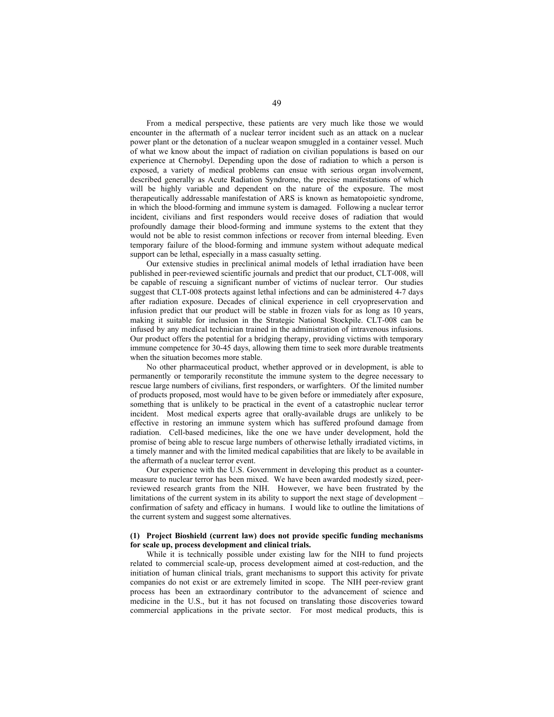From a medical perspective, these patients are very much like those we would encounter in the aftermath of a nuclear terror incident such as an attack on a nuclear power plant or the detonation of a nuclear weapon smuggled in a container vessel. Much of what we know about the impact of radiation on civilian populations is based on our experience at Chernobyl. Depending upon the dose of radiation to which a person is exposed, a variety of medical problems can ensue with serious organ involvement, described generally as Acute Radiation Syndrome, the precise manifestations of which will be highly variable and dependent on the nature of the exposure. The most therapeutically addressable manifestation of ARS is known as hematopoietic syndrome, in which the blood-forming and immune system is damaged. Following a nuclear terror incident, civilians and first responders would receive doses of radiation that would profoundly damage their blood-forming and immune systems to the extent that they would not be able to resist common infections or recover from internal bleeding. Even temporary failure of the blood-forming and immune system without adequate medical support can be lethal, especially in a mass casualty setting.

Our extensive studies in preclinical animal models of lethal irradiation have been published in peer-reviewed scientific journals and predict that our product, CLT-008, will be capable of rescuing a significant number of victims of nuclear terror. Our studies suggest that CLT-008 protects against lethal infections and can be administered 4-7 days after radiation exposure. Decades of clinical experience in cell cryopreservation and infusion predict that our product will be stable in frozen vials for as long as 10 years, making it suitable for inclusion in the Strategic National Stockpile. CLT-008 can be infused by any medical technician trained in the administration of intravenous infusions. Our product offers the potential for a bridging therapy, providing victims with temporary immune competence for 30-45 days, allowing them time to seek more durable treatments when the situation becomes more stable.

No other pharmaceutical product, whether approved or in development, is able to permanently or temporarily reconstitute the immune system to the degree necessary to rescue large numbers of civilians, first responders, or warfighters. Of the limited number of products proposed, most would have to be given before or immediately after exposure, something that is unlikely to be practical in the event of a catastrophic nuclear terror incident. Most medical experts agree that orally-available drugs are unlikely to be effective in restoring an immune system which has suffered profound damage from radiation. Cell-based medicines, like the one we have under development, hold the promise of being able to rescue large numbers of otherwise lethally irradiated victims, in a timely manner and with the limited medical capabilities that are likely to be available in the aftermath of a nuclear terror event.

Our experience with the U.S. Government in developing this product as a countermeasure to nuclear terror has been mixed. We have been awarded modestly sized, peerreviewed research grants from the NIH. However, we have been frustrated by the limitations of the current system in its ability to support the next stage of development – confirmation of safety and efficacy in humans. I would like to outline the limitations of the current system and suggest some alternatives.

#### **(1) Project Bioshield (current law) does not provide specific funding mechanisms for scale up, process development and clinical trials.**

While it is technically possible under existing law for the NIH to fund projects related to commercial scale-up, process development aimed at cost-reduction, and the initiation of human clinical trials, grant mechanisms to support this activity for private companies do not exist or are extremely limited in scope. The NIH peer-review grant process has been an extraordinary contributor to the advancement of science and medicine in the U.S., but it has not focused on translating those discoveries toward commercial applications in the private sector. For most medical products, this is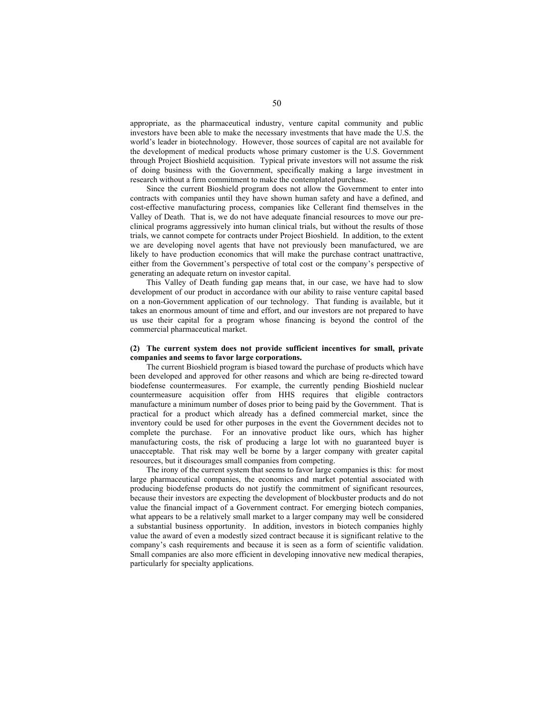appropriate, as the pharmaceutical industry, venture capital community and public investors have been able to make the necessary investments that have made the U.S. the world's leader in biotechnology. However, those sources of capital are not available for the development of medical products whose primary customer is the U.S. Government through Project Bioshield acquisition. Typical private investors will not assume the risk of doing business with the Government, specifically making a large investment in research without a firm commitment to make the contemplated purchase.

Since the current Bioshield program does not allow the Government to enter into contracts with companies until they have shown human safety and have a defined, and cost-effective manufacturing process, companies like Cellerant find themselves in the Valley of Death. That is, we do not have adequate financial resources to move our preclinical programs aggressively into human clinical trials, but without the results of those trials, we cannot compete for contracts under Project Bioshield. In addition, to the extent we are developing novel agents that have not previously been manufactured, we are likely to have production economics that will make the purchase contract unattractive, either from the Government's perspective of total cost or the company's perspective of generating an adequate return on investor capital.

This Valley of Death funding gap means that, in our case, we have had to slow development of our product in accordance with our ability to raise venture capital based on a non-Government application of our technology. That funding is available, but it takes an enormous amount of time and effort, and our investors are not prepared to have us use their capital for a program whose financing is beyond the control of the commercial pharmaceutical market.

### **(2) The current system does not provide sufficient incentives for small, private companies and seems to favor large corporations.**

The current Bioshield program is biased toward the purchase of products which have been developed and approved for other reasons and which are being re-directed toward biodefense countermeasures. For example, the currently pending Bioshield nuclear countermeasure acquisition offer from HHS requires that eligible contractors manufacture a minimum number of doses prior to being paid by the Government. That is practical for a product which already has a defined commercial market, since the inventory could be used for other purposes in the event the Government decides not to complete the purchase. For an innovative product like ours, which has higher manufacturing costs, the risk of producing a large lot with no guaranteed buyer is unacceptable. That risk may well be borne by a larger company with greater capital resources, but it discourages small companies from competing.

The irony of the current system that seems to favor large companies is this: for most large pharmaceutical companies, the economics and market potential associated with producing biodefense products do not justify the commitment of significant resources, because their investors are expecting the development of blockbuster products and do not value the financial impact of a Government contract. For emerging biotech companies, what appears to be a relatively small market to a larger company may well be considered a substantial business opportunity. In addition, investors in biotech companies highly value the award of even a modestly sized contract because it is significant relative to the company's cash requirements and because it is seen as a form of scientific validation. Small companies are also more efficient in developing innovative new medical therapies, particularly for specialty applications.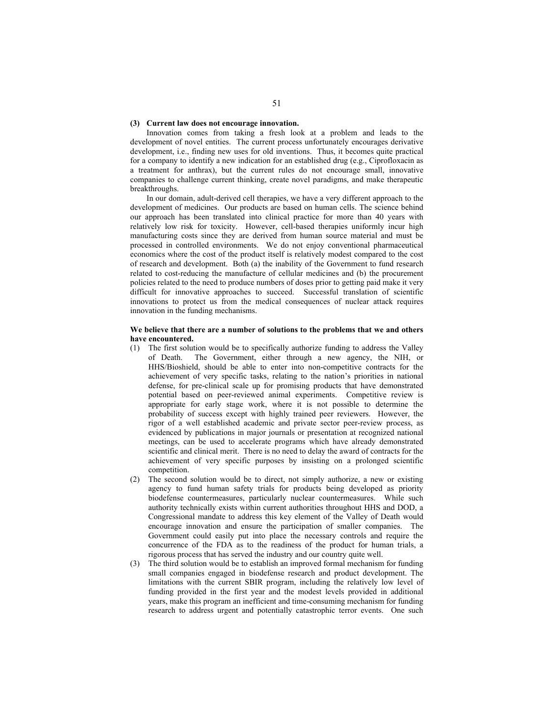### **(3) Current law does not encourage innovation.**

Innovation comes from taking a fresh look at a problem and leads to the development of novel entities. The current process unfortunately encourages derivative development, i.e., finding new uses for old inventions. Thus, it becomes quite practical for a company to identify a new indication for an established drug (e.g., Ciprofloxacin as a treatment for anthrax), but the current rules do not encourage small, innovative companies to challenge current thinking, create novel paradigms, and make therapeutic breakthroughs.

In our domain, adult-derived cell therapies, we have a very different approach to the development of medicines. Our products are based on human cells. The science behind our approach has been translated into clinical practice for more than 40 years with relatively low risk for toxicity. However, cell-based therapies uniformly incur high manufacturing costs since they are derived from human source material and must be processed in controlled environments. We do not enjoy conventional pharmaceutical economics where the cost of the product itself is relatively modest compared to the cost of research and development. Both (a) the inability of the Government to fund research related to cost-reducing the manufacture of cellular medicines and (b) the procurement policies related to the need to produce numbers of doses prior to getting paid make it very difficult for innovative approaches to succeed. Successful translation of scientific innovations to protect us from the medical consequences of nuclear attack requires innovation in the funding mechanisms.

# **We believe that there are a number of solutions to the problems that we and others have encountered.**

- (1) The first solution would be to specifically authorize funding to address the Valley of Death. The Government, either through a new agency, the NIH, or The Government, either through a new agency, the NIH, or HHS/Bioshield, should be able to enter into non-competitive contracts for the achievement of very specific tasks, relating to the nation's priorities in national defense, for pre-clinical scale up for promising products that have demonstrated potential based on peer-reviewed animal experiments. Competitive review is appropriate for early stage work, where it is not possible to determine the probability of success except with highly trained peer reviewers. However, the rigor of a well established academic and private sector peer-review process, as evidenced by publications in major journals or presentation at recognized national meetings, can be used to accelerate programs which have already demonstrated scientific and clinical merit. There is no need to delay the award of contracts for the achievement of very specific purposes by insisting on a prolonged scientific competition.
- (2) The second solution would be to direct, not simply authorize, a new or existing agency to fund human safety trials for products being developed as priority biodefense countermeasures, particularly nuclear countermeasures. While such authority technically exists within current authorities throughout HHS and DOD, a Congressional mandate to address this key element of the Valley of Death would encourage innovation and ensure the participation of smaller companies. The Government could easily put into place the necessary controls and require the concurrence of the FDA as to the readiness of the product for human trials, a rigorous process that has served the industry and our country quite well.
- (3) The third solution would be to establish an improved formal mechanism for funding small companies engaged in biodefense research and product development. The limitations with the current SBIR program, including the relatively low level of funding provided in the first year and the modest levels provided in additional years, make this program an inefficient and time-consuming mechanism for funding research to address urgent and potentially catastrophic terror events. One such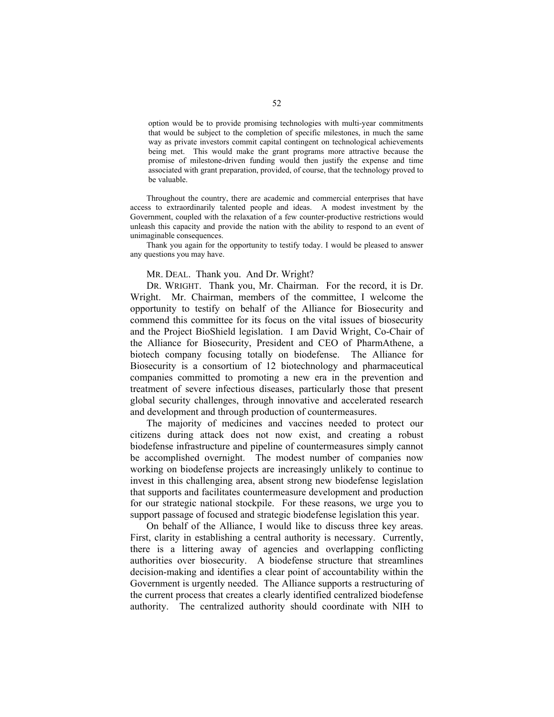option would be to provide promising technologies with multi-year commitments that would be subject to the completion of specific milestones, in much the same way as private investors commit capital contingent on technological achievements being met. This would make the grant programs more attractive because the promise of milestone-driven funding would then justify the expense and time associated with grant preparation, provided, of course, that the technology proved to be valuable.

Throughout the country, there are academic and commercial enterprises that have access to extraordinarily talented people and ideas. A modest investment by the Government, coupled with the relaxation of a few counter-productive restrictions would unleash this capacity and provide the nation with the ability to respond to an event of unimaginable consequences.

Thank you again for the opportunity to testify today. I would be pleased to answer any questions you may have.

# MR. DEAL. Thank you. And Dr. Wright?

DR. WRIGHT. Thank you, Mr. Chairman. For the record, it is Dr. Wright. Mr. Chairman, members of the committee, I welcome the opportunity to testify on behalf of the Alliance for Biosecurity and commend this committee for its focus on the vital issues of biosecurity and the Project BioShield legislation. I am David Wright, Co-Chair of the Alliance for Biosecurity, President and CEO of PharmAthene, a biotech company focusing totally on biodefense. The Alliance for Biosecurity is a consortium of 12 biotechnology and pharmaceutical companies committed to promoting a new era in the prevention and treatment of severe infectious diseases, particularly those that present global security challenges, through innovative and accelerated research and development and through production of countermeasures.

 The majority of medicines and vaccines needed to protect our citizens during attack does not now exist, and creating a robust biodefense infrastructure and pipeline of countermeasures simply cannot be accomplished overnight. The modest number of companies now working on biodefense projects are increasingly unlikely to continue to invest in this challenging area, absent strong new biodefense legislation that supports and facilitates countermeasure development and production for our strategic national stockpile. For these reasons, we urge you to support passage of focused and strategic biodefense legislation this year.

 On behalf of the Alliance, I would like to discuss three key areas. First, clarity in establishing a central authority is necessary. Currently, there is a littering away of agencies and overlapping conflicting authorities over biosecurity. A biodefense structure that streamlines decision-making and identifies a clear point of accountability within the Government is urgently needed. The Alliance supports a restructuring of the current process that creates a clearly identified centralized biodefense authority. The centralized authority should coordinate with NIH to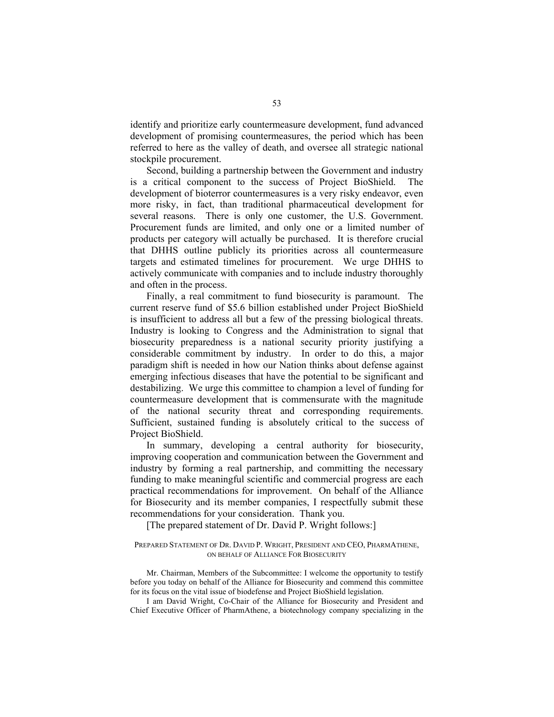identify and prioritize early countermeasure development, fund advanced development of promising countermeasures, the period which has been referred to here as the valley of death, and oversee all strategic national stockpile procurement.

 Second, building a partnership between the Government and industry is a critical component to the success of Project BioShield. The development of bioterror countermeasures is a very risky endeavor, even more risky, in fact, than traditional pharmaceutical development for several reasons. There is only one customer, the U.S. Government. Procurement funds are limited, and only one or a limited number of products per category will actually be purchased. It is therefore crucial that DHHS outline publicly its priorities across all countermeasure targets and estimated timelines for procurement. We urge DHHS to actively communicate with companies and to include industry thoroughly and often in the process.

 Finally, a real commitment to fund biosecurity is paramount. The current reserve fund of \$5.6 billion established under Project BioShield is insufficient to address all but a few of the pressing biological threats. Industry is looking to Congress and the Administration to signal that biosecurity preparedness is a national security priority justifying a considerable commitment by industry. In order to do this, a major paradigm shift is needed in how our Nation thinks about defense against emerging infectious diseases that have the potential to be significant and destabilizing. We urge this committee to champion a level of funding for countermeasure development that is commensurate with the magnitude of the national security threat and corresponding requirements. Sufficient, sustained funding is absolutely critical to the success of Project BioShield.

 In summary, developing a central authority for biosecurity, improving cooperation and communication between the Government and industry by forming a real partnership, and committing the necessary funding to make meaningful scientific and commercial progress are each practical recommendations for improvement. On behalf of the Alliance for Biosecurity and its member companies, I respectfully submit these recommendations for your consideration. Thank you.

[The prepared statement of Dr. David P. Wright follows:]

# PREPARED STATEMENT OF DR. DAVID P. WRIGHT, PRESIDENT AND CEO, PHARMATHENE, ON BEHALF OF ALLIANCE FOR BIOSECURITY

Mr. Chairman, Members of the Subcommittee: I welcome the opportunity to testify before you today on behalf of the Alliance for Biosecurity and commend this committee for its focus on the vital issue of biodefense and Project BioShield legislation.

I am David Wright, Co-Chair of the Alliance for Biosecurity and President and Chief Executive Officer of PharmAthene, a biotechnology company specializing in the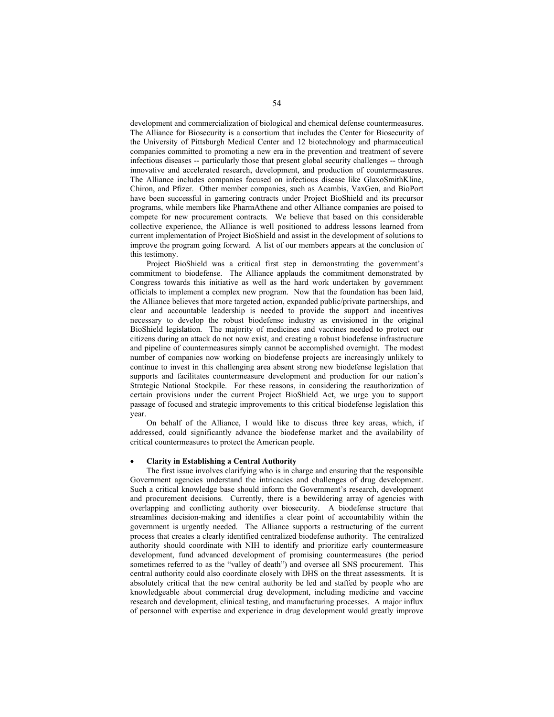development and commercialization of biological and chemical defense countermeasures. The Alliance for Biosecurity is a consortium that includes the Center for Biosecurity of the University of Pittsburgh Medical Center and 12 biotechnology and pharmaceutical companies committed to promoting a new era in the prevention and treatment of severe infectious diseases -- particularly those that present global security challenges -- through innovative and accelerated research, development, and production of countermeasures. The Alliance includes companies focused on infectious disease like GlaxoSmithKline, Chiron, and Pfizer. Other member companies, such as Acambis, VaxGen, and BioPort have been successful in garnering contracts under Project BioShield and its precursor programs, while members like PharmAthene and other Alliance companies are poised to compete for new procurement contracts. We believe that based on this considerable collective experience, the Alliance is well positioned to address lessons learned from current implementation of Project BioShield and assist in the development of solutions to improve the program going forward. A list of our members appears at the conclusion of this testimony.

Project BioShield was a critical first step in demonstrating the government's commitment to biodefense. The Alliance applauds the commitment demonstrated by Congress towards this initiative as well as the hard work undertaken by government officials to implement a complex new program. Now that the foundation has been laid, the Alliance believes that more targeted action, expanded public/private partnerships, and clear and accountable leadership is needed to provide the support and incentives necessary to develop the robust biodefense industry as envisioned in the original BioShield legislation. The majority of medicines and vaccines needed to protect our citizens during an attack do not now exist, and creating a robust biodefense infrastructure and pipeline of countermeasures simply cannot be accomplished overnight. The modest number of companies now working on biodefense projects are increasingly unlikely to continue to invest in this challenging area absent strong new biodefense legislation that supports and facilitates countermeasure development and production for our nation's Strategic National Stockpile. For these reasons, in considering the reauthorization of certain provisions under the current Project BioShield Act, we urge you to support passage of focused and strategic improvements to this critical biodefense legislation this year.

On behalf of the Alliance, I would like to discuss three key areas, which, if addressed, could significantly advance the biodefense market and the availability of critical countermeasures to protect the American people.

#### • **Clarity in Establishing a Central Authority**

The first issue involves clarifying who is in charge and ensuring that the responsible Government agencies understand the intricacies and challenges of drug development. Such a critical knowledge base should inform the Government's research, development and procurement decisions. Currently, there is a bewildering array of agencies with overlapping and conflicting authority over biosecurity. A biodefense structure that streamlines decision-making and identifies a clear point of accountability within the government is urgently needed. The Alliance supports a restructuring of the current process that creates a clearly identified centralized biodefense authority. The centralized authority should coordinate with NIH to identify and prioritize early countermeasure development, fund advanced development of promising countermeasures (the period sometimes referred to as the "valley of death") and oversee all SNS procurement. This central authority could also coordinate closely with DHS on the threat assessments. It is absolutely critical that the new central authority be led and staffed by people who are knowledgeable about commercial drug development, including medicine and vaccine research and development, clinical testing, and manufacturing processes. A major influx of personnel with expertise and experience in drug development would greatly improve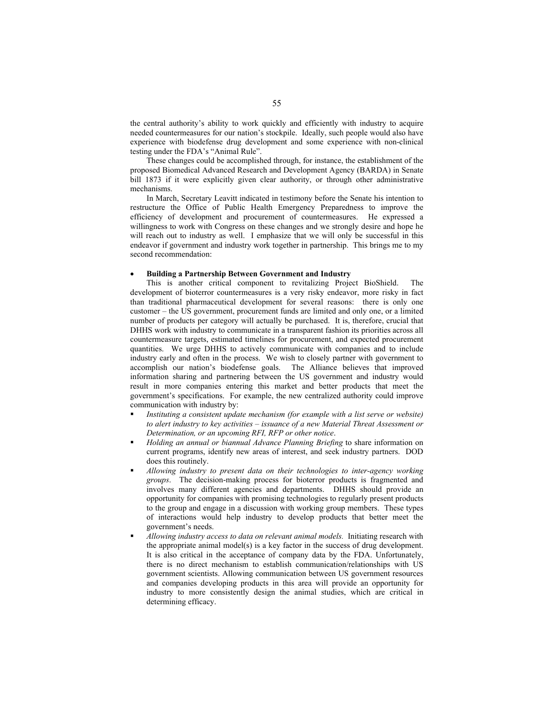the central authority's ability to work quickly and efficiently with industry to acquire needed countermeasures for our nation's stockpile. Ideally, such people would also have experience with biodefense drug development and some experience with non-clinical testing under the FDA's "Animal Rule".

These changes could be accomplished through, for instance, the establishment of the proposed Biomedical Advanced Research and Development Agency (BARDA) in Senate bill 1873 if it were explicitly given clear authority, or through other administrative mechanisms.

In March, Secretary Leavitt indicated in testimony before the Senate his intention to restructure the Office of Public Health Emergency Preparedness to improve the efficiency of development and procurement of countermeasures. He expressed a willingness to work with Congress on these changes and we strongly desire and hope he will reach out to industry as well. I emphasize that we will only be successful in this endeavor if government and industry work together in partnership. This brings me to my second recommendation:

# • **Building a Partnership Between Government and Industry**

This is another critical component to revitalizing Project BioShield.The development of bioterror countermeasures is a very risky endeavor, more risky in fact than traditional pharmaceutical development for several reasons: there is only one customer – the US government, procurement funds are limited and only one, or a limited number of products per category will actually be purchased. It is, therefore, crucial that DHHS work with industry to communicate in a transparent fashion its priorities across all countermeasure targets, estimated timelines for procurement, and expected procurement quantities. We urge DHHS to actively communicate with companies and to include industry early and often in the process. We wish to closely partner with government to accomplish our nation's biodefense goals. The Alliance believes that improved information sharing and partnering between the US government and industry would result in more companies entering this market and better products that meet the government's specifications. For example, the new centralized authority could improve communication with industry by:

- *Instituting a consistent update mechanism (for example with a list serve or website) to alert industry to key activities – issuance of a new Material Threat Assessment or Determination, or an upcoming RFI, RFP or other notice*.
- *Holding an annual or biannual Advance Planning Briefing* to share information on current programs, identify new areas of interest, and seek industry partners. DOD does this routinely.
- *Allowing industry to present data on their technologies to inter-agency working groups*. The decision-making process for bioterror products is fragmented and involves many different agencies and departments. DHHS should provide an opportunity for companies with promising technologies to regularly present products to the group and engage in a discussion with working group members. These types of interactions would help industry to develop products that better meet the government's needs.
- *Allowing industry access to data on relevant animal models.* Initiating research with the appropriate animal model(s) is a key factor in the success of drug development. It is also critical in the acceptance of company data by the FDA. Unfortunately, there is no direct mechanism to establish communication/relationships with US government scientists. Allowing communication between US government resources and companies developing products in this area will provide an opportunity for industry to more consistently design the animal studies, which are critical in determining efficacy.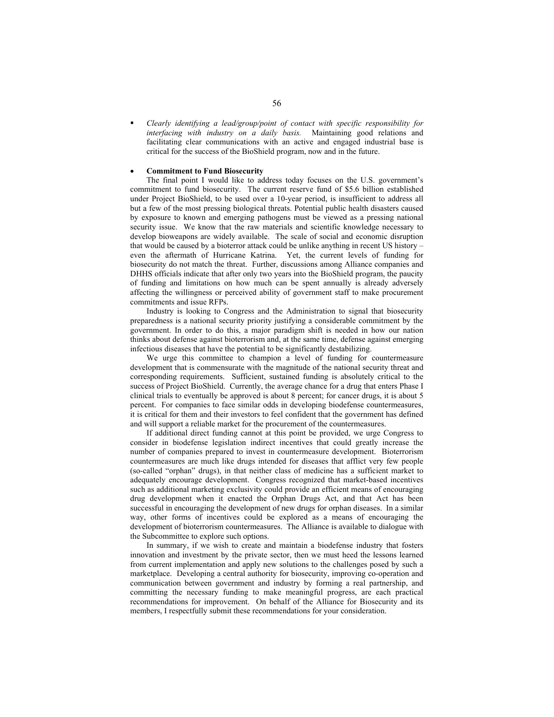*Clearly identifying a lead/group/point of contact with specific responsibility for interfacing with industry on a daily basis.* Maintaining good relations and facilitating clear communications with an active and engaged industrial base is critical for the success of the BioShield program, now and in the future.

#### • **Commitment to Fund Biosecurity**

The final point I would like to address today focuses on the U.S. government's commitment to fund biosecurity. The current reserve fund of \$5.6 billion established under Project BioShield, to be used over a 10-year period, is insufficient to address all but a few of the most pressing biological threats. Potential public health disasters caused by exposure to known and emerging pathogens must be viewed as a pressing national security issue. We know that the raw materials and scientific knowledge necessary to develop bioweapons are widely available. The scale of social and economic disruption that would be caused by a bioterror attack could be unlike anything in recent US history – even the aftermath of Hurricane Katrina. Yet, the current levels of funding for biosecurity do not match the threat. Further, discussions among Alliance companies and DHHS officials indicate that after only two years into the BioShield program, the paucity of funding and limitations on how much can be spent annually is already adversely affecting the willingness or perceived ability of government staff to make procurement commitments and issue RFPs.

Industry is looking to Congress and the Administration to signal that biosecurity preparedness is a national security priority justifying a considerable commitment by the government. In order to do this, a major paradigm shift is needed in how our nation thinks about defense against bioterrorism and, at the same time, defense against emerging infectious diseases that have the potential to be significantly destabilizing.

We urge this committee to champion a level of funding for countermeasure development that is commensurate with the magnitude of the national security threat and corresponding requirements. Sufficient, sustained funding is absolutely critical to the success of Project BioShield. Currently, the average chance for a drug that enters Phase I clinical trials to eventually be approved is about 8 percent; for cancer drugs, it is about 5 percent. For companies to face similar odds in developing biodefense countermeasures, it is critical for them and their investors to feel confident that the government has defined and will support a reliable market for the procurement of the countermeasures.

If additional direct funding cannot at this point be provided, we urge Congress to consider in biodefense legislation indirect incentives that could greatly increase the number of companies prepared to invest in countermeasure development. Bioterrorism countermeasures are much like drugs intended for diseases that afflict very few people (so-called "orphan" drugs), in that neither class of medicine has a sufficient market to adequately encourage development. Congress recognized that market-based incentives such as additional marketing exclusivity could provide an efficient means of encouraging drug development when it enacted the Orphan Drugs Act, and that Act has been successful in encouraging the development of new drugs for orphan diseases. In a similar way, other forms of incentives could be explored as a means of encouraging the development of bioterrorism countermeasures. The Alliance is available to dialogue with the Subcommittee to explore such options.

In summary, if we wish to create and maintain a biodefense industry that fosters innovation and investment by the private sector, then we must heed the lessons learned from current implementation and apply new solutions to the challenges posed by such a marketplace. Developing a central authority for biosecurity, improving co-operation and communication between government and industry by forming a real partnership, and committing the necessary funding to make meaningful progress, are each practical recommendations for improvement. On behalf of the Alliance for Biosecurity and its members, I respectfully submit these recommendations for your consideration.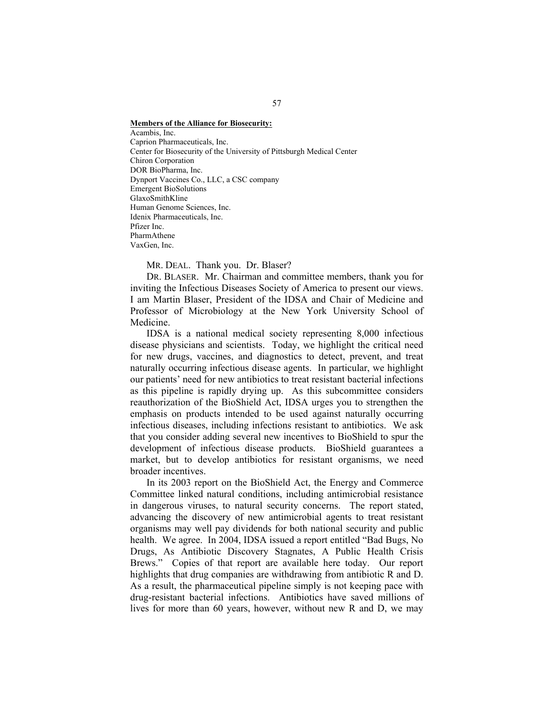#### **Members of the Alliance for Biosecurity:**

Acambis, Inc. Caprion Pharmaceuticals, Inc. Center for Biosecurity of the University of Pittsburgh Medical Center Chiron Corporation DOR BioPharma, Inc. Dynport Vaccines Co., LLC, a CSC company Emergent BioSolutions GlaxoSmithKline Human Genome Sciences, Inc. Idenix Pharmaceuticals, Inc. Pfizer Inc. PharmAthene VaxGen, Inc.

MR. DEAL. Thank you. Dr. Blaser?

DR. BLASER. Mr. Chairman and committee members, thank you for inviting the Infectious Diseases Society of America to present our views. I am Martin Blaser, President of the IDSA and Chair of Medicine and Professor of Microbiology at the New York University School of Medicine.

 IDSA is a national medical society representing 8,000 infectious disease physicians and scientists. Today, we highlight the critical need for new drugs, vaccines, and diagnostics to detect, prevent, and treat naturally occurring infectious disease agents. In particular, we highlight our patients' need for new antibiotics to treat resistant bacterial infections as this pipeline is rapidly drying up. As this subcommittee considers reauthorization of the BioShield Act, IDSA urges you to strengthen the emphasis on products intended to be used against naturally occurring infectious diseases, including infections resistant to antibiotics. We ask that you consider adding several new incentives to BioShield to spur the development of infectious disease products. BioShield guarantees a market, but to develop antibiotics for resistant organisms, we need broader incentives.

 In its 2003 report on the BioShield Act, the Energy and Commerce Committee linked natural conditions, including antimicrobial resistance in dangerous viruses, to natural security concerns. The report stated, advancing the discovery of new antimicrobial agents to treat resistant organisms may well pay dividends for both national security and public health. We agree. In 2004, IDSA issued a report entitled "Bad Bugs, No Drugs, As Antibiotic Discovery Stagnates, A Public Health Crisis Brews." Copies of that report are available here today. Our report highlights that drug companies are withdrawing from antibiotic R and D. As a result, the pharmaceutical pipeline simply is not keeping pace with drug-resistant bacterial infections. Antibiotics have saved millions of lives for more than 60 years, however, without new R and D, we may

### 57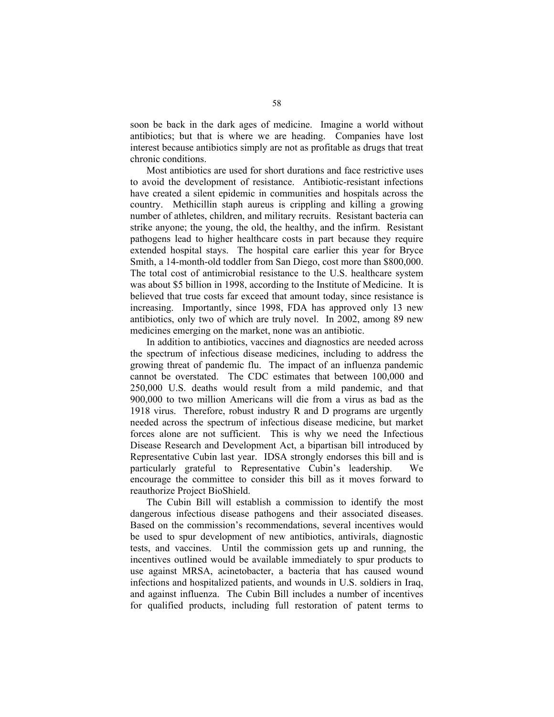soon be back in the dark ages of medicine. Imagine a world without antibiotics; but that is where we are heading. Companies have lost interest because antibiotics simply are not as profitable as drugs that treat chronic conditions.

 Most antibiotics are used for short durations and face restrictive uses to avoid the development of resistance. Antibiotic-resistant infections have created a silent epidemic in communities and hospitals across the country. Methicillin staph aureus is crippling and killing a growing number of athletes, children, and military recruits. Resistant bacteria can strike anyone; the young, the old, the healthy, and the infirm. Resistant pathogens lead to higher healthcare costs in part because they require extended hospital stays. The hospital care earlier this year for Bryce Smith, a 14-month-old toddler from San Diego, cost more than \$800,000. The total cost of antimicrobial resistance to the U.S. healthcare system was about \$5 billion in 1998, according to the Institute of Medicine. It is believed that true costs far exceed that amount today, since resistance is increasing. Importantly, since 1998, FDA has approved only 13 new antibiotics, only two of which are truly novel. In 2002, among 89 new medicines emerging on the market, none was an antibiotic.

 In addition to antibiotics, vaccines and diagnostics are needed across the spectrum of infectious disease medicines, including to address the growing threat of pandemic flu. The impact of an influenza pandemic cannot be overstated. The CDC estimates that between 100,000 and 250,000 U.S. deaths would result from a mild pandemic, and that 900,000 to two million Americans will die from a virus as bad as the 1918 virus. Therefore, robust industry R and D programs are urgently needed across the spectrum of infectious disease medicine, but market forces alone are not sufficient. This is why we need the Infectious Disease Research and Development Act, a bipartisan bill introduced by Representative Cubin last year. IDSA strongly endorses this bill and is particularly grateful to Representative Cubin's leadership. We encourage the committee to consider this bill as it moves forward to reauthorize Project BioShield.

 The Cubin Bill will establish a commission to identify the most dangerous infectious disease pathogens and their associated diseases. Based on the commission's recommendations, several incentives would be used to spur development of new antibiotics, antivirals, diagnostic tests, and vaccines. Until the commission gets up and running, the incentives outlined would be available immediately to spur products to use against MRSA, acinetobacter, a bacteria that has caused wound infections and hospitalized patients, and wounds in U.S. soldiers in Iraq, and against influenza. The Cubin Bill includes a number of incentives for qualified products, including full restoration of patent terms to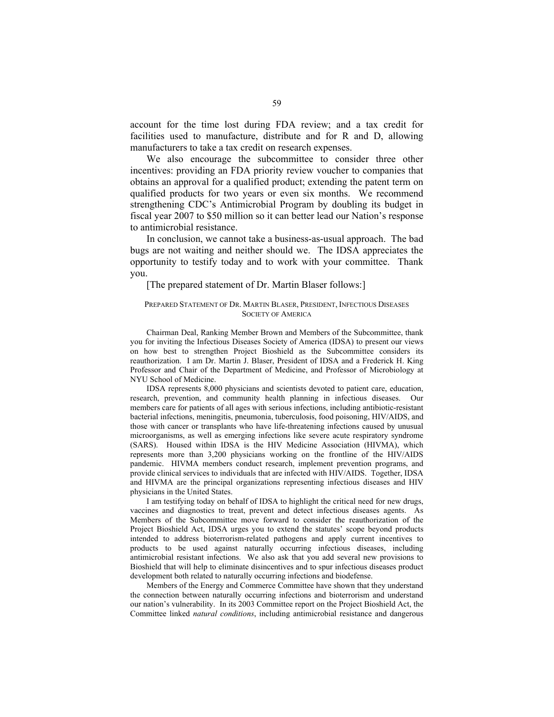account for the time lost during FDA review; and a tax credit for facilities used to manufacture, distribute and for R and D, allowing manufacturers to take a tax credit on research expenses.

We also encourage the subcommittee to consider three other incentives: providing an FDA priority review voucher to companies that obtains an approval for a qualified product; extending the patent term on qualified products for two years or even six months. We recommend strengthening CDC's Antimicrobial Program by doubling its budget in fiscal year 2007 to \$50 million so it can better lead our Nation's response to antimicrobial resistance.

 In conclusion, we cannot take a business-as-usual approach. The bad bugs are not waiting and neither should we. The IDSA appreciates the opportunity to testify today and to work with your committee. Thank you.

# [The prepared statement of Dr. Martin Blaser follows:]

# PREPARED STATEMENT OF DR. MARTIN BLASER, PRESIDENT, INFECTIOUS DISEASES SOCIETY OF AMERICA

Chairman Deal, Ranking Member Brown and Members of the Subcommittee, thank you for inviting the Infectious Diseases Society of America (IDSA) to present our views on how best to strengthen Project Bioshield as the Subcommittee considers its reauthorization. I am Dr. Martin J. Blaser, President of IDSA and a Frederick H. King Professor and Chair of the Department of Medicine, and Professor of Microbiology at NYU School of Medicine.

IDSA represents 8,000 physicians and scientists devoted to patient care, education, research, prevention, and community health planning in infectious diseases. Our members care for patients of all ages with serious infections, including antibiotic-resistant bacterial infections, meningitis, pneumonia, tuberculosis, food poisoning, HIV/AIDS, and those with cancer or transplants who have life-threatening infections caused by unusual microorganisms, as well as emerging infections like severe acute respiratory syndrome (SARS). Housed within IDSA is the HIV Medicine Association (HIVMA), which represents more than 3,200 physicians working on the frontline of the HIV/AIDS pandemic. HIVMA members conduct research, implement prevention programs, and provide clinical services to individuals that are infected with HIV/AIDS. Together, IDSA and HIVMA are the principal organizations representing infectious diseases and HIV physicians in the United States.

I am testifying today on behalf of IDSA to highlight the critical need for new drugs, vaccines and diagnostics to treat, prevent and detect infectious diseases agents. As Members of the Subcommittee move forward to consider the reauthorization of the Project Bioshield Act, IDSA urges you to extend the statutes' scope beyond products intended to address bioterrorism-related pathogens and apply current incentives to products to be used against naturally occurring infectious diseases, including antimicrobial resistant infections. We also ask that you add several new provisions to Bioshield that will help to eliminate disincentives and to spur infectious diseases product development both related to naturally occurring infections and biodefense.

Members of the Energy and Commerce Committee have shown that they understand the connection between naturally occurring infections and bioterrorism and understand our nation's vulnerability. In its 2003 Committee report on the Project Bioshield Act, the Committee linked *natural conditions*, including antimicrobial resistance and dangerous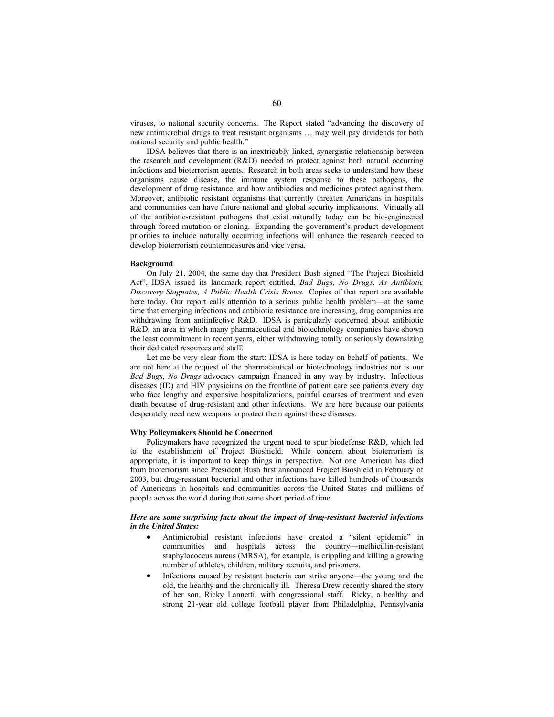viruses, to national security concerns. The Report stated "advancing the discovery of new antimicrobial drugs to treat resistant organisms … may well pay dividends for both national security and public health."

IDSA believes that there is an inextricably linked, synergistic relationship between the research and development (R&D) needed to protect against both natural occurring infections and bioterrorism agents. Research in both areas seeks to understand how these organisms cause disease, the immune system response to these pathogens, the development of drug resistance, and how antibiodies and medicines protect against them. Moreover, antibiotic resistant organisms that currently threaten Americans in hospitals and communities can have future national and global security implications. Virtually all of the antibiotic-resistant pathogens that exist naturally today can be bio-engineered through forced mutation or cloning. Expanding the government's product development priorities to include naturally occurring infections will enhance the research needed to develop bioterrorism countermeasures and vice versa.

#### **Background**

On July 21, 2004, the same day that President Bush signed "The Project Bioshield Act", IDSA issued its landmark report entitled, *Bad Bugs, No Drugs, As Antibiotic Discovery Stagnates, A Public Health Crisis Brews.* Copies of that report are available here today. Our report calls attention to a serious public health problem—at the same time that emerging infections and antibiotic resistance are increasing, drug companies are withdrawing from antiinfective R&D. IDSA is particularly concerned about antibiotic R&D, an area in which many pharmaceutical and biotechnology companies have shown the least commitment in recent years, either withdrawing totally or seriously downsizing their dedicated resources and staff.

Let me be very clear from the start: IDSA is here today on behalf of patients. We are not here at the request of the pharmaceutical or biotechnology industries nor is our *Bad Bugs, No Drugs* advocacy campaign financed in any way by industry. Infectious diseases (ID) and HIV physicians on the frontline of patient care see patients every day who face lengthy and expensive hospitalizations, painful courses of treatment and even death because of drug-resistant and other infections. We are here because our patients desperately need new weapons to protect them against these diseases.

# **Why Policymakers Should be Concerned**

Policymakers have recognized the urgent need to spur biodefense R&D, which led to the establishment of Project Bioshield. While concern about bioterrorism is appropriate, it is important to keep things in perspective. Not one American has died from bioterrorism since President Bush first announced Project Bioshield in February of 2003, but drug-resistant bacterial and other infections have killed hundreds of thousands of Americans in hospitals and communities across the United States and millions of people across the world during that same short period of time.

# *Here are some surprising facts about the impact of drug-resistant bacterial infections in the United States:*

- Antimicrobial resistant infections have created a "silent epidemic" in communities and hospitals across the country—methicillin-resistant staphylococcus aureus (MRSA), for example, is crippling and killing a growing number of athletes, children, military recruits, and prisoners.
- Infections caused by resistant bacteria can strike anyone—the young and the old, the healthy and the chronically ill. Theresa Drew recently shared the story of her son, Ricky Lannetti, with congressional staff. Ricky, a healthy and strong 21-year old college football player from Philadelphia, Pennsylvania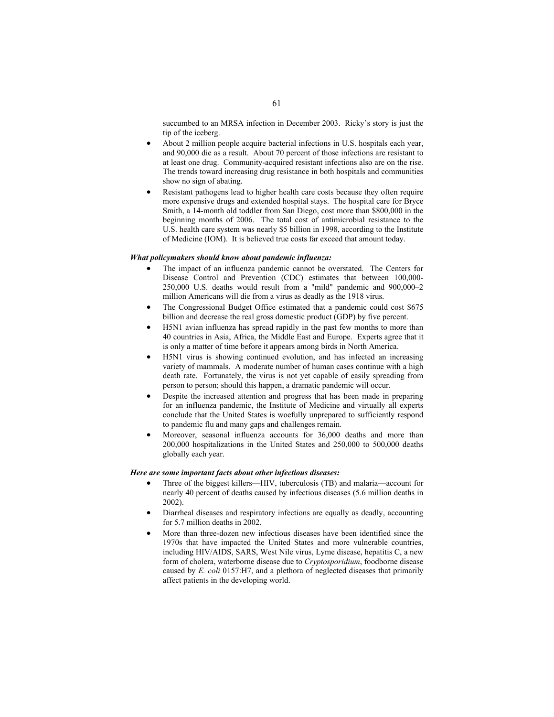succumbed to an MRSA infection in December 2003. Ricky's story is just the tip of the iceberg.

- About 2 million people acquire bacterial infections in U.S. hospitals each year, and 90,000 die as a result. About 70 percent of those infections are resistant to at least one drug. Community-acquired resistant infections also are on the rise. The trends toward increasing drug resistance in both hospitals and communities show no sign of abating.
- Resistant pathogens lead to higher health care costs because they often require more expensive drugs and extended hospital stays. The hospital care for Bryce Smith, a 14-month old toddler from San Diego, cost more than \$800,000 in the beginning months of 2006. The total cost of antimicrobial resistance to the U.S. health care system was nearly \$5 billion in 1998, according to the Institute of Medicine (IOM). It is believed true costs far exceed that amount today.

#### *What policymakers should know about pandemic influenza:*

- The impact of an influenza pandemic cannot be overstated. The Centers for Disease Control and Prevention (CDC) estimates that between 100,000- 250,000 U.S. deaths would result from a "mild" pandemic and 900,000–2 million Americans will die from a virus as deadly as the 1918 virus.
- The Congressional Budget Office estimated that a pandemic could cost \$675 billion and decrease the real gross domestic product (GDP) by five percent.
- H5N1 avian influenza has spread rapidly in the past few months to more than 40 countries in Asia, Africa, the Middle East and Europe. Experts agree that it is only a matter of time before it appears among birds in North America.
- H5N1 virus is showing continued evolution, and has infected an increasing variety of mammals. A moderate number of human cases continue with a high death rate. Fortunately, the virus is not yet capable of easily spreading from person to person; should this happen, a dramatic pandemic will occur.
- Despite the increased attention and progress that has been made in preparing for an influenza pandemic, the Institute of Medicine and virtually all experts conclude that the United States is woefully unprepared to sufficiently respond to pandemic flu and many gaps and challenges remain.
- Moreover, seasonal influenza accounts for 36,000 deaths and more than 200,000 hospitalizations in the United States and 250,000 to 500,000 deaths globally each year.

# *Here are some important facts about other infectious diseases:*

- Three of the biggest killers—HIV, tuberculosis (TB) and malaria—account for nearly 40 percent of deaths caused by infectious diseases (5.6 million deaths in 2002).
- Diarrheal diseases and respiratory infections are equally as deadly, accounting for 5.7 million deaths in 2002.
- More than three-dozen new infectious diseases have been identified since the 1970s that have impacted the United States and more vulnerable countries, including HIV/AIDS, SARS, West Nile virus, Lyme disease, hepatitis C, a new form of cholera, waterborne disease due to *Cryptosporidium*, foodborne disease caused by *E. coli* 0157:H7, and a plethora of neglected diseases that primarily affect patients in the developing world.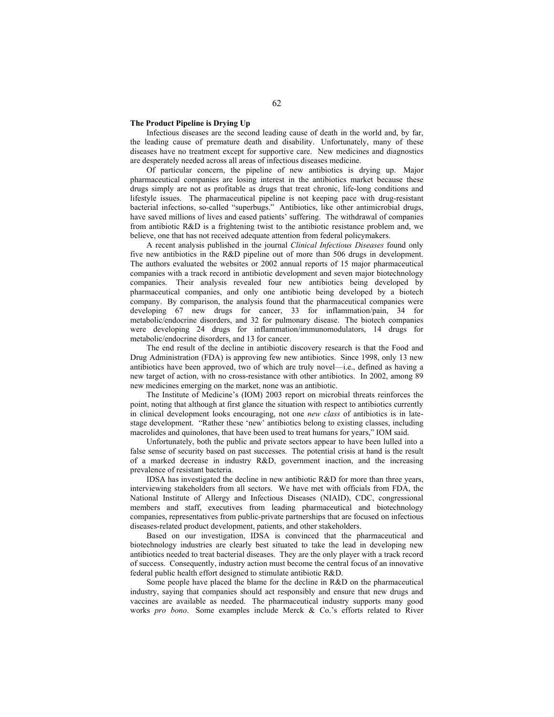#### **The Product Pipeline is Drying Up**

Infectious diseases are the second leading cause of death in the world and, by far, the leading cause of premature death and disability. Unfortunately, many of these diseases have no treatment except for supportive care. New medicines and diagnostics are desperately needed across all areas of infectious diseases medicine.

Of particular concern, the pipeline of new antibiotics is drying up. Major pharmaceutical companies are losing interest in the antibiotics market because these drugs simply are not as profitable as drugs that treat chronic, life-long conditions and lifestyle issues. The pharmaceutical pipeline is not keeping pace with drug-resistant bacterial infections, so-called "superbugs." Antibiotics, like other antimicrobial drugs, have saved millions of lives and eased patients' suffering. The withdrawal of companies from antibiotic R&D is a frightening twist to the antibiotic resistance problem and, we believe, one that has not received adequate attention from federal policymakers.

A recent analysis published in the journal *Clinical Infectious Diseases* found only five new antibiotics in the R&D pipeline out of more than 506 drugs in development. The authors evaluated the websites or 2002 annual reports of 15 major pharmaceutical companies with a track record in antibiotic development and seven major biotechnology companies. Their analysis revealed four new antibiotics being developed by pharmaceutical companies, and only one antibiotic being developed by a biotech company. By comparison, the analysis found that the pharmaceutical companies were developing 67 new drugs for cancer, 33 for inflammation/pain, 34 for metabolic/endocrine disorders, and 32 for pulmonary disease. The biotech companies were developing 24 drugs for inflammation/immunomodulators, 14 drugs for metabolic/endocrine disorders, and 13 for cancer.

The end result of the decline in antibiotic discovery research is that the Food and Drug Administration (FDA) is approving few new antibiotics. Since 1998, only 13 new antibiotics have been approved, two of which are truly novel—i.e., defined as having a new target of action, with no cross-resistance with other antibiotics. In 2002, among 89 new medicines emerging on the market, none was an antibiotic.

The Institute of Medicine's (IOM) 2003 report on microbial threats reinforces the point, noting that although at first glance the situation with respect to antibiotics currently in clinical development looks encouraging, not one *new class* of antibiotics is in latestage development. "Rather these 'new' antibiotics belong to existing classes, including macrolides and quinolones, that have been used to treat humans for years," IOM said.

Unfortunately, both the public and private sectors appear to have been lulled into a false sense of security based on past successes. The potential crisis at hand is the result of a marked decrease in industry R&D, government inaction, and the increasing prevalence of resistant bacteria.

IDSA has investigated the decline in new antibiotic R&D for more than three years, interviewing stakeholders from all sectors. We have met with officials from FDA, the National Institute of Allergy and Infectious Diseases (NIAID), CDC, congressional members and staff, executives from leading pharmaceutical and biotechnology companies, representatives from public-private partnerships that are focused on infectious diseases-related product development, patients, and other stakeholders.

Based on our investigation, IDSA is convinced that the pharmaceutical and biotechnology industries are clearly best situated to take the lead in developing new antibiotics needed to treat bacterial diseases. They are the only player with a track record of success. Consequently, industry action must become the central focus of an innovative federal public health effort designed to stimulate antibiotic R&D.

Some people have placed the blame for the decline in R&D on the pharmaceutical industry, saying that companies should act responsibly and ensure that new drugs and vaccines are available as needed. The pharmaceutical industry supports many good works *pro bono*. Some examples include Merck & Co.'s efforts related to River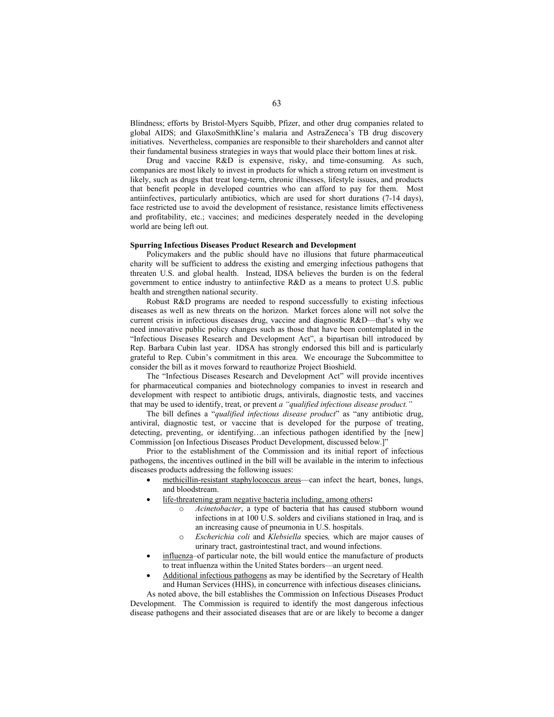Blindness; efforts by Bristol-Myers Squibb, Pfizer, and other drug companies related to global AIDS; and GlaxoSmithKline's malaria and AstraZeneca's TB drug discovery initiatives. Nevertheless, companies are responsible to their shareholders and cannot alter their fundamental business strategies in ways that would place their bottom lines at risk.

Drug and vaccine R&D is expensive, risky, and time-consuming. As such, companies are most likely to invest in products for which a strong return on investment is likely, such as drugs that treat long-term, chronic illnesses, lifestyle issues, and products that benefit people in developed countries who can afford to pay for them. Most antiinfectives, particularly antibiotics, which are used for short durations (7-14 days), face restricted use to avoid the development of resistance, resistance limits effectiveness and profitability, etc.; vaccines; and medicines desperately needed in the developing world are being left out.

#### **Spurring Infectious Diseases Product Research and Development**

Policymakers and the public should have no illusions that future pharmaceutical charity will be sufficient to address the existing and emerging infectious pathogens that threaten U.S. and global health. Instead, IDSA believes the burden is on the federal government to entice industry to antiinfective R&D as a means to protect U.S. public health and strengthen national security.

Robust R&D programs are needed to respond successfully to existing infectious diseases as well as new threats on the horizon. Market forces alone will not solve the current crisis in infectious diseases drug, vaccine and diagnostic R&D—that's why we need innovative public policy changes such as those that have been contemplated in the "Infectious Diseases Research and Development Act", a bipartisan bill introduced by Rep. Barbara Cubin last year. IDSA has strongly endorsed this bill and is particularly grateful to Rep. Cubin's commitment in this area. We encourage the Subcommittee to consider the bill as it moves forward to reauthorize Project Bioshield.

The "Infectious Diseases Research and Development Act" will provide incentives for pharmaceutical companies and biotechnology companies to invest in research and development with respect to antibiotic drugs, antivirals, diagnostic tests, and vaccines that may be used to identify, treat, or prevent *a "qualified infectious disease product."* 

The bill defines a "*qualified infectious disease product*" as "any antibiotic drug, antiviral, diagnostic test, or vaccine that is developed for the purpose of treating, detecting, preventing, or identifying…an infectious pathogen identified by the [new] Commission [on Infectious Diseases Product Development, discussed below.]"

Prior to the establishment of the Commission and its initial report of infectious pathogens, the incentives outlined in the bill will be available in the interim to infectious diseases products addressing the following issues:

- methicillin-resistant staphylococcus areus—can infect the heart, bones, lungs, and bloodstream.
- life-threatening gram negative bacteria including, among others**:**
	- o *Acinetobacter*, a type of bacteria that has caused stubborn wound infections in at 100 U.S. solders and civilians stationed in Iraq, and is an increasing cause of pneumonia in U.S. hospitals.
	- o *Escherichia coli* and *Klebsiella* species*,* which are major causes of urinary tract, gastrointestinal tract, and wound infections.
- influenza–of particular note, the bill would entice the manufacture of products to treat influenza within the United States borders—an urgent need.
- Additional infectious pathogens as may be identified by the Secretary of Health and Human Services (HHS), in concurrence with infectious diseases clinicians**.**

As noted above, the bill establishes the Commission on Infectious Diseases Product Development. The Commission is required to identify the most dangerous infectious disease pathogens and their associated diseases that are or are likely to become a danger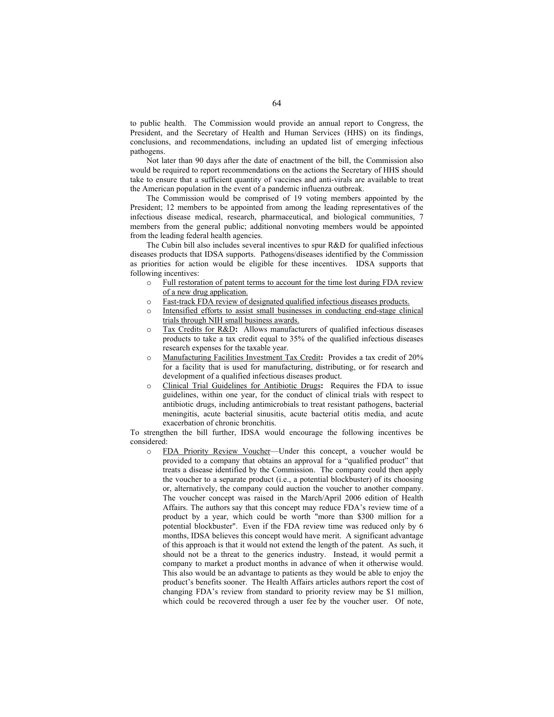to public health. The Commission would provide an annual report to Congress, the President, and the Secretary of Health and Human Services (HHS) on its findings, conclusions, and recommendations, including an updated list of emerging infectious pathogens.

Not later than 90 days after the date of enactment of the bill, the Commission also would be required to report recommendations on the actions the Secretary of HHS should take to ensure that a sufficient quantity of vaccines and anti-virals are available to treat the American population in the event of a pandemic influenza outbreak.

The Commission would be comprised of 19 voting members appointed by the President; 12 members to be appointed from among the leading representatives of the infectious disease medical, research, pharmaceutical, and biological communities, 7 members from the general public; additional nonvoting members would be appointed from the leading federal health agencies.

The Cubin bill also includes several incentives to spur R&D for qualified infectious diseases products that IDSA supports. Pathogens/diseases identified by the Commission as priorities for action would be eligible for these incentives. IDSA supports that following incentives:

- o Full restoration of patent terms to account for the time lost during FDA review of a new drug application.
- o Fast-track FDA review of designated qualified infectious diseases products.
- o Intensified efforts to assist small businesses in conducting end-stage clinical trials through NIH small business awards.
- o Tax Credits for R&D**:** Allows manufacturers of qualified infectious diseases products to take a tax credit equal to 35% of the qualified infectious diseases research expenses for the taxable year.
- o Manufacturing Facilities Investment Tax Credit**:** Provides a tax credit of 20% for a facility that is used for manufacturing, distributing, or for research and development of a qualified infectious diseases product.
- o Clinical Trial Guidelines for Antibiotic Drugs**:** Requires the FDA to issue guidelines, within one year, for the conduct of clinical trials with respect to antibiotic drugs, including antimicrobials to treat resistant pathogens, bacterial meningitis, acute bacterial sinusitis, acute bacterial otitis media, and acute exacerbation of chronic bronchitis.

To strengthen the bill further, IDSA would encourage the following incentives be considered:

o FDA Priority Review Voucher—Under this concept, a voucher would be provided to a company that obtains an approval for a "qualified product" that treats a disease identified by the Commission. The company could then apply the voucher to a separate product (i.e., a potential blockbuster) of its choosing or, alternatively, the company could auction the voucher to another company. The voucher concept was raised in the March/April 2006 edition of Health Affairs. The authors say that this concept may reduce FDA's review time of a product by a year, which could be worth "more than \$300 million for a potential blockbuster". Even if the FDA review time was reduced only by 6 months, IDSA believes this concept would have merit. A significant advantage of this approach is that it would not extend the length of the patent. As such, it should not be a threat to the generics industry. Instead, it would permit a company to market a product months in advance of when it otherwise would. This also would be an advantage to patients as they would be able to enjoy the product's benefits sooner. The Health Affairs articles authors report the cost of changing FDA's review from standard to priority review may be \$1 million, which could be recovered through a user fee by the voucher user. Of note,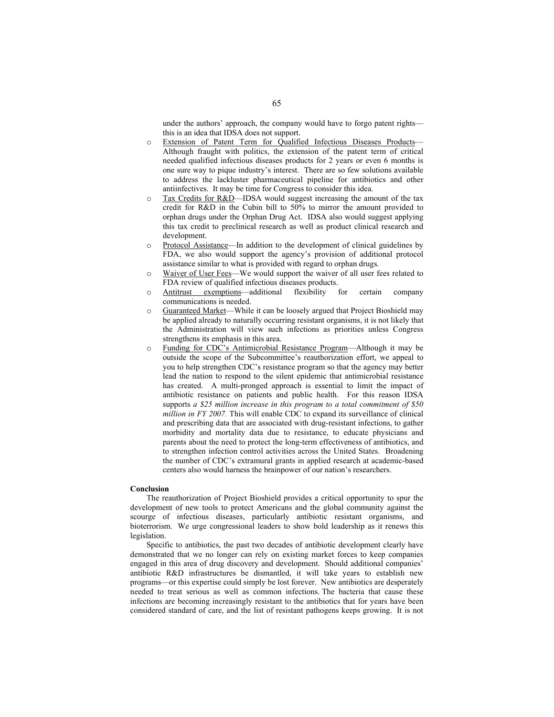under the authors' approach, the company would have to forgo patent rights this is an idea that IDSA does not support.

- o Extension of Patent Term for Qualified Infectious Diseases Products— Although fraught with politics, the extension of the patent term of critical needed qualified infectious diseases products for 2 years or even 6 months is one sure way to pique industry's interest. There are so few solutions available to address the lackluster pharmaceutical pipeline for antibiotics and other antiinfectives. It may be time for Congress to consider this idea.
- o Tax Credits for R&D—IDSA would suggest increasing the amount of the tax credit for R&D in the Cubin bill to 50% to mirror the amount provided to orphan drugs under the Orphan Drug Act. IDSA also would suggest applying this tax credit to preclinical research as well as product clinical research and development.
- Protocol Assistance—In addition to the development of clinical guidelines by FDA, we also would support the agency's provision of additional protocol assistance similar to what is provided with regard to orphan drugs.
- o Waiver of User Fees—We would support the waiver of all user fees related to FDA review of qualified infectious diseases products.
- o Antitrust exemptions—additional flexibility for certain company communications is needed.
- o Guaranteed Market—While it can be loosely argued that Project Bioshield may be applied already to naturally occurring resistant organisms, it is not likely that the Administration will view such infections as priorities unless Congress strengthens its emphasis in this area.
- Funding for CDC's Antimicrobial Resistance Program—Although it may be outside the scope of the Subcommittee's reauthorization effort, we appeal to you to help strengthen CDC's resistance program so that the agency may better lead the nation to respond to the silent epidemic that antimicrobial resistance has created. A multi-pronged approach is essential to limit the impact of antibiotic resistance on patients and public health. For this reason IDSA supports *a \$25 million increase in this program to a total commitment of \$50 million in FY 2007.* This will enable CDC to expand its surveillance of clinical and prescribing data that are associated with drug-resistant infections, to gather morbidity and mortality data due to resistance, to educate physicians and parents about the need to protect the long-term effectiveness of antibiotics, and to strengthen infection control activities across the United States. Broadening the number of CDC's extramural grants in applied research at academic-based centers also would harness the brainpower of our nation's researchers.

#### **Conclusion**

The reauthorization of Project Bioshield provides a critical opportunity to spur the development of new tools to protect Americans and the global community against the scourge of infectious diseases, particularly antibiotic resistant organisms, and bioterrorism. We urge congressional leaders to show bold leadership as it renews this legislation.

Specific to antibiotics, the past two decades of antibiotic development clearly have demonstrated that we no longer can rely on existing market forces to keep companies engaged in this area of drug discovery and development. Should additional companies' antibiotic R&D infrastructures be dismantled, it will take years to establish new programs—or this expertise could simply be lost forever. New antibiotics are desperately needed to treat serious as well as common infections. The bacteria that cause these infections are becoming increasingly resistant to the antibiotics that for years have been considered standard of care, and the list of resistant pathogens keeps growing. It is not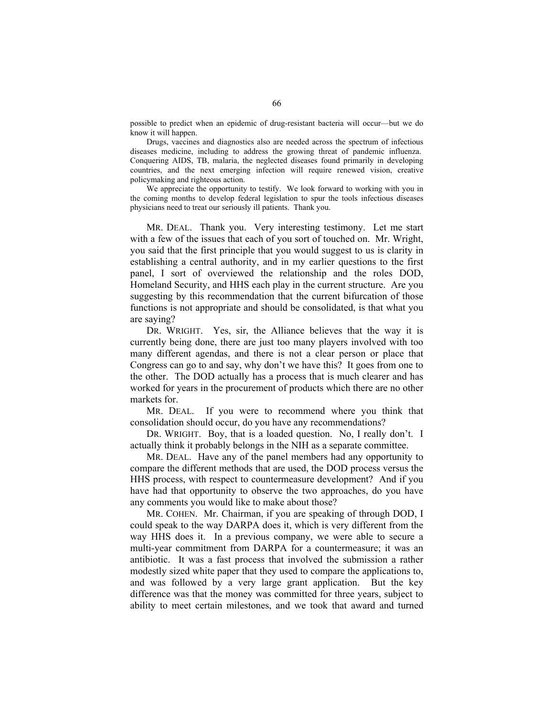possible to predict when an epidemic of drug-resistant bacteria will occur—but we do know it will happen.

Drugs, vaccines and diagnostics also are needed across the spectrum of infectious diseases medicine, including to address the growing threat of pandemic influenza. Conquering AIDS, TB, malaria, the neglected diseases found primarily in developing countries, and the next emerging infection will require renewed vision, creative policymaking and righteous action.

We appreciate the opportunity to testify. We look forward to working with you in the coming months to develop federal legislation to spur the tools infectious diseases physicians need to treat our seriously ill patients. Thank you.

 MR. DEAL. Thank you. Very interesting testimony. Let me start with a few of the issues that each of you sort of touched on. Mr. Wright, you said that the first principle that you would suggest to us is clarity in establishing a central authority, and in my earlier questions to the first panel, I sort of overviewed the relationship and the roles DOD, Homeland Security, and HHS each play in the current structure. Are you suggesting by this recommendation that the current bifurcation of those functions is not appropriate and should be consolidated, is that what you are saying?

DR. WRIGHT. Yes, sir, the Alliance believes that the way it is currently being done, there are just too many players involved with too many different agendas, and there is not a clear person or place that Congress can go to and say, why don't we have this? It goes from one to the other. The DOD actually has a process that is much clearer and has worked for years in the procurement of products which there are no other markets for.

 MR. DEAL. If you were to recommend where you think that consolidation should occur, do you have any recommendations?

 DR. WRIGHT. Boy, that is a loaded question. No, I really don't. I actually think it probably belongs in the NIH as a separate committee.

 MR. DEAL. Have any of the panel members had any opportunity to compare the different methods that are used, the DOD process versus the HHS process, with respect to countermeasure development? And if you have had that opportunity to observe the two approaches, do you have any comments you would like to make about those?

 MR. COHEN. Mr. Chairman, if you are speaking of through DOD, I could speak to the way DARPA does it, which is very different from the way HHS does it. In a previous company, we were able to secure a multi-year commitment from DARPA for a countermeasure; it was an antibiotic. It was a fast process that involved the submission a rather modestly sized white paper that they used to compare the applications to, and was followed by a very large grant application. But the key difference was that the money was committed for three years, subject to ability to meet certain milestones, and we took that award and turned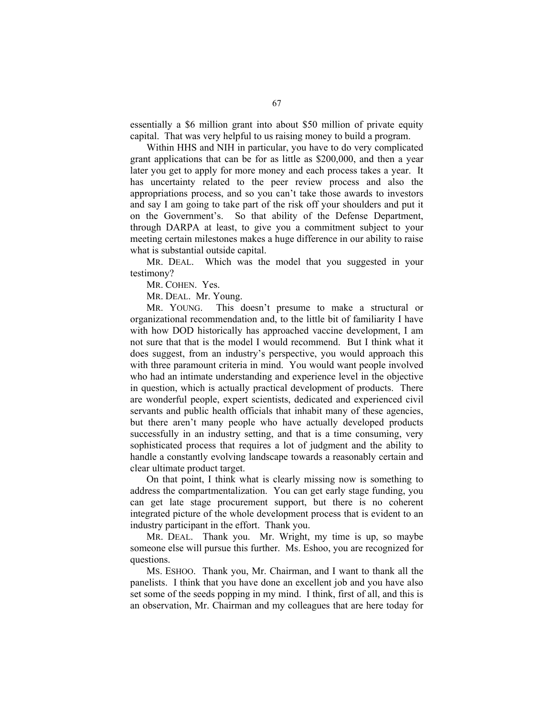essentially a \$6 million grant into about \$50 million of private equity capital. That was very helpful to us raising money to build a program.

 Within HHS and NIH in particular, you have to do very complicated grant applications that can be for as little as \$200,000, and then a year later you get to apply for more money and each process takes a year. It has uncertainty related to the peer review process and also the appropriations process, and so you can't take those awards to investors and say I am going to take part of the risk off your shoulders and put it on the Government's. So that ability of the Defense Department, through DARPA at least, to give you a commitment subject to your meeting certain milestones makes a huge difference in our ability to raise what is substantial outside capital.

 MR. DEAL. Which was the model that you suggested in your testimony?

MR. COHEN. Yes.

MR. DEAL. Mr. Young.

 MR. YOUNG. This doesn't presume to make a structural or organizational recommendation and, to the little bit of familiarity I have with how DOD historically has approached vaccine development, I am not sure that that is the model I would recommend. But I think what it does suggest, from an industry's perspective, you would approach this with three paramount criteria in mind. You would want people involved who had an intimate understanding and experience level in the objective in question, which is actually practical development of products. There are wonderful people, expert scientists, dedicated and experienced civil servants and public health officials that inhabit many of these agencies, but there aren't many people who have actually developed products successfully in an industry setting, and that is a time consuming, very sophisticated process that requires a lot of judgment and the ability to handle a constantly evolving landscape towards a reasonably certain and clear ultimate product target.

 On that point, I think what is clearly missing now is something to address the compartmentalization. You can get early stage funding, you can get late stage procurement support, but there is no coherent integrated picture of the whole development process that is evident to an industry participant in the effort. Thank you.

 MR. DEAL. Thank you. Mr. Wright, my time is up, so maybe someone else will pursue this further. Ms. Eshoo, you are recognized for questions.

 MS. ESHOO. Thank you, Mr. Chairman, and I want to thank all the panelists. I think that you have done an excellent job and you have also set some of the seeds popping in my mind. I think, first of all, and this is an observation, Mr. Chairman and my colleagues that are here today for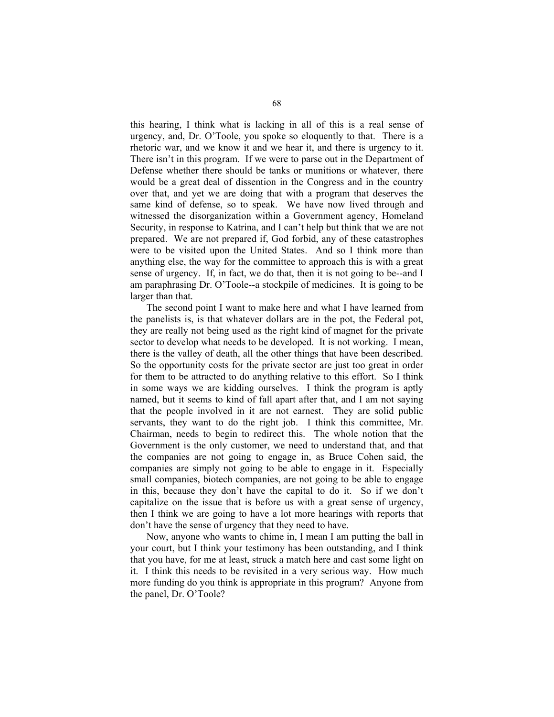this hearing, I think what is lacking in all of this is a real sense of urgency, and, Dr. O'Toole, you spoke so eloquently to that. There is a rhetoric war, and we know it and we hear it, and there is urgency to it. There isn't in this program. If we were to parse out in the Department of Defense whether there should be tanks or munitions or whatever, there would be a great deal of dissention in the Congress and in the country over that, and yet we are doing that with a program that deserves the same kind of defense, so to speak. We have now lived through and witnessed the disorganization within a Government agency, Homeland Security, in response to Katrina, and I can't help but think that we are not prepared. We are not prepared if, God forbid, any of these catastrophes were to be visited upon the United States. And so I think more than anything else, the way for the committee to approach this is with a great sense of urgency. If, in fact, we do that, then it is not going to be--and I am paraphrasing Dr. O'Toole--a stockpile of medicines. It is going to be larger than that.

 The second point I want to make here and what I have learned from the panelists is, is that whatever dollars are in the pot, the Federal pot, they are really not being used as the right kind of magnet for the private sector to develop what needs to be developed. It is not working. I mean, there is the valley of death, all the other things that have been described. So the opportunity costs for the private sector are just too great in order for them to be attracted to do anything relative to this effort. So I think in some ways we are kidding ourselves. I think the program is aptly named, but it seems to kind of fall apart after that, and I am not saying that the people involved in it are not earnest. They are solid public servants, they want to do the right job. I think this committee, Mr. Chairman, needs to begin to redirect this. The whole notion that the Government is the only customer, we need to understand that, and that the companies are not going to engage in, as Bruce Cohen said, the companies are simply not going to be able to engage in it. Especially small companies, biotech companies, are not going to be able to engage in this, because they don't have the capital to do it. So if we don't capitalize on the issue that is before us with a great sense of urgency, then I think we are going to have a lot more hearings with reports that don't have the sense of urgency that they need to have.

 Now, anyone who wants to chime in, I mean I am putting the ball in your court, but I think your testimony has been outstanding, and I think that you have, for me at least, struck a match here and cast some light on it. I think this needs to be revisited in a very serious way. How much more funding do you think is appropriate in this program? Anyone from the panel, Dr. O'Toole?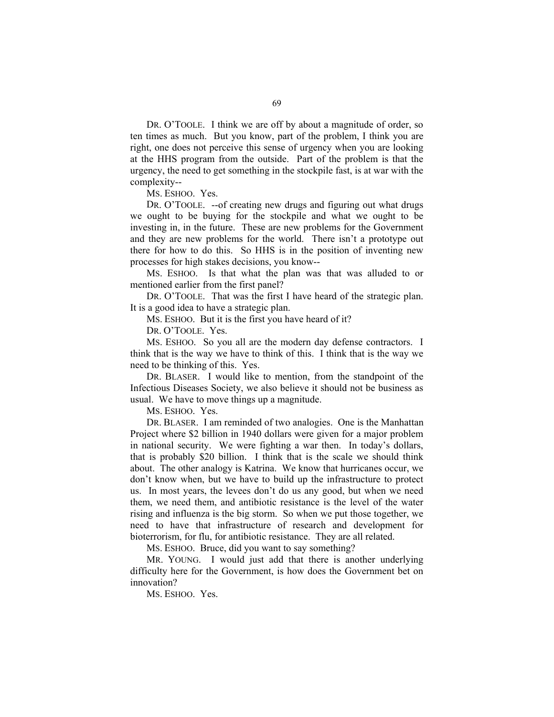DR. O'TOOLE. I think we are off by about a magnitude of order, so ten times as much. But you know, part of the problem, I think you are right, one does not perceive this sense of urgency when you are looking at the HHS program from the outside. Part of the problem is that the urgency, the need to get something in the stockpile fast, is at war with the complexity--

MS. ESHOO. Yes.

 DR. O'TOOLE. --of creating new drugs and figuring out what drugs we ought to be buying for the stockpile and what we ought to be investing in, in the future. These are new problems for the Government and they are new problems for the world. There isn't a prototype out there for how to do this. So HHS is in the position of inventing new processes for high stakes decisions, you know--

 MS. ESHOO. Is that what the plan was that was alluded to or mentioned earlier from the first panel?

 DR. O'TOOLE. That was the first I have heard of the strategic plan. It is a good idea to have a strategic plan.

MS. ESHOO. But it is the first you have heard of it?

DR. O'TOOLE. Yes.

 MS. ESHOO. So you all are the modern day defense contractors. I think that is the way we have to think of this. I think that is the way we need to be thinking of this. Yes.

 DR. BLASER. I would like to mention, from the standpoint of the Infectious Diseases Society, we also believe it should not be business as usual. We have to move things up a magnitude.

MS. ESHOO. Yes.

 DR. BLASER. I am reminded of two analogies. One is the Manhattan Project where \$2 billion in 1940 dollars were given for a major problem in national security. We were fighting a war then. In today's dollars, that is probably \$20 billion. I think that is the scale we should think about. The other analogy is Katrina. We know that hurricanes occur, we don't know when, but we have to build up the infrastructure to protect us. In most years, the levees don't do us any good, but when we need them, we need them, and antibiotic resistance is the level of the water rising and influenza is the big storm. So when we put those together, we need to have that infrastructure of research and development for bioterrorism, for flu, for antibiotic resistance. They are all related.

MS. ESHOO. Bruce, did you want to say something?

 MR. YOUNG. I would just add that there is another underlying difficulty here for the Government, is how does the Government bet on innovation?

MS. ESHOO. Yes.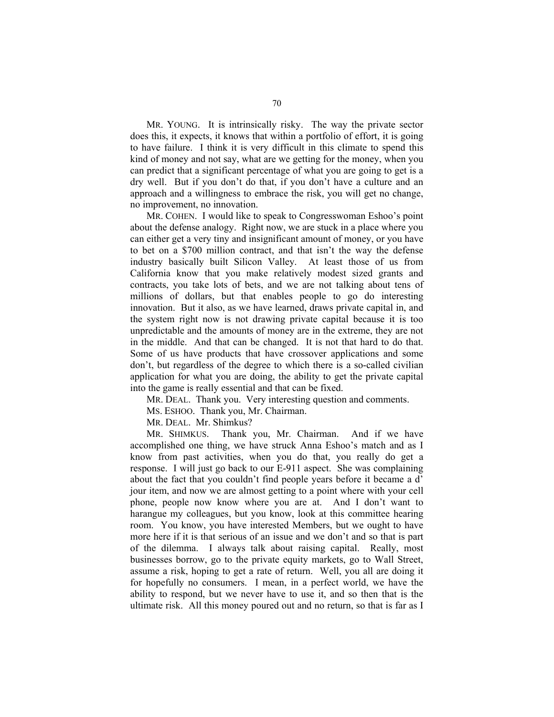MR. YOUNG. It is intrinsically risky. The way the private sector does this, it expects, it knows that within a portfolio of effort, it is going to have failure. I think it is very difficult in this climate to spend this kind of money and not say, what are we getting for the money, when you can predict that a significant percentage of what you are going to get is a dry well. But if you don't do that, if you don't have a culture and an approach and a willingness to embrace the risk, you will get no change, no improvement, no innovation.

 MR. COHEN. I would like to speak to Congresswoman Eshoo's point about the defense analogy. Right now, we are stuck in a place where you can either get a very tiny and insignificant amount of money, or you have to bet on a \$700 million contract, and that isn't the way the defense industry basically built Silicon Valley. At least those of us from California know that you make relatively modest sized grants and contracts, you take lots of bets, and we are not talking about tens of millions of dollars, but that enables people to go do interesting innovation. But it also, as we have learned, draws private capital in, and the system right now is not drawing private capital because it is too unpredictable and the amounts of money are in the extreme, they are not in the middle. And that can be changed. It is not that hard to do that. Some of us have products that have crossover applications and some don't, but regardless of the degree to which there is a so-called civilian application for what you are doing, the ability to get the private capital into the game is really essential and that can be fixed.

MR. DEAL. Thank you. Very interesting question and comments.

MS. ESHOO. Thank you, Mr. Chairman.

MR. DEAL. Mr. Shimkus?

 MR. SHIMKUS. Thank you, Mr. Chairman. And if we have accomplished one thing, we have struck Anna Eshoo's match and as I know from past activities, when you do that, you really do get a response. I will just go back to our E-911 aspect. She was complaining about the fact that you couldn't find people years before it became a d' jour item, and now we are almost getting to a point where with your cell phone, people now know where you are at. And I don't want to harangue my colleagues, but you know, look at this committee hearing room. You know, you have interested Members, but we ought to have more here if it is that serious of an issue and we don't and so that is part of the dilemma. I always talk about raising capital. Really, most businesses borrow, go to the private equity markets, go to Wall Street, assume a risk, hoping to get a rate of return. Well, you all are doing it for hopefully no consumers. I mean, in a perfect world, we have the ability to respond, but we never have to use it, and so then that is the ultimate risk. All this money poured out and no return, so that is far as I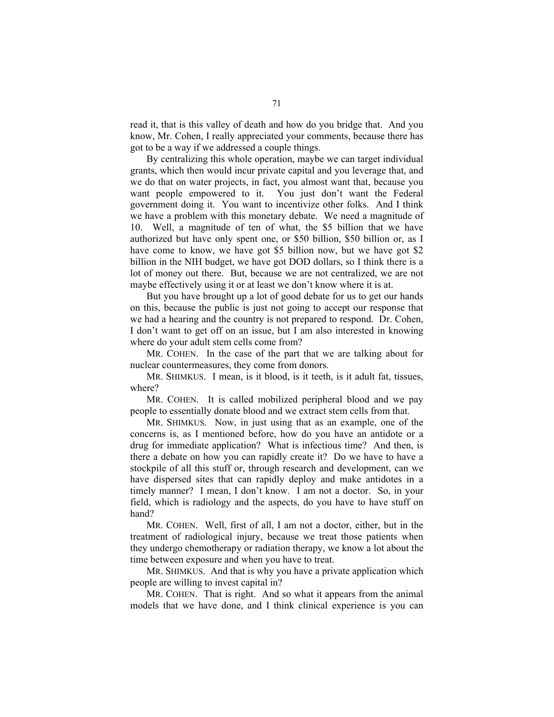read it, that is this valley of death and how do you bridge that. And you know, Mr. Cohen, I really appreciated your comments, because there has got to be a way if we addressed a couple things.

 By centralizing this whole operation, maybe we can target individual grants, which then would incur private capital and you leverage that, and we do that on water projects, in fact, you almost want that, because you want people empowered to it. You just don't want the Federal government doing it. You want to incentivize other folks. And I think we have a problem with this monetary debate. We need a magnitude of 10. Well, a magnitude of ten of what, the \$5 billion that we have authorized but have only spent one, or \$50 billion, \$50 billion or, as I have come to know, we have got \$5 billion now, but we have got \$2 billion in the NIH budget, we have got DOD dollars, so I think there is a lot of money out there. But, because we are not centralized, we are not maybe effectively using it or at least we don't know where it is at.

 But you have brought up a lot of good debate for us to get our hands on this, because the public is just not going to accept our response that we had a hearing and the country is not prepared to respond. Dr. Cohen, I don't want to get off on an issue, but I am also interested in knowing where do your adult stem cells come from?

 MR. COHEN. In the case of the part that we are talking about for nuclear countermeasures, they come from donors.

 MR. SHIMKUS. I mean, is it blood, is it teeth, is it adult fat, tissues, where?

MR. COHEN. It is called mobilized peripheral blood and we pay people to essentially donate blood and we extract stem cells from that.

 MR. SHIMKUS. Now, in just using that as an example, one of the concerns is, as I mentioned before, how do you have an antidote or a drug for immediate application? What is infectious time? And then, is there a debate on how you can rapidly create it? Do we have to have a stockpile of all this stuff or, through research and development, can we have dispersed sites that can rapidly deploy and make antidotes in a timely manner? I mean, I don't know. I am not a doctor. So, in your field, which is radiology and the aspects, do you have to have stuff on hand?

 MR. COHEN. Well, first of all, I am not a doctor, either, but in the treatment of radiological injury, because we treat those patients when they undergo chemotherapy or radiation therapy, we know a lot about the time between exposure and when you have to treat.

 MR. SHIMKUS. And that is why you have a private application which people are willing to invest capital in?

 MR. COHEN. That is right. And so what it appears from the animal models that we have done, and I think clinical experience is you can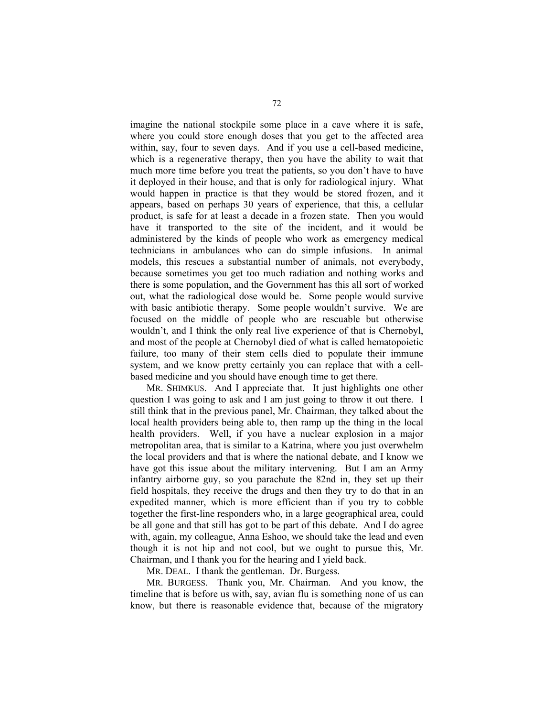imagine the national stockpile some place in a cave where it is safe, where you could store enough doses that you get to the affected area within, say, four to seven days. And if you use a cell-based medicine, which is a regenerative therapy, then you have the ability to wait that much more time before you treat the patients, so you don't have to have it deployed in their house, and that is only for radiological injury. What would happen in practice is that they would be stored frozen, and it appears, based on perhaps 30 years of experience, that this, a cellular product, is safe for at least a decade in a frozen state. Then you would have it transported to the site of the incident, and it would be administered by the kinds of people who work as emergency medical technicians in ambulances who can do simple infusions. In animal models, this rescues a substantial number of animals, not everybody, because sometimes you get too much radiation and nothing works and there is some population, and the Government has this all sort of worked out, what the radiological dose would be. Some people would survive with basic antibiotic therapy. Some people wouldn't survive. We are focused on the middle of people who are rescuable but otherwise wouldn't, and I think the only real live experience of that is Chernobyl, and most of the people at Chernobyl died of what is called hematopoietic failure, too many of their stem cells died to populate their immune system, and we know pretty certainly you can replace that with a cellbased medicine and you should have enough time to get there.

 MR. SHIMKUS. And I appreciate that. It just highlights one other question I was going to ask and I am just going to throw it out there. I still think that in the previous panel, Mr. Chairman, they talked about the local health providers being able to, then ramp up the thing in the local health providers. Well, if you have a nuclear explosion in a major metropolitan area, that is similar to a Katrina, where you just overwhelm the local providers and that is where the national debate, and I know we have got this issue about the military intervening. But I am an Army infantry airborne guy, so you parachute the 82nd in, they set up their field hospitals, they receive the drugs and then they try to do that in an expedited manner, which is more efficient than if you try to cobble together the first-line responders who, in a large geographical area, could be all gone and that still has got to be part of this debate. And I do agree with, again, my colleague, Anna Eshoo, we should take the lead and even though it is not hip and not cool, but we ought to pursue this, Mr. Chairman, and I thank you for the hearing and I yield back.

MR. DEAL. I thank the gentleman. Dr. Burgess.

 MR. BURGESS. Thank you, Mr. Chairman. And you know, the timeline that is before us with, say, avian flu is something none of us can know, but there is reasonable evidence that, because of the migratory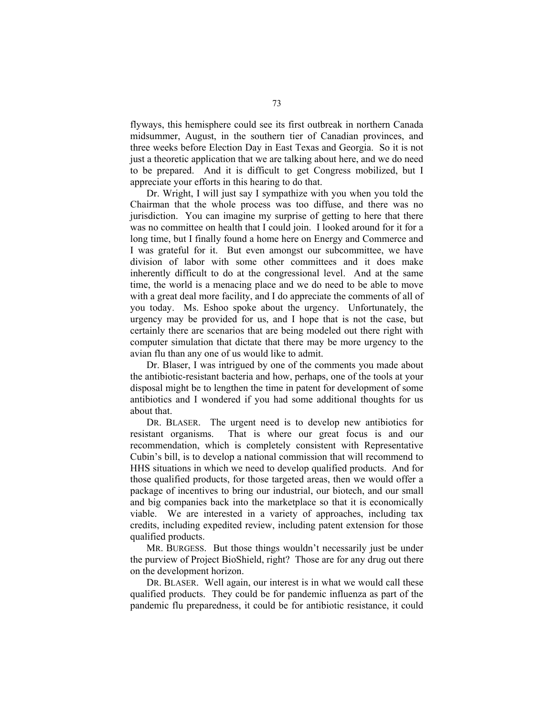flyways, this hemisphere could see its first outbreak in northern Canada midsummer, August, in the southern tier of Canadian provinces, and three weeks before Election Day in East Texas and Georgia. So it is not just a theoretic application that we are talking about here, and we do need to be prepared. And it is difficult to get Congress mobilized, but I appreciate your efforts in this hearing to do that.

 Dr. Wright, I will just say I sympathize with you when you told the Chairman that the whole process was too diffuse, and there was no jurisdiction. You can imagine my surprise of getting to here that there was no committee on health that I could join. I looked around for it for a long time, but I finally found a home here on Energy and Commerce and I was grateful for it. But even amongst our subcommittee, we have division of labor with some other committees and it does make inherently difficult to do at the congressional level. And at the same time, the world is a menacing place and we do need to be able to move with a great deal more facility, and I do appreciate the comments of all of you today. Ms. Eshoo spoke about the urgency. Unfortunately, the urgency may be provided for us, and I hope that is not the case, but certainly there are scenarios that are being modeled out there right with computer simulation that dictate that there may be more urgency to the avian flu than any one of us would like to admit.

 Dr. Blaser, I was intrigued by one of the comments you made about the antibiotic-resistant bacteria and how, perhaps, one of the tools at your disposal might be to lengthen the time in patent for development of some antibiotics and I wondered if you had some additional thoughts for us about that.

 DR. BLASER. The urgent need is to develop new antibiotics for resistant organisms. That is where our great focus is and our recommendation, which is completely consistent with Representative Cubin's bill, is to develop a national commission that will recommend to HHS situations in which we need to develop qualified products. And for those qualified products, for those targeted areas, then we would offer a package of incentives to bring our industrial, our biotech, and our small and big companies back into the marketplace so that it is economically viable. We are interested in a variety of approaches, including tax credits, including expedited review, including patent extension for those qualified products.

 MR. BURGESS. But those things wouldn't necessarily just be under the purview of Project BioShield, right? Those are for any drug out there on the development horizon.

 DR. BLASER. Well again, our interest is in what we would call these qualified products. They could be for pandemic influenza as part of the pandemic flu preparedness, it could be for antibiotic resistance, it could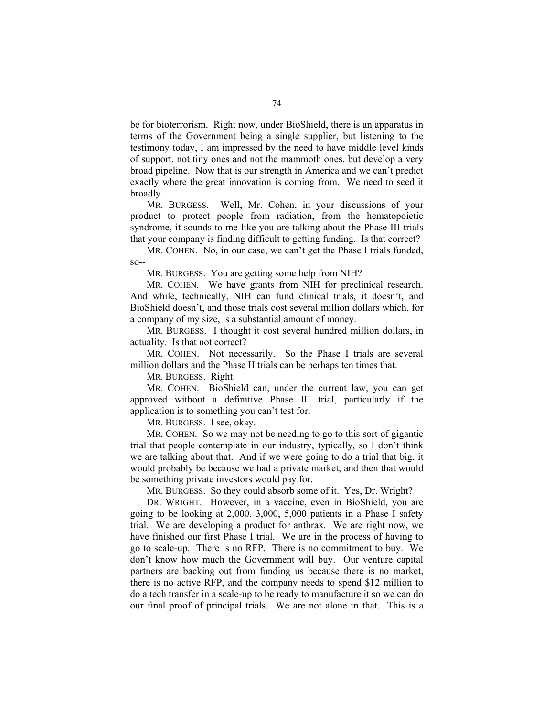be for bioterrorism. Right now, under BioShield, there is an apparatus in terms of the Government being a single supplier, but listening to the testimony today, I am impressed by the need to have middle level kinds of support, not tiny ones and not the mammoth ones, but develop a very broad pipeline. Now that is our strength in America and we can't predict exactly where the great innovation is coming from. We need to seed it broadly.

 MR. BURGESS. Well, Mr. Cohen, in your discussions of your product to protect people from radiation, from the hematopoietic syndrome, it sounds to me like you are talking about the Phase III trials that your company is finding difficult to getting funding. Is that correct?

 MR. COHEN. No, in our case, we can't get the Phase I trials funded, so--

MR. BURGESS. You are getting some help from NIH?

 MR. COHEN. We have grants from NIH for preclinical research. And while, technically, NIH can fund clinical trials, it doesn't, and BioShield doesn't, and those trials cost several million dollars which, for a company of my size, is a substantial amount of money.

 MR. BURGESS. I thought it cost several hundred million dollars, in actuality. Is that not correct?

 MR. COHEN. Not necessarily. So the Phase I trials are several million dollars and the Phase II trials can be perhaps ten times that.

MR. BURGESS. Right.

 MR. COHEN. BioShield can, under the current law, you can get approved without a definitive Phase III trial, particularly if the application is to something you can't test for.

MR. BURGESS. I see, okay.

MR. COHEN. So we may not be needing to go to this sort of gigantic trial that people contemplate in our industry, typically, so I don't think we are talking about that. And if we were going to do a trial that big, it would probably be because we had a private market, and then that would be something private investors would pay for.

MR. BURGESS. So they could absorb some of it. Yes, Dr. Wright?

 DR. WRIGHT. However, in a vaccine, even in BioShield, you are going to be looking at 2,000, 3,000, 5,000 patients in a Phase I safety trial. We are developing a product for anthrax. We are right now, we have finished our first Phase I trial. We are in the process of having to go to scale-up. There is no RFP. There is no commitment to buy. We don't know how much the Government will buy. Our venture capital partners are backing out from funding us because there is no market, there is no active RFP, and the company needs to spend \$12 million to do a tech transfer in a scale-up to be ready to manufacture it so we can do our final proof of principal trials. We are not alone in that. This is a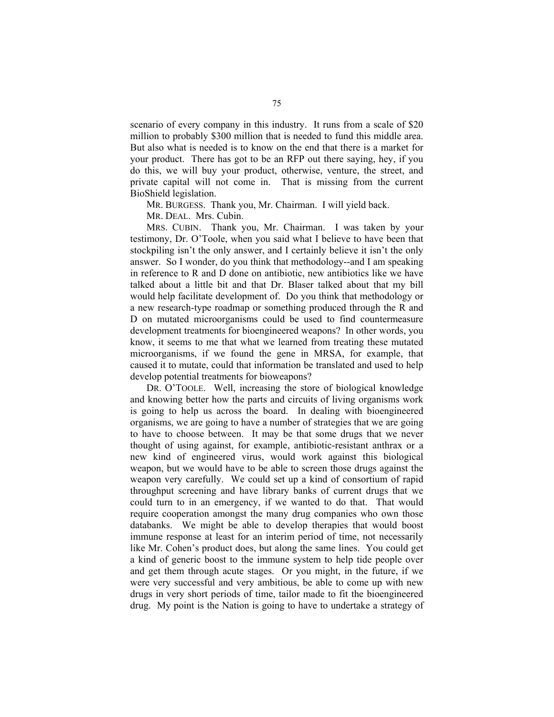scenario of every company in this industry. It runs from a scale of \$20 million to probably \$300 million that is needed to fund this middle area. But also what is needed is to know on the end that there is a market for your product. There has got to be an RFP out there saying, hey, if you do this, we will buy your product, otherwise, venture, the street, and private capital will not come in. That is missing from the current BioShield legislation.

MR. BURGESS. Thank you, Mr. Chairman. I will yield back.

MR. DEAL. Mrs. Cubin.

 MRS. CUBIN. Thank you, Mr. Chairman. I was taken by your testimony, Dr. O'Toole, when you said what I believe to have been that stockpiling isn't the only answer, and I certainly believe it isn't the only answer. So I wonder, do you think that methodology--and I am speaking in reference to R and D done on antibiotic, new antibiotics like we have talked about a little bit and that Dr. Blaser talked about that my bill would help facilitate development of. Do you think that methodology or a new research-type roadmap or something produced through the R and D on mutated microorganisms could be used to find countermeasure development treatments for bioengineered weapons? In other words, you know, it seems to me that what we learned from treating these mutated microorganisms, if we found the gene in MRSA, for example, that caused it to mutate, could that information be translated and used to help develop potential treatments for bioweapons?

 DR. O'TOOLE. Well, increasing the store of biological knowledge and knowing better how the parts and circuits of living organisms work is going to help us across the board. In dealing with bioengineered organisms, we are going to have a number of strategies that we are going to have to choose between. It may be that some drugs that we never thought of using against, for example, antibiotic-resistant anthrax or a new kind of engineered virus, would work against this biological weapon, but we would have to be able to screen those drugs against the weapon very carefully. We could set up a kind of consortium of rapid throughput screening and have library banks of current drugs that we could turn to in an emergency, if we wanted to do that. That would require cooperation amongst the many drug companies who own those databanks. We might be able to develop therapies that would boost immune response at least for an interim period of time, not necessarily like Mr. Cohen's product does, but along the same lines. You could get a kind of generic boost to the immune system to help tide people over and get them through acute stages. Or you might, in the future, if we were very successful and very ambitious, be able to come up with new drugs in very short periods of time, tailor made to fit the bioengineered drug. My point is the Nation is going to have to undertake a strategy of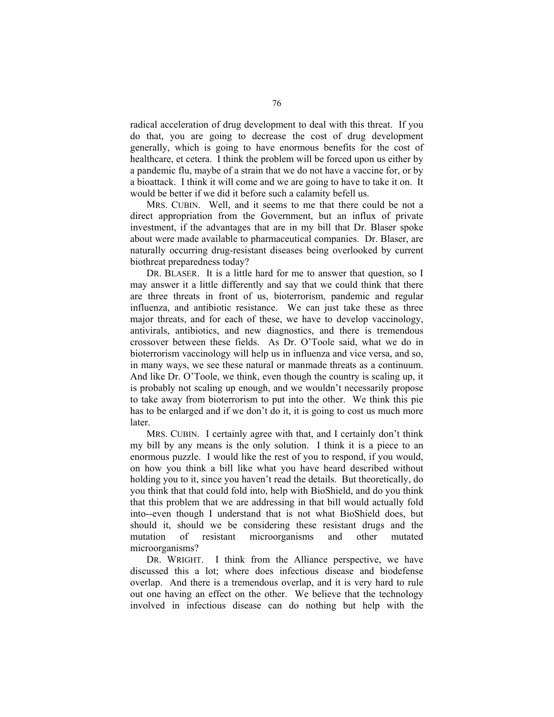radical acceleration of drug development to deal with this threat. If you do that, you are going to decrease the cost of drug development generally, which is going to have enormous benefits for the cost of healthcare, et cetera. I think the problem will be forced upon us either by a pandemic flu, maybe of a strain that we do not have a vaccine for, or by a bioattack. I think it will come and we are going to have to take it on. It would be better if we did it before such a calamity befell us.

 MRS. CUBIN. Well, and it seems to me that there could be not a direct appropriation from the Government, but an influx of private investment, if the advantages that are in my bill that Dr. Blaser spoke about were made available to pharmaceutical companies. Dr. Blaser, are naturally occurring drug-resistant diseases being overlooked by current biothreat preparedness today?

 DR. BLASER. It is a little hard for me to answer that question, so I may answer it a little differently and say that we could think that there are three threats in front of us, bioterrorism, pandemic and regular influenza, and antibiotic resistance. We can just take these as three major threats, and for each of these, we have to develop vaccinology, antivirals, antibiotics, and new diagnostics, and there is tremendous crossover between these fields. As Dr. O'Toole said, what we do in bioterrorism vaccinology will help us in influenza and vice versa, and so, in many ways, we see these natural or manmade threats as a continuum. And like Dr. O'Toole, we think, even though the country is scaling up, it is probably not scaling up enough, and we wouldn't necessarily propose to take away from bioterrorism to put into the other. We think this pie has to be enlarged and if we don't do it, it is going to cost us much more later.

 MRS. CUBIN. I certainly agree with that, and I certainly don't think my bill by any means is the only solution. I think it is a piece to an enormous puzzle. I would like the rest of you to respond, if you would, on how you think a bill like what you have heard described without holding you to it, since you haven't read the details. But theoretically, do you think that that could fold into, help with BioShield, and do you think that this problem that we are addressing in that bill would actually fold into--even though I understand that is not what BioShield does, but should it, should we be considering these resistant drugs and the mutation of resistant microorganisms and other mutated microorganisms?

 DR. WRIGHT. I think from the Alliance perspective, we have discussed this a lot; where does infectious disease and biodefense overlap. And there is a tremendous overlap, and it is very hard to rule out one having an effect on the other. We believe that the technology involved in infectious disease can do nothing but help with the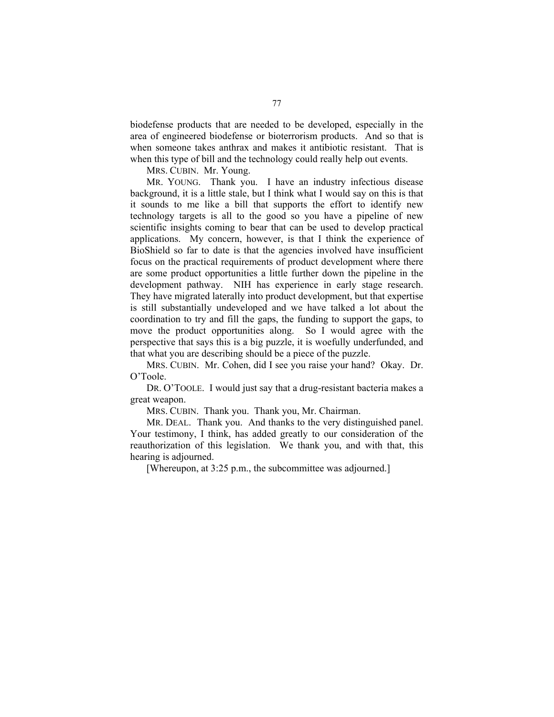biodefense products that are needed to be developed, especially in the area of engineered biodefense or bioterrorism products. And so that is when someone takes anthrax and makes it antibiotic resistant. That is when this type of bill and the technology could really help out events.

MRS. CUBIN. Mr. Young.

 MR. YOUNG. Thank you. I have an industry infectious disease background, it is a little stale, but I think what I would say on this is that it sounds to me like a bill that supports the effort to identify new technology targets is all to the good so you have a pipeline of new scientific insights coming to bear that can be used to develop practical applications. My concern, however, is that I think the experience of BioShield so far to date is that the agencies involved have insufficient focus on the practical requirements of product development where there are some product opportunities a little further down the pipeline in the development pathway. NIH has experience in early stage research. They have migrated laterally into product development, but that expertise is still substantially undeveloped and we have talked a lot about the coordination to try and fill the gaps, the funding to support the gaps, to move the product opportunities along. So I would agree with the perspective that says this is a big puzzle, it is woefully underfunded, and that what you are describing should be a piece of the puzzle.

 MRS. CUBIN. Mr. Cohen, did I see you raise your hand? Okay. Dr. O'Toole.

 DR. O'TOOLE. I would just say that a drug-resistant bacteria makes a great weapon.

MRS. CUBIN. Thank you. Thank you, Mr. Chairman.

 MR. DEAL. Thank you. And thanks to the very distinguished panel. Your testimony, I think, has added greatly to our consideration of the reauthorization of this legislation. We thank you, and with that, this hearing is adjourned.

[Whereupon, at 3:25 p.m., the subcommittee was adjourned.]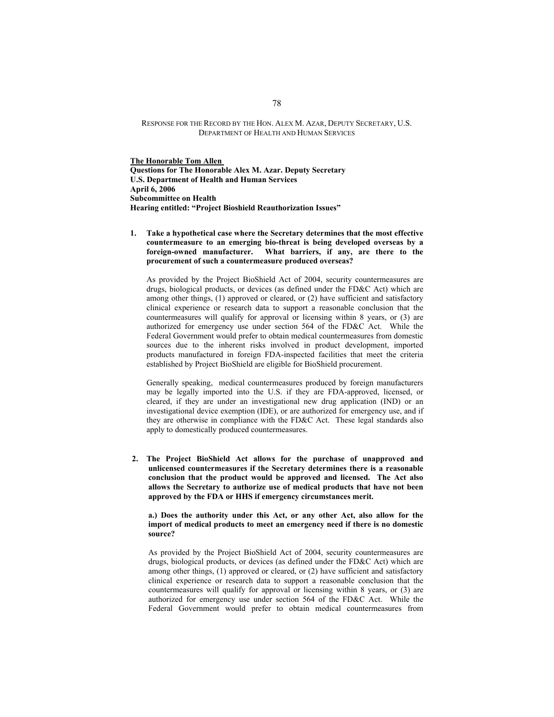## RESPONSE FOR THE RECORD BY THE HON. ALEX M. AZAR, DEPUTY SECRETARY, U.S. DEPARTMENT OF HEALTH AND HUMAN SERVICES

**The Honorable Tom Allen Questions for The Honorable Alex M. Azar. Deputy Secretary U.S. Department of Health and Human Services April 6, 2006 Subcommittee on Health Hearing entitled: "Project Bioshield Reauthorization Issues"**

**1. Take a hypothetical case where the Secretary determines that the most effective countermeasure to an emerging bio-threat is being developed overseas by a foreign-owned manufacturer. What barriers, if any, are there to the procurement of such a countermeasure produced overseas?** 

As provided by the Project BioShield Act of 2004, security countermeasures are drugs, biological products, or devices (as defined under the FD&C Act) which are among other things, (1) approved or cleared, or (2) have sufficient and satisfactory clinical experience or research data to support a reasonable conclusion that the countermeasures will qualify for approval or licensing within 8 years, or (3) are authorized for emergency use under section 564 of the FD&C Act. While the Federal Government would prefer to obtain medical countermeasures from domestic sources due to the inherent risks involved in product development, imported products manufactured in foreign FDA-inspected facilities that meet the criteria established by Project BioShield are eligible for BioShield procurement.

Generally speaking, medical countermeasures produced by foreign manufacturers may be legally imported into the U.S. if they are FDA-approved, licensed, or cleared, if they are under an investigational new drug application (IND) or an investigational device exemption (IDE), or are authorized for emergency use, and if they are otherwise in compliance with the FD&C Act. These legal standards also apply to domestically produced countermeasures.

**2. The Project BioShield Act allows for the purchase of unapproved and unlicensed countermeasures if the Secretary determines there is a reasonable conclusion that the product would be approved and licensed. The Act also allows the Secretary to authorize use of medical products that have not been approved by the FDA or HHS if emergency circumstances merit.** 

**a.) Does the authority under this Act, or any other Act, also allow for the import of medical products to meet an emergency need if there is no domestic source?** 

As provided by the Project BioShield Act of 2004, security countermeasures are drugs, biological products, or devices (as defined under the FD&C Act) which are among other things, (1) approved or cleared, or (2) have sufficient and satisfactory clinical experience or research data to support a reasonable conclusion that the countermeasures will qualify for approval or licensing within 8 years, or (3) are authorized for emergency use under section 564 of the FD&C Act. While the Federal Government would prefer to obtain medical countermeasures from

78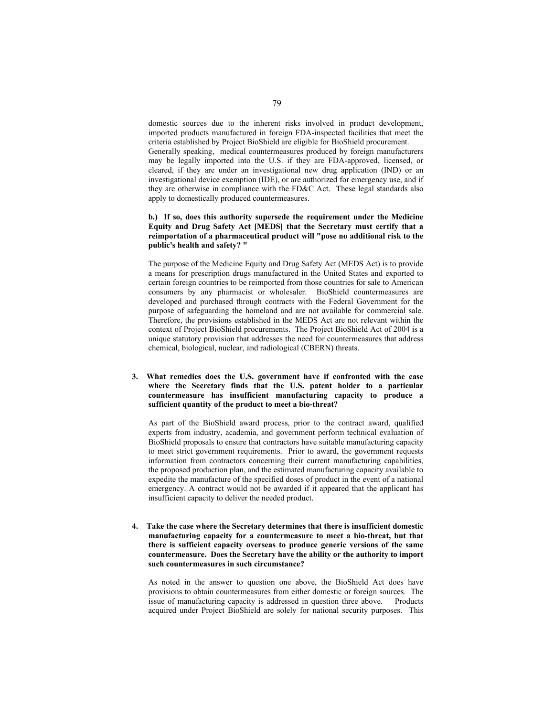domestic sources due to the inherent risks involved in product development, imported products manufactured in foreign FDA-inspected facilities that meet the criteria established by Project BioShield are eligible for BioShield procurement.

Generally speaking, medical countermeasures produced by foreign manufacturers may be legally imported into the U.S. if they are FDA-approved, licensed, or cleared, if they are under an investigational new drug application (IND) or an investigational device exemption (IDE), or are authorized for emergency use, and if they are otherwise in compliance with the FD&C Act. These legal standards also apply to domestically produced countermeasures.

## **b.) If so, does this authority supersede the requirement under the Medicine Equity and Drug Safety Act [MEDS] that the Secretary must certify that a reimportation of a pharmaceutical product will "pose no additional risk to the public's health and safety? "**

The purpose of the Medicine Equity and Drug Safety Act (MEDS Act) is to provide a means for prescription drugs manufactured in the United States and exported to certain foreign countries to be reimported from those countries for sale to American consumers by any pharmacist or wholesaler. BioShield countermeasures are developed and purchased through contracts with the Federal Government for the purpose of safeguarding the homeland and are not available for commercial sale. Therefore, the provisions established in the MEDS Act are not relevant within the context of Project BioShield procurements. The Project BioShield Act of 2004 is a unique statutory provision that addresses the need for countermeasures that address chemical, biological, nuclear, and radiological (CBERN) threats.

## **3. What remedies does the U.S. government have if confronted with the case where the Secretary finds that the U.S. patent holder to a particular countermeasure has insufficient manufacturing capacity to produce a sufficient quantity of the product to meet a bio-threat?**

As part of the BioShield award process, prior to the contract award, qualified experts from industry, academia, and government perform technical evaluation of BioShield proposals to ensure that contractors have suitable manufacturing capacity to meet strict government requirements. Prior to award, the government requests information from contractors concerning their current manufacturing capabilities, the proposed production plan, and the estimated manufacturing capacity available to expedite the manufacture of the specified doses of product in the event of a national emergency. A contract would not be awarded if it appeared that the applicant has insufficient capacity to deliver the needed product.

**4. Take the case where the Secretary determines that there is insufficient domestic manufacturing capacity for a countermeasure to meet a bio-threat, but that there is sufficient capacity overseas to produce generic versions of the same countermeasure. Does the Secretary have the ability or the authority to import such countermeasures in such circumstance?** 

As noted in the answer to question one above, the BioShield Act does have provisions to obtain countermeasures from either domestic or foreign sources. The issue of manufacturing capacity is addressed in question three above. Products acquired under Project BioShield are solely for national security purposes. This